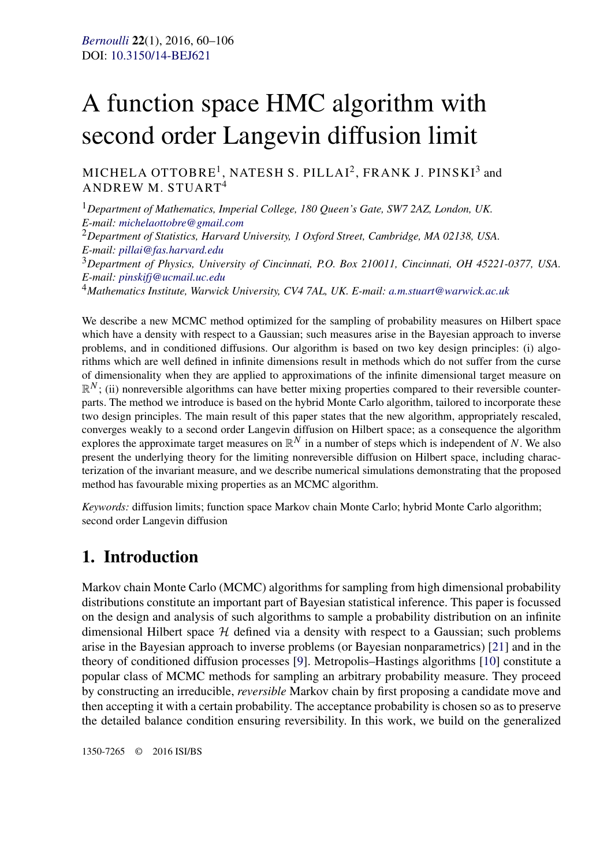# A function space HMC algorithm with second order Langevin diffusion limit

MICHELA OTTOBRE<sup>1</sup>, NATESH S. PILLAI<sup>2</sup>, FRANK J. PINSKI<sup>3</sup> and ANDREW M. STUART<sup>4</sup>

<sup>1</sup>*Department of Mathematics, Imperial College, 180 Queen's Gate, SW7 2AZ, London, UK. E-mail: [michelaottobre@gmail.com](mailto:michelaottobre@gmail.com)* <sup>2</sup>*Department of Statistics, Harvard University, 1 Oxford Street, Cambridge, MA 02138, USA. E-mail: [pillai@fas.harvard.edu](mailto:pillai@fas.harvard.edu)* <sup>3</sup>*Department of Physics, University of Cincinnati, P.O. Box 210011, Cincinnati, OH 45221-0377, USA. E-mail: [pinskifj@ucmail.uc.edu](mailto:pinskifj@ucmail.uc.edu)* <sup>4</sup>*Mathematics Institute, Warwick University, CV4 7AL, UK. E-mail: [a.m.stuart@warwick.ac.uk](mailto:a.m.stuart@warwick.ac.uk)*

We describe a new MCMC method optimized for the sampling of probability measures on Hilbert space which have a density with respect to a Gaussian; such measures arise in the Bayesian approach to inverse problems, and in conditioned diffusions. Our algorithm is based on two key design principles: (i) algorithms which are well defined in infinite dimensions result in methods which do not suffer from the curse of dimensionality when they are applied to approximations of the infinite dimensional target measure on  $\mathbb{R}^N$ ; (ii) nonreversible algorithms can have better mixing properties compared to their reversible counterparts. The method we introduce is based on the hybrid Monte Carlo algorithm, tailored to incorporate these two design principles. The main result of this paper states that the new algorithm, appropriately rescaled, converges weakly to a second order Langevin diffusion on Hilbert space; as a consequence the algorithm explores the approximate target measures on  $\mathbb{R}^N$  in a number of steps which is independent of *N*. We also present the underlying theory for the limiting nonreversible diffusion on Hilbert space, including characterization of the invariant measure, and we describe numerical simulations demonstrating that the proposed method has favourable mixing properties as an MCMC algorithm.

*Keywords:* diffusion limits; function space Markov chain Monte Carlo; hybrid Monte Carlo algorithm; second order Langevin diffusion

# **1. Introduction**

Markov chain Monte Carlo (MCMC) algorithms for sampling from high dimensional probability distributions constitute an important part of Bayesian statistical inference. This paper is focussed on the design and analysis of such algorithms to sample a probability distribution on an infinite dimensional Hilbert space  $H$  defined via a density with respect to a Gaussian; such problems arise in the Bayesian approach to inverse problems (or Bayesian nonparametrics) [\[21\]](#page-46-0) and in the theory of conditioned diffusion processes [\[9\]](#page-46-0). Metropolis–Hastings algorithms [\[10\]](#page-46-0) constitute a popular class of MCMC methods for sampling an arbitrary probability measure. They proceed by constructing an irreducible, *reversible* Markov chain by first proposing a candidate move and then accepting it with a certain probability. The acceptance probability is chosen so as to preserve the detailed balance condition ensuring reversibility. In this work, we build on the generalized

1350-7265 © 2016 ISI/BS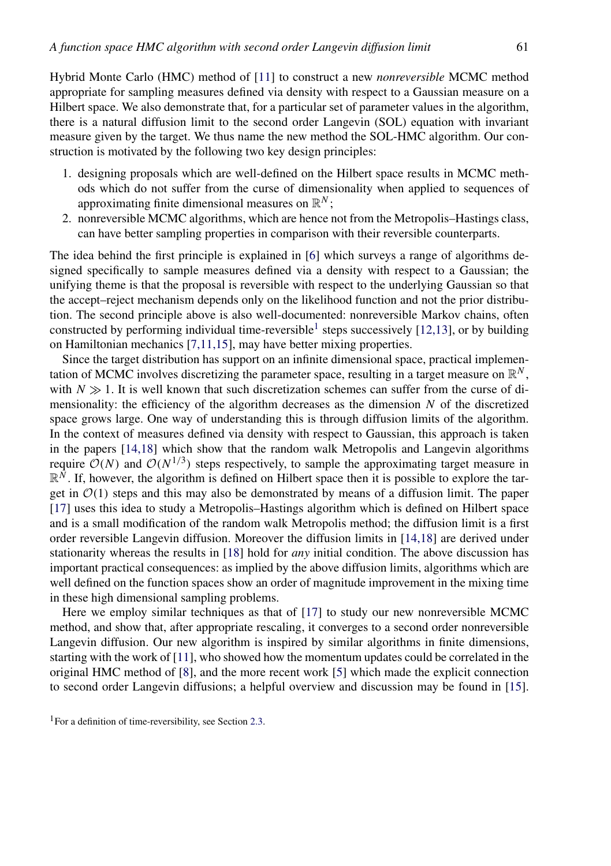Hybrid Monte Carlo (HMC) method of [\[11\]](#page-46-0) to construct a new *nonreversible* MCMC method appropriate for sampling measures defined via density with respect to a Gaussian measure on a Hilbert space. We also demonstrate that, for a particular set of parameter values in the algorithm, there is a natural diffusion limit to the second order Langevin (SOL) equation with invariant measure given by the target. We thus name the new method the SOL-HMC algorithm. Our construction is motivated by the following two key design principles:

- 1. designing proposals which are well-defined on the Hilbert space results in MCMC methods which do not suffer from the curse of dimensionality when applied to sequences of approximating finite dimensional measures on  $\mathbb{R}^N$ ;
- 2. nonreversible MCMC algorithms, which are hence not from the Metropolis–Hastings class, can have better sampling properties in comparison with their reversible counterparts.

The idea behind the first principle is explained in [\[6\]](#page-46-0) which surveys a range of algorithms designed specifically to sample measures defined via a density with respect to a Gaussian; the unifying theme is that the proposal is reversible with respect to the underlying Gaussian so that the accept–reject mechanism depends only on the likelihood function and not the prior distribution. The second principle above is also well-documented: nonreversible Markov chains, often constructed by performing individual time-reversible<sup>1</sup> steps successively  $[12,13]$ , or by building on Hamiltonian mechanics [\[7,11,15\]](#page-46-0), may have better mixing properties.

Since the target distribution has support on an infinite dimensional space, practical implementation of MCMC involves discretizing the parameter space, resulting in a target measure on  $\mathbb{R}^N$ , with  $N \gg 1$ . It is well known that such discretization schemes can suffer from the curse of dimensionality: the efficiency of the algorithm decreases as the dimension *N* of the discretized space grows large. One way of understanding this is through diffusion limits of the algorithm. In the context of measures defined via density with respect to Gaussian, this approach is taken in the papers [\[14,18\]](#page-46-0) which show that the random walk Metropolis and Langevin algorithms require  $O(N)$  and  $O(N^{1/3})$  steps respectively, to sample the approximating target measure in  $\mathbb{R}^N$ . If, however, the algorithm is defined on Hilbert space then it is possible to explore the target in  $\mathcal{O}(1)$  steps and this may also be demonstrated by means of a diffusion limit. The paper [\[17\]](#page-46-0) uses this idea to study a Metropolis–Hastings algorithm which is defined on Hilbert space and is a small modification of the random walk Metropolis method; the diffusion limit is a first order reversible Langevin diffusion. Moreover the diffusion limits in [\[14,18\]](#page-46-0) are derived under stationarity whereas the results in [\[18\]](#page-46-0) hold for *any* initial condition. The above discussion has important practical consequences: as implied by the above diffusion limits, algorithms which are well defined on the function spaces show an order of magnitude improvement in the mixing time in these high dimensional sampling problems.

Here we employ similar techniques as that of [\[17\]](#page-46-0) to study our new nonreversible MCMC method, and show that, after appropriate rescaling, it converges to a second order nonreversible Langevin diffusion. Our new algorithm is inspired by similar algorithms in finite dimensions, starting with the work of [\[11\]](#page-46-0), who showed how the momentum updates could be correlated in the original HMC method of [\[8\]](#page-46-0), and the more recent work [\[5\]](#page-46-0) which made the explicit connection to second order Langevin diffusions; a helpful overview and discussion may be found in [\[15\]](#page-46-0).

<sup>&</sup>lt;sup>1</sup>For a definition of time-reversibility, see Section [2.3.](#page-6-0)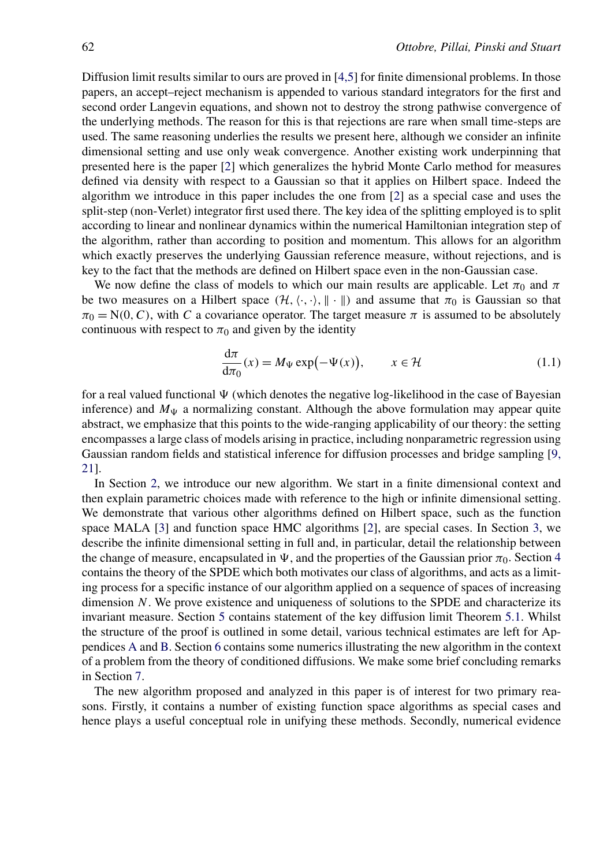<span id="page-2-0"></span>Diffusion limit results similar to ours are proved in [\[4,5\]](#page-45-0) for finite dimensional problems. In those papers, an accept–reject mechanism is appended to various standard integrators for the first and second order Langevin equations, and shown not to destroy the strong pathwise convergence of the underlying methods. The reason for this is that rejections are rare when small time-steps are used. The same reasoning underlies the results we present here, although we consider an infinite dimensional setting and use only weak convergence. Another existing work underpinning that presented here is the paper [\[2\]](#page-45-0) which generalizes the hybrid Monte Carlo method for measures defined via density with respect to a Gaussian so that it applies on Hilbert space. Indeed the algorithm we introduce in this paper includes the one from [\[2\]](#page-45-0) as a special case and uses the split-step (non-Verlet) integrator first used there. The key idea of the splitting employed is to split according to linear and nonlinear dynamics within the numerical Hamiltonian integration step of the algorithm, rather than according to position and momentum. This allows for an algorithm which exactly preserves the underlying Gaussian reference measure, without rejections, and is key to the fact that the methods are defined on Hilbert space even in the non-Gaussian case.

We now define the class of models to which our main results are applicable. Let  $\pi_0$  and  $\pi$ be two measures on a Hilbert space  $(H, \langle \cdot, \cdot \rangle, \| \cdot \|)$  and assume that  $\pi_0$  is Gaussian so that  $\pi_0 = N(0, C)$ , with *C* a covariance operator. The target measure  $\pi$  is assumed to be absolutely continuous with respect to  $\pi_0$  and given by the identity

$$
\frac{d\pi}{d\pi_0}(x) = M_{\Psi} \exp(-\Psi(x)), \qquad x \in \mathcal{H}
$$
 (1.1)

for a real valued functional  $\Psi$  (which denotes the negative log-likelihood in the case of Bayesian inference) and  $M_{\Psi}$  a normalizing constant. Although the above formulation may appear quite abstract, we emphasize that this points to the wide-ranging applicability of our theory: the setting encompasses a large class of models arising in practice, including nonparametric regression using Gaussian random fields and statistical inference for diffusion processes and bridge sampling [\[9,](#page-46-0) [21\]](#page-46-0).

In Section [2,](#page-3-0) we introduce our new algorithm. We start in a finite dimensional context and then explain parametric choices made with reference to the high or infinite dimensional setting. We demonstrate that various other algorithms defined on Hilbert space, such as the function space MALA [\[3\]](#page-45-0) and function space HMC algorithms [\[2\]](#page-45-0), are special cases. In Section [3,](#page-10-0) we describe the infinite dimensional setting in full and, in particular, detail the relationship between the change of measure, encapsulated in  $\Psi$ , and the properties of the Gaussian prior  $\pi_0$ . Section [4](#page-14-0) contains the theory of the SPDE which both motivates our class of algorithms, and acts as a limiting process for a specific instance of our algorithm applied on a sequence of spaces of increasing dimension *N*. We prove existence and uniqueness of solutions to the SPDE and characterize its invariant measure. Section [5](#page-17-0) contains statement of the key diffusion limit Theorem [5.1.](#page-19-0) Whilst the structure of the proof is outlined in some detail, various technical estimates are left for Appendices [A](#page-34-0) and [B.](#page-36-0) Section [6](#page-30-0) contains some numerics illustrating the new algorithm in the context of a problem from the theory of conditioned diffusions. We make some brief concluding remarks in Section [7.](#page-32-0)

The new algorithm proposed and analyzed in this paper is of interest for two primary reasons. Firstly, it contains a number of existing function space algorithms as special cases and hence plays a useful conceptual role in unifying these methods. Secondly, numerical evidence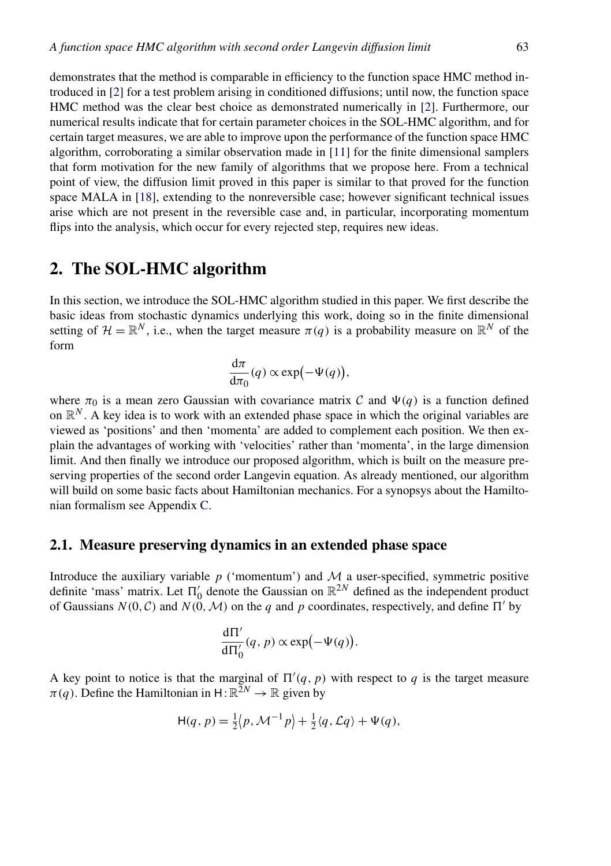<span id="page-3-0"></span>demonstrates that the method is comparable in efficiency to the function space HMC method introduced in [\[2\]](#page-45-0) for a test problem arising in conditioned diffusions; until now, the function space HMC method was the clear best choice as demonstrated numerically in [\[2\]](#page-45-0). Furthermore, our numerical results indicate that for certain parameter choices in the SOL-HMC algorithm, and for certain target measures, we are able to improve upon the performance of the function space HMC algorithm, corroborating a similar observation made in [\[11\]](#page-46-0) for the finite dimensional samplers that form motivation for the new family of algorithms that we propose here. From a technical point of view, the diffusion limit proved in this paper is similar to that proved for the function space MALA in [\[18\]](#page-46-0), extending to the nonreversible case; however significant technical issues arise which are not present in the reversible case and, in particular, incorporating momentum flips into the analysis, which occur for every rejected step, requires new ideas.

# **2. The SOL-HMC algorithm**

In this section, we introduce the SOL-HMC algorithm studied in this paper. We first describe the basic ideas from stochastic dynamics underlying this work, doing so in the finite dimensional setting of  $\mathcal{H} = \mathbb{R}^N$ , i.e., when the target measure  $\pi(q)$  is a probability measure on  $\mathbb{R}^N$  of the form

$$
\frac{\mathrm{d}\pi}{\mathrm{d}\pi_0}(q) \propto \exp(-\Psi(q)),
$$

where  $\pi_0$  is a mean zero Gaussian with covariance matrix C and  $\Psi(q)$  is a function defined on  $\mathbb{R}^N$ . A key idea is to work with an extended phase space in which the original variables are viewed as 'positions' and then 'momenta' are added to complement each position. We then explain the advantages of working with 'velocities' rather than 'momenta', in the large dimension limit. And then finally we introduce our proposed algorithm, which is built on the measure preserving properties of the second order Langevin equation. As already mentioned, our algorithm will build on some basic facts about Hamiltonian mechanics. For a synopsys about the Hamiltonian formalism see Appendix [C.](#page-44-0)

#### **2.1. Measure preserving dynamics in an extended phase space**

Introduce the auxiliary variable  $p$  ('momentum') and  $M$  a user-specified, symmetric positive definite 'mass' matrix. Let  $\Pi'_0$  denote the Gaussian on  $\mathbb{R}^{2N}$  defined as the independent product of Gaussians  $N(0, C)$  and  $N(0, M)$  on the *q* and *p* coordinates, respectively, and define  $\Pi'$  by

$$
\frac{\mathrm{d}\Pi'}{\mathrm{d}\Pi'_0}(q,p)\propto \exp(-\Psi(q)).
$$

A key point to notice is that the marginal of  $\Pi'(q, p)$  with respect to q is the target measure  $\pi(q)$ . Define the Hamiltonian in H:  $\mathbb{R}^{2N} \to \mathbb{R}$  given by

$$
H(q, p) = \frac{1}{2} \langle p, \mathcal{M}^{-1} p \rangle + \frac{1}{2} \langle q, \mathcal{L} q \rangle + \Psi(q),
$$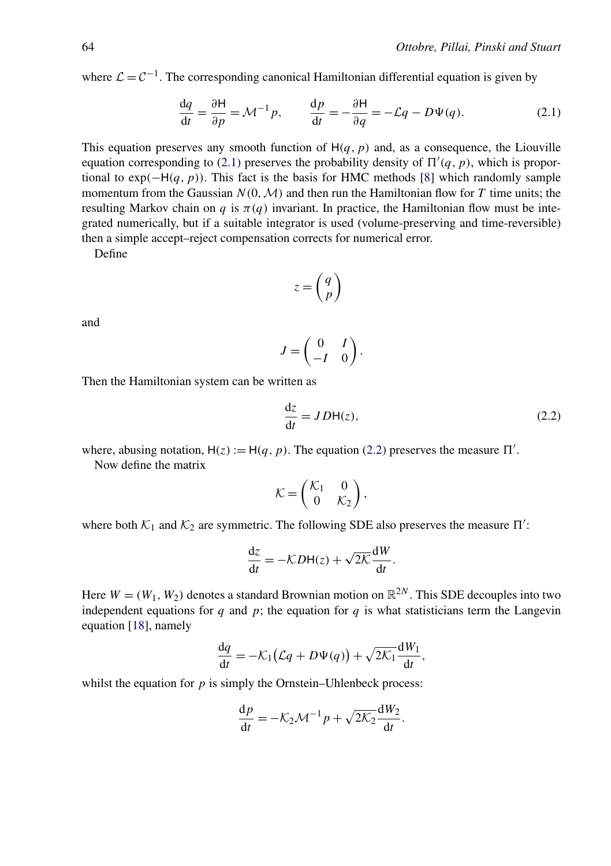where  $\mathcal{L} = \mathcal{C}^{-1}$ . The corresponding canonical Hamiltonian differential equation is given by

$$
\frac{dq}{dt} = \frac{\partial H}{\partial p} = \mathcal{M}^{-1}p, \qquad \frac{dp}{dt} = -\frac{\partial H}{\partial q} = -\mathcal{L}q - D\Psi(q). \tag{2.1}
$$

This equation preserves any smooth function of  $H(q, p)$  and, as a consequence, the Liouville equation corresponding to (2.1) preserves the probability density of  $\Pi'(q, p)$ , which is proportional to  $exp(-H(q, p))$ . This fact is the basis for HMC methods [\[8\]](#page-46-0) which randomly sample momentum from the Gaussian  $N(0, \mathcal{M})$  and then run the Hamiltonian flow for *T* time units; the resulting Markov chain on *q* is *π(q)* invariant. In practice, the Hamiltonian flow must be integrated numerically, but if a suitable integrator is used (volume-preserving and time-reversible) then a simple accept–reject compensation corrects for numerical error.

Define

$$
z = \left(\begin{matrix} q \\ p \end{matrix}\right)
$$

and

$$
J = \begin{pmatrix} 0 & I \\ -I & 0 \end{pmatrix}.
$$

Then the Hamiltonian system can be written as

$$
\frac{\mathrm{d}z}{\mathrm{d}t} = JDH(z),\tag{2.2}
$$

where, abusing notation,  $H(z) := H(q, p)$ . The equation (2.2) preserves the measure  $\Pi'$ .

Now define the matrix

$$
\mathcal{K} = \begin{pmatrix} \mathcal{K}_1 & 0 \\ 0 & \mathcal{K}_2 \end{pmatrix},
$$

where both  $\mathcal{K}_1$  and  $\mathcal{K}_2$  are symmetric. The following SDE also preserves the measure  $\Pi'$ :

$$
\frac{\mathrm{d}z}{\mathrm{d}t} = -\mathcal{K}D\mathsf{H}(z) + \sqrt{2\mathcal{K}}\frac{\mathrm{d}W}{\mathrm{d}t}.
$$

Here  $W = (W_1, W_2)$  denotes a standard Brownian motion on  $\mathbb{R}^{2N}$ . This SDE decouples into two independent equations for  $q$  and  $p$ ; the equation for  $q$  is what statisticians term the Langevin equation [\[18\]](#page-46-0), namely

$$
\frac{\mathrm{d}q}{\mathrm{d}t} = -\mathcal{K}_1 \big( \mathcal{L}q + D\Psi(q) \big) + \sqrt{2\mathcal{K}_1} \frac{\mathrm{d}W_1}{\mathrm{d}t},
$$

whilst the equation for *p* is simply the Ornstein–Uhlenbeck process:

$$
\frac{\mathrm{d}p}{\mathrm{d}t} = -\mathcal{K}_2 \mathcal{M}^{-1} p + \sqrt{2\mathcal{K}_2} \frac{\mathrm{d}W_2}{\mathrm{d}t}.
$$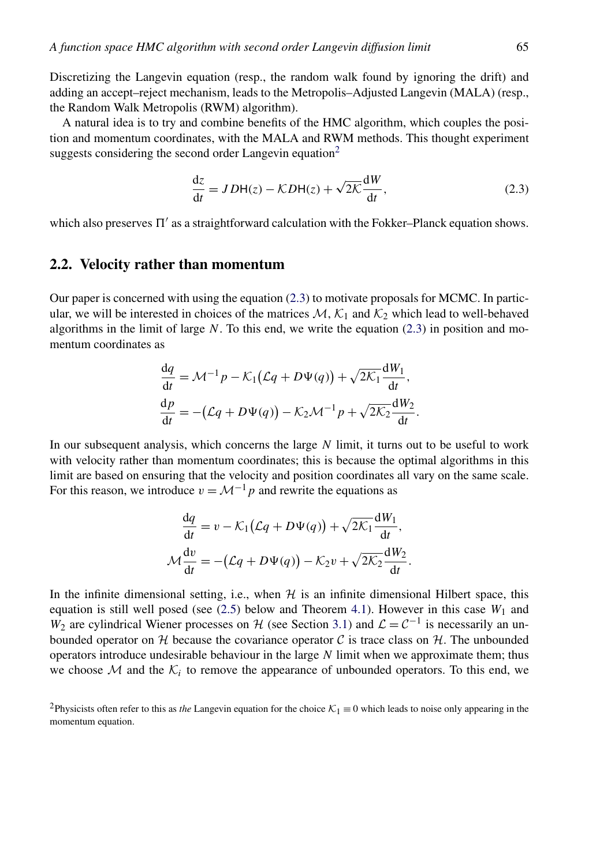<span id="page-5-0"></span>Discretizing the Langevin equation (resp., the random walk found by ignoring the drift) and adding an accept–reject mechanism, leads to the Metropolis–Adjusted Langevin (MALA) (resp., the Random Walk Metropolis (RWM) algorithm).

A natural idea is to try and combine benefits of the HMC algorithm, which couples the position and momentum coordinates, with the MALA and RWM methods. This thought experiment suggests considering the second order Langevin equation<sup>2</sup>

$$
\frac{dz}{dt} = JDH(z) - KDH(z) + \sqrt{2K} \frac{dW}{dt},
$$
\n(2.3)

which also preserves  $\Pi'$  as a straightforward calculation with the Fokker–Planck equation shows.

#### **2.2. Velocity rather than momentum**

Our paper is concerned with using the equation (2.3) to motivate proposals for MCMC. In particular, we will be interested in choices of the matrices  $M$ ,  $K_1$  and  $K_2$  which lead to well-behaved algorithms in the limit of large *N*. To this end, we write the equation (2.3) in position and momentum coordinates as

$$
\frac{dq}{dt} = \mathcal{M}^{-1}p - \mathcal{K}_1(\mathcal{L}q + D\Psi(q)) + \sqrt{2\mathcal{K}_1}\frac{dW_1}{dt},
$$

$$
\frac{dp}{dt} = -(\mathcal{L}q + D\Psi(q)) - \mathcal{K}_2\mathcal{M}^{-1}p + \sqrt{2\mathcal{K}_2}\frac{dW_2}{dt}.
$$

In our subsequent analysis, which concerns the large *N* limit, it turns out to be useful to work with velocity rather than momentum coordinates; this is because the optimal algorithms in this limit are based on ensuring that the velocity and position coordinates all vary on the same scale. For this reason, we introduce  $v = \mathcal{M}^{-1}p$  and rewrite the equations as

$$
\frac{dq}{dt} = v - \mathcal{K}_1(\mathcal{L}q + D\Psi(q)) + \sqrt{2\mathcal{K}_1}\frac{dW_1}{dt},
$$

$$
\mathcal{M}\frac{dv}{dt} = -(\mathcal{L}q + D\Psi(q)) - \mathcal{K}_2v + \sqrt{2\mathcal{K}_2}\frac{dW_2}{dt}.
$$

In the infinite dimensional setting, i.e., when  $H$  is an infinite dimensional Hilbert space, this equation is still well posed (see  $(2.5)$  below and Theorem [4.1\)](#page-14-0). However in this case  $W_1$  and *W*<sub>2</sub> are cylindrical Wiener processes on H (see Section [3.1\)](#page-10-0) and  $\mathcal{L} = \mathcal{C}^{-1}$  is necessarily an unbounded operator on  $H$  because the covariance operator  $C$  is trace class on  $H$ . The unbounded operators introduce undesirable behaviour in the large *N* limit when we approximate them; thus we choose  $M$  and the  $K_i$  to remove the appearance of unbounded operators. To this end, we

<sup>&</sup>lt;sup>2</sup>Physicists often refer to this as *the* Langevin equation for the choice  $K_1 \equiv 0$  which leads to noise only appearing in the momentum equation.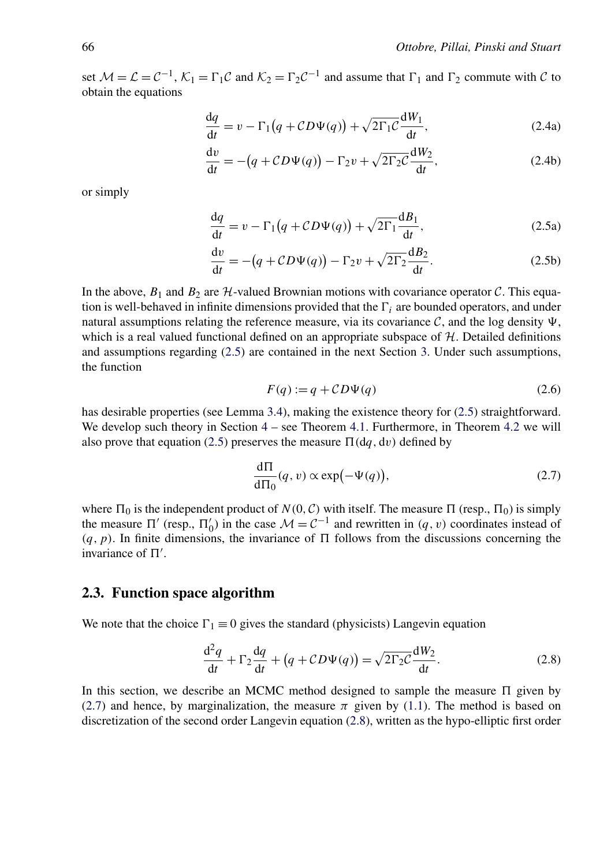<span id="page-6-0"></span>set  $M = \mathcal{L} = \mathcal{C}^{-1}$ ,  $\mathcal{K}_1 = \Gamma_1 \mathcal{C}$  and  $\mathcal{K}_2 = \Gamma_2 \mathcal{C}^{-1}$  and assume that  $\Gamma_1$  and  $\Gamma_2$  commute with  $\mathcal C$  to obtain the equations

$$
\frac{dq}{dt} = v - \Gamma_1 \left( q + CD\Psi(q) \right) + \sqrt{2\Gamma_1 C} \frac{dW_1}{dt},\tag{2.4a}
$$

$$
\frac{dv}{dt} = -(q + CD\Psi(q)) - \Gamma_2 v + \sqrt{2\Gamma_2 C} \frac{dW_2}{dt},
$$
\n(2.4b)

or simply

$$
\frac{dq}{dt} = v - \Gamma_1 \left( q + CD\Psi(q) \right) + \sqrt{2\Gamma_1} \frac{dB_1}{dt},\tag{2.5a}
$$

$$
\frac{dv}{dt} = -(q + CD\Psi(q)) - \Gamma_2 v + \sqrt{2\Gamma_2} \frac{dB_2}{dt}.
$$
\n(2.5b)

In the above,  $B_1$  and  $B_2$  are  $H$ -valued Brownian motions with covariance operator C. This equation is well-behaved in infinite dimensions provided that the  $\Gamma_i$  are bounded operators, and under natural assumptions relating the reference measure, via its covariance  $\mathcal{C}$ , and the log density  $\Psi$ , which is a real valued functional defined on an appropriate subspace of  $H$ . Detailed definitions and assumptions regarding (2.5) are contained in the next Section [3.](#page-10-0) Under such assumptions, the function

$$
F(q) := q + CD\Psi(q)
$$
\n<sup>(2.6)</sup>

has desirable properties (see Lemma [3.4\)](#page-13-0), making the existence theory for (2.5) straightforward. We develop such theory in Section  $4 4 -$  see Theorem [4.1.](#page-14-0) Furthermore, in Theorem [4.2](#page-15-0) we will also prove that equation (2.5) preserves the measure  $\Pi(dq, dv)$  defined by

$$
\frac{d\Pi}{d\Pi_0}(q,\nu)\propto \exp(-\Psi(q)),\tag{2.7}
$$

where  $\Pi_0$  is the independent product of  $N(0, C)$  with itself. The measure  $\Pi$  (resp.,  $\Pi_0$ ) is simply the measure  $\Pi'$  (resp.,  $\Pi'_0$ ) in the case  $\mathcal{M} = \mathcal{C}^{-1}$  and rewritten in *(q, v)* coordinates instead of  $(q, p)$ . In finite dimensions, the invariance of  $\Pi$  follows from the discussions concerning the invariance of  $\Pi'$ .

#### **2.3. Function space algorithm**

We note that the choice  $\Gamma_1 \equiv 0$  gives the standard (physicists) Langevin equation

$$
\frac{\mathrm{d}^2 q}{\mathrm{d}t} + \Gamma_2 \frac{\mathrm{d}q}{\mathrm{d}t} + \left(q + CD\Psi(q)\right) = \sqrt{2\Gamma_2 C} \frac{\mathrm{d}W_2}{\mathrm{d}t}.
$$
 (2.8)

In this section, we describe an MCMC method designed to sample the measure  $\Pi$  given by (2.7) and hence, by marginalization, the measure  $\pi$  given by [\(1.1\)](#page-2-0). The method is based on discretization of the second order Langevin equation (2.8), written as the hypo-elliptic first order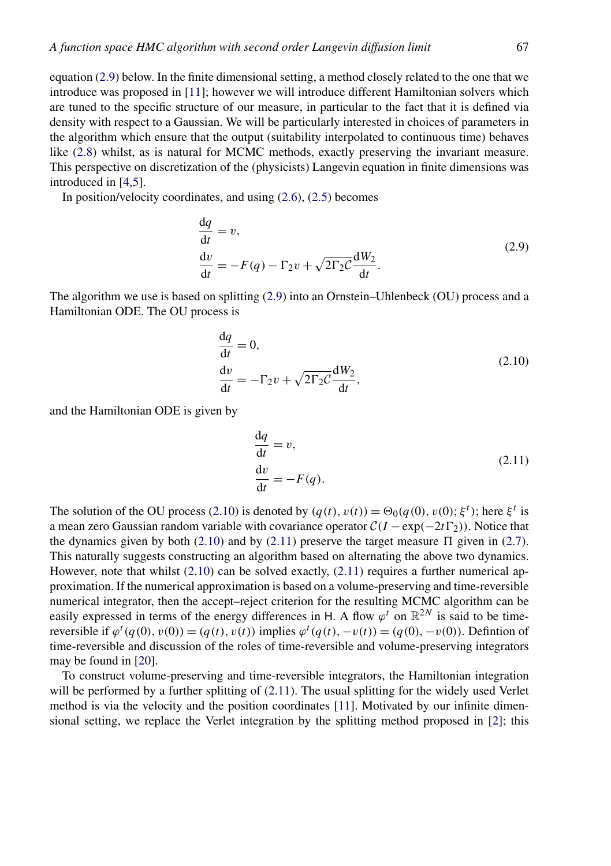<span id="page-7-0"></span>equation (2.9) below. In the finite dimensional setting, a method closely related to the one that we introduce was proposed in [\[11\]](#page-46-0); however we will introduce different Hamiltonian solvers which are tuned to the specific structure of our measure, in particular to the fact that it is defined via density with respect to a Gaussian. We will be particularly interested in choices of parameters in the algorithm which ensure that the output (suitability interpolated to continuous time) behaves like [\(2.8\)](#page-6-0) whilst, as is natural for MCMC methods, exactly preserving the invariant measure. This perspective on discretization of the (physicists) Langevin equation in finite dimensions was introduced in [\[4,5\]](#page-45-0).

In position/velocity coordinates, and using [\(2.6\)](#page-6-0), [\(2.5\)](#page-6-0) becomes

$$
\frac{dq}{dt} = v,
$$
  
\n
$$
\frac{dv}{dt} = -F(q) - \Gamma_2 v + \sqrt{2\Gamma_2 C} \frac{dW_2}{dt}.
$$
\n(2.9)

The algorithm we use is based on splitting (2.9) into an Ornstein–Uhlenbeck (OU) process and a Hamiltonian ODE. The OU process is

$$
\frac{dq}{dt} = 0,
$$
  
\n
$$
\frac{dv}{dt} = -\Gamma_2 v + \sqrt{2\Gamma_2 C} \frac{dW_2}{dt},
$$
\n(2.10)

and the Hamiltonian ODE is given by

$$
\frac{dq}{dt} = v,
$$
  
\n
$$
\frac{dv}{dt} = -F(q).
$$
\n(2.11)

The solution of the OU process (2.10) is denoted by  $(q(t), v(t)) = \Theta_0(q(0), v(0); \xi^t)$ ; here  $\xi^t$  is a mean zero Gaussian random variable with covariance operator  $C(I - \exp(-2t\Gamma_2))$ . Notice that the dynamics given by both (2.10) and by (2.11) preserve the target measure  $\Pi$  given in [\(2.7\)](#page-6-0). This naturally suggests constructing an algorithm based on alternating the above two dynamics. However, note that whilst  $(2.10)$  can be solved exactly,  $(2.11)$  requires a further numerical approximation. If the numerical approximation is based on a volume-preserving and time-reversible numerical integrator, then the accept–reject criterion for the resulting MCMC algorithm can be easily expressed in terms of the energy differences in H. A flow  $\varphi^t$  on  $\mathbb{R}^{2N}$  is said to be timereversible if  $\varphi^t(q(0), v(0)) = (q(t), v(t))$  implies  $\varphi^t(q(t), -v(t)) = (q(0), -v(0))$ . Defintion of time-reversible and discussion of the roles of time-reversible and volume-preserving integrators may be found in [\[20\]](#page-46-0).

To construct volume-preserving and time-reversible integrators, the Hamiltonian integration will be performed by a further splitting of (2.11). The usual splitting for the widely used Verlet method is via the velocity and the position coordinates [\[11\]](#page-46-0). Motivated by our infinite dimensional setting, we replace the Verlet integration by the splitting method proposed in [\[2\]](#page-45-0); this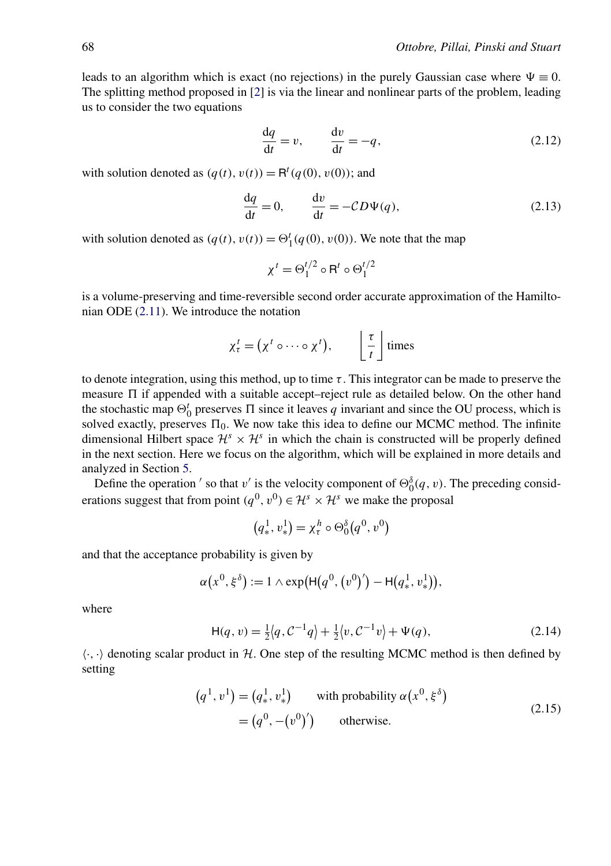<span id="page-8-0"></span>leads to an algorithm which is exact (no rejections) in the purely Gaussian case where  $\Psi \equiv 0$ . The splitting method proposed in [\[2\]](#page-45-0) is via the linear and nonlinear parts of the problem, leading us to consider the two equations

$$
\frac{dq}{dt} = v, \qquad \frac{dv}{dt} = -q, \tag{2.12}
$$

with solution denoted as  $(q(t), v(t)) = \mathsf{R}^t(q(0), v(0))$ ; and

$$
\frac{dq}{dt} = 0, \qquad \frac{dv}{dt} = -CD\Psi(q), \tag{2.13}
$$

with solution denoted as  $(q(t), v(t)) = \Theta_1^t(q(0), v(0))$ . We note that the map

$$
\chi^t = \Theta_1^{t/2} \circ \mathsf{R}^t \circ \Theta_1^{t/2}
$$

is a volume-preserving and time-reversible second order accurate approximation of the Hamiltonian ODE [\(2.11\)](#page-7-0). We introduce the notation

$$
\chi^t_\tau = (\chi^t \circ \cdots \circ \chi^t), \qquad \left\lfloor \frac{\tau}{t} \right\rfloor \text{ times}
$$

to denote integration, using this method, up to time *τ* . This integrator can be made to preserve the measure  $\Pi$  if appended with a suitable accept–reject rule as detailed below. On the other hand the stochastic map  $\Theta_0^t$  preserves  $\Pi$  since it leaves *q* invariant and since the OU process, which is solved exactly, preserves  $\Pi_0$ . We now take this idea to define our MCMC method. The infinite dimensional Hilbert space  $\mathcal{H}^s \times \mathcal{H}^s$  in which the chain is constructed will be properly defined in the next section. Here we focus on the algorithm, which will be explained in more details and analyzed in Section [5.](#page-17-0)

Define the operation ' so that *v'* is the velocity component of  $\Theta_0^{\delta}(q, v)$ . The preceding considerations suggest that from point  $(q^0, v^0) \in \mathcal{H}^s \times \mathcal{H}^s$  we make the proposal

$$
(q_*^1, v_*^1) = \chi_\tau^h \circ \Theta_0^\delta(q^0, v^0)
$$

and that the acceptance probability is given by

$$
\alpha(x^{0}, \xi^{\delta}) := 1 \wedge \exp(H(q^{0}, (v^{0})') - H(q_{*}^{1}, v_{*}^{1})),
$$

where

$$
H(q, v) = \frac{1}{2} \langle q, C^{-1} q \rangle + \frac{1}{2} \langle v, C^{-1} v \rangle + \Psi(q),
$$
 (2.14)

 $\langle \cdot, \cdot \rangle$  denoting scalar product in H. One step of the resulting MCMC method is then defined by setting

$$
(q1, v1) = (q*1, v*1) \twith probability  $\alpha(x0, \xi{\delta})$   
= (q<sup>0</sup>, -(v<sup>0</sup>)') \totherwise. (2.15)
$$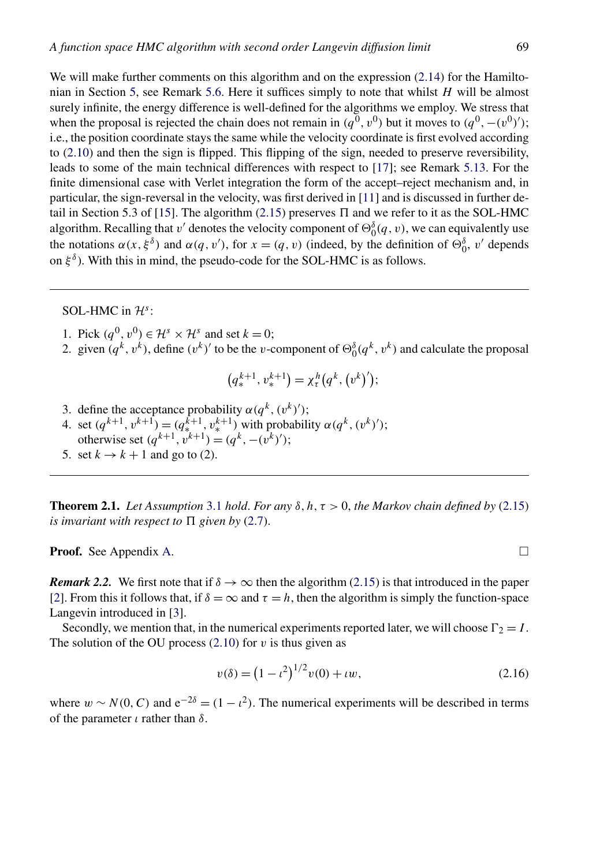<span id="page-9-0"></span>We will make further comments on this algorithm and on the expression  $(2.14)$  for the Hamiltonian in Section [5,](#page-17-0) see Remark [5.6.](#page-21-0) Here it suffices simply to note that whilst *H* will be almost surely infinite, the energy difference is well-defined for the algorithms we employ. We stress that when the proposal is rejected the chain does not remain in  $(q^0, v^0)$  but it moves to  $(q^0, -(v^0)')$ ; i.e., the position coordinate stays the same while the velocity coordinate is first evolved according to [\(2.10\)](#page-7-0) and then the sign is flipped. This flipping of the sign, needed to preserve reversibility, leads to some of the main technical differences with respect to [\[17\]](#page-46-0); see Remark [5.13.](#page-26-0) For the finite dimensional case with Verlet integration the form of the accept–reject mechanism and, in particular, the sign-reversal in the velocity, was first derived in [\[11\]](#page-46-0) and is discussed in further de-tail in Section 5.3 of [\[15\]](#page-46-0). The algorithm [\(2.15\)](#page-8-0) preserves  $\Pi$  and we refer to it as the SOL-HMC algorithm. Recalling that *v'* denotes the velocity component of  $\Theta_0^{\delta}(q, v)$ , we can equivalently use the notations  $\alpha(x, \xi^{\delta})$  and  $\alpha(q, v')$ , for  $x = (q, v)$  (indeed, by the definition of  $\Theta_0^{\delta}$ ,  $v'$  depends on  $\xi^{\delta}$ ). With this in mind, the pseudo-code for the SOL-HMC is as follows.

#### SOL-HMC in  $\mathcal{H}^s$ :

- 1. Pick  $(q^0, v^0) \in \mathcal{H}^s \times \mathcal{H}^s$  and set  $k = 0$ :
- 2. given  $(q^k, v^k)$ , define  $(v^k)'$  to be the *v*-component of  $\Theta_0^{\delta}(q^k, v^k)$  and calculate the proposal

$$
(q_*^{k+1}, v_*^{k+1}) = \chi_\tau^h(q^k, (v^k)');
$$

3. define the acceptance probability  $\alpha(q^k, (v^k)')$ ; 4. set  $(q^{k+1}, v^{k+1}) = (q^{k+1}, v^{k+1})$  with probability  $\alpha(q^k, (v^k)')$ ; otherwise set  $(q^{k+1}, v^{k+1}) = (q^k, -(v^k)')$ ; 5. set  $k \rightarrow k+1$  and go to (2).

**Theorem 2.1.** *Let Assumption* [3.1](#page-13-0) *hold. For any*  $\delta$ ,  $h, \tau > 0$ , *the Markov chain defined by* [\(2.15\)](#page-8-0) *is invariant with respect to*  $\Pi$  *given by* [\(2.7\)](#page-6-0).

**Proof.** See Appendix [A.](#page-34-0)  $\Box$ 

*Remark 2.2.* We first note that if  $\delta \to \infty$  then the algorithm [\(2.15\)](#page-8-0) is that introduced in the paper [\[2\]](#page-45-0). From this it follows that, if  $\delta = \infty$  and  $\tau = h$ , then the algorithm is simply the function-space Langevin introduced in [\[3\]](#page-45-0).

Secondly, we mention that, in the numerical experiments reported later, we will choose  $\Gamma_2 = I$ . The solution of the OU process  $(2.10)$  for *v* is thus given as

$$
v(\delta) = (1 - \iota^2)^{1/2} v(0) + \iota w,\tag{2.16}
$$

where  $w \sim N(0, C)$  and  $e^{-2\delta} = (1 - \iota^2)$ . The numerical experiments will be described in terms of the parameter *ι* rather than *δ*.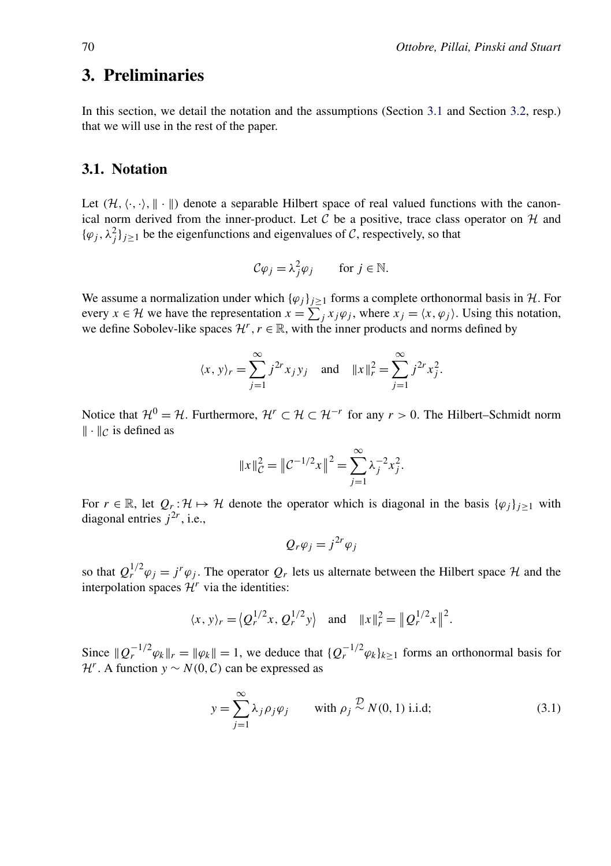# <span id="page-10-0"></span>**3. Preliminaries**

In this section, we detail the notation and the assumptions (Section 3.1 and Section [3.2,](#page-12-0) resp.) that we will use in the rest of the paper.

#### **3.1. Notation**

Let  $(H, \langle \cdot, \cdot \rangle, \|\cdot\|)$  denote a separable Hilbert space of real valued functions with the canonical norm derived from the inner-product. Let  $C$  be a positive, trace class operator on  $H$  and  $\{\varphi_j, \lambda_j^2\}_{j \geq 1}$  be the eigenfunctions and eigenvalues of C, respectively, so that

$$
\mathcal{C}\varphi_j = \lambda_j^2 \varphi_j \qquad \text{for } j \in \mathbb{N}.
$$

We assume a normalization under which  ${\{\varphi_j\}}_{j\geq1}$  forms a complete orthonormal basis in H. For every  $x \in \mathcal{H}$  we have the representation  $x = \sum_j x_j \varphi_j$ , where  $x_j = \langle x, \varphi_j \rangle$ . Using this notation, we define Sobolev-like spaces  $\mathcal{H}^r$ ,  $r \in \mathbb{R}$ , with the inner products and norms defined by

$$
\langle x, y \rangle_r = \sum_{j=1}^{\infty} j^{2r} x_j y_j
$$
 and  $||x||_r^2 = \sum_{j=1}^{\infty} j^{2r} x_j^2$ .

Notice that  $\mathcal{H}^0 = \mathcal{H}$ . Furthermore,  $\mathcal{H}^r \subset \mathcal{H} \subset \mathcal{H}^{-r}$  for any  $r > 0$ . The Hilbert–Schmidt norm  $\|\cdot\|_{\mathcal{C}}$  is defined as

$$
||x||_C^2 = ||C^{-1/2}x||^2 = \sum_{j=1}^{\infty} \lambda_j^{-2} x_j^2.
$$

For  $r \in \mathbb{R}$ , let  $Q_r : \mathcal{H} \mapsto \mathcal{H}$  denote the operator which is diagonal in the basis  $\{\varphi_j\}_{j\geq 1}$  with diagonal entries  $j^{2r}$ , i.e.,

$$
Q_r \varphi_j = j^{2r} \varphi_j
$$

so that  $Q_t^{1/2} \varphi_i = j^r \varphi_i$ . The operator  $Q_r$  lets us alternate between the Hilbert space  $\mathcal H$  and the interpolation spaces  $\mathcal{H}^r$  via the identities:

$$
\langle x, y \rangle_r = \langle Q_r^{1/2} x, Q_r^{1/2} y \rangle
$$
 and  $||x||_r^2 = ||Q_r^{1/2} x||^2$ .

Since  $\|Q_r^{-1/2} \varphi_k\|_r = \|\varphi_k\| = 1$ , we deduce that  $\{Q_r^{-1/2} \varphi_k\}_{k \ge 1}$  forms an orthonormal basis for *H<sup>r</sup>*. A function *y* ∼ *N*(0*, C*) can be expressed as

$$
y = \sum_{j=1}^{\infty} \lambda_j \rho_j \varphi_j \quad \text{with } \rho_j \stackrel{\mathcal{D}}{\sim} N(0, 1) \text{ i.i.d};
$$
 (3.1)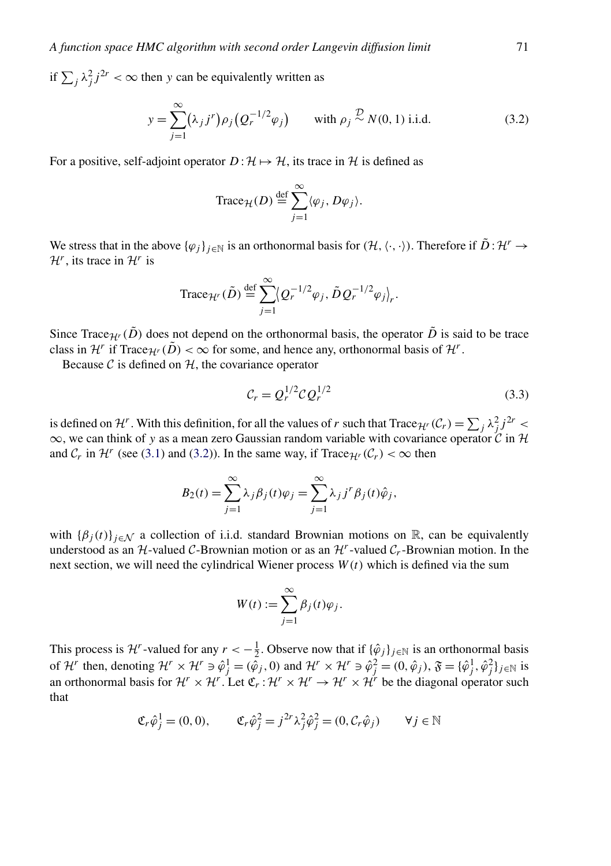<span id="page-11-0"></span>if  $\sum_{j} \lambda_j^2 j^{2r} < \infty$  then *y* can be equivalently written as

$$
y = \sum_{j=1}^{\infty} (\lambda_j j^r) \rho_j (Q_r^{-1/2} \varphi_j) \quad \text{with } \rho_j \stackrel{\mathcal{D}}{\sim} N(0, 1) \text{ i.i.d.}
$$
 (3.2)

For a positive, self-adjoint operator  $D: \mathcal{H} \mapsto \mathcal{H}$ , its trace in  $\mathcal{H}$  is defined as

Trace<sub>H</sub>(D) 
$$
\stackrel{\text{def}}{=} \sum_{j=1}^{\infty} \langle \varphi_j, D\varphi_j \rangle
$$
.

We stress that in the above  $\{\varphi_j\}_{j\in\mathbb{N}}$  is an orthonormal basis for  $(\mathcal{H}, \langle \cdot, \cdot \rangle)$ . Therefore if  $\tilde{D}: \mathcal{H}^r \to$  $\mathcal{H}^r$ , its trace in  $\mathcal{H}^r$  is

Trace
$$
_{\mathcal{H}'}(\tilde{D}) \stackrel{\text{def}}{=} \sum_{j=1}^{\infty} \langle Q_r^{-1/2} \varphi_j, \tilde{D} Q_r^{-1/2} \varphi_j \rangle_r.
$$

Since Trace<sub>H</sub><sup>r</sup> ( $\tilde{D}$ ) does not depend on the orthonormal basis, the operator  $\tilde{D}$  is said to be trace class in  $\mathcal{H}^r$  if Trace $\mathcal{H}^r(\tilde{D}) < \infty$  for some, and hence any, orthonormal basis of  $\mathcal{H}^r$ .

Because  $\mathcal C$  is defined on  $\mathcal H$ , the covariance operator

$$
\mathcal{C}_r = Q_r^{1/2} \mathcal{C} Q_r^{1/2} \tag{3.3}
$$

is defined on  $\mathcal{H}^r$ . With this definition, for all the values of *r* such that  $\text{Trace}_{\mathcal{H}^r}(\mathcal{C}_r) = \sum_j \lambda_j^2 j^{2r} <$ ∞, we can think of *y* as a mean zero Gaussian random variable with covariance operator C in H and  $C_r$  in  $\mathcal{H}^r$  (see [\(3.1\)](#page-10-0) and (3.2)). In the same way, if Trace $\mathcal{H}^r(\mathcal{C}_r) < \infty$  then

$$
B_2(t) = \sum_{j=1}^{\infty} \lambda_j \beta_j(t) \varphi_j = \sum_{j=1}^{\infty} \lambda_j j^r \beta_j(t) \hat{\varphi}_j,
$$

with  ${\{\beta_j(t)\}}_{j \in \mathcal{N}}$  a collection of i.i.d. standard Brownian motions on R, can be equivalently understood as an  $H$ -valued C-Brownian motion or as an  $H<sup>r</sup>$ -valued  $C<sub>r</sub>$ -Brownian motion. In the next section, we will need the cylindrical Wiener process  $W(t)$  which is defined via the sum

$$
W(t) := \sum_{j=1}^{\infty} \beta_j(t)\varphi_j.
$$

This process is  $\mathcal{H}^r$ -valued for any  $r < -\frac{1}{2}$ . Observe now that if  $\{\hat{\varphi}_j\}_{j\in\mathbb{N}}$  is an orthonormal basis of  $\mathcal{H}^r$  then, denoting  $\mathcal{H}^r \times \mathcal{H}^r \ni \hat{\varphi}_j^1 = (\hat{\varphi}_j, 0)$  and  $\mathcal{H}^r \times \mathcal{H}^r \ni \hat{\varphi}_j^2 = (0, \hat{\varphi}_j), \mathfrak{F} = {\{\hat{\varphi}_j^1, \hat{\varphi}_j^2\}}_{j \in \mathbb{N}}$  is an orthonormal basis for  $\mathcal{H}^r \times \mathcal{H}^r$ . Let  $\mathfrak{C}_r : \mathcal{H}^r \times \mathcal{H}^r \to \mathcal{H}^r \times \mathcal{H}^r$  be the diagonal operator such that

$$
\mathfrak{C}_r \hat{\varphi}_j^1 = (0, 0), \qquad \mathfrak{C}_r \hat{\varphi}_j^2 = j^{2r} \lambda_j^2 \hat{\varphi}_j^2 = (0, \mathcal{C}_r \hat{\varphi}_j) \qquad \forall j \in \mathbb{N}
$$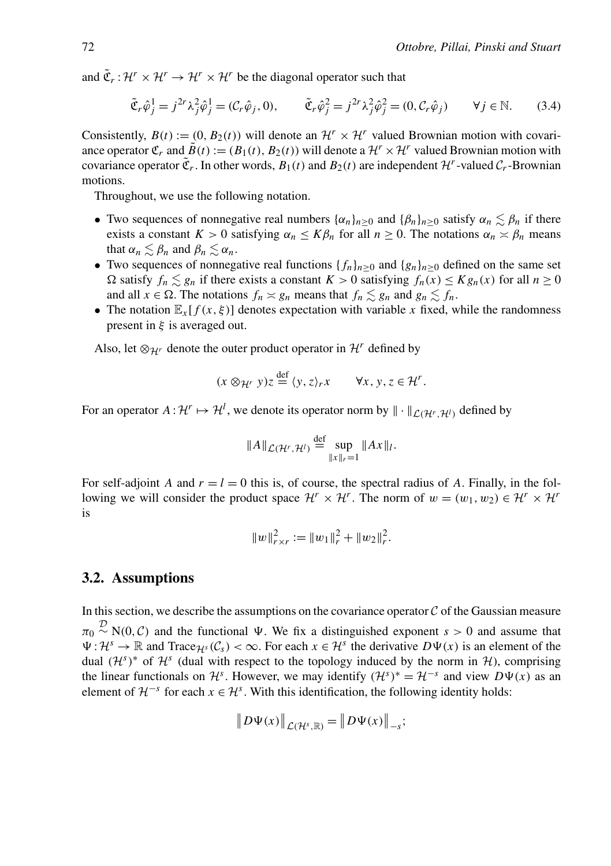<span id="page-12-0"></span>and  $\tilde{\mathfrak{C}}_r : \mathcal{H}^r \times \mathcal{H}^r \to \mathcal{H}^r \times \mathcal{H}^r$  be the diagonal operator such that

$$
\tilde{\mathfrak{C}}_r \hat{\varphi}_j^1 = j^{2r} \lambda_j^2 \hat{\varphi}_j^1 = (\mathcal{C}_r \hat{\varphi}_j, 0), \qquad \tilde{\mathfrak{C}}_r \hat{\varphi}_j^2 = j^{2r} \lambda_j^2 \hat{\varphi}_j^2 = (0, \mathcal{C}_r \hat{\varphi}_j) \qquad \forall j \in \mathbb{N}.
$$
 (3.4)

Consistently,  $B(t) := (0, B_2(t))$  will denote an  $\mathcal{H}^r \times \mathcal{H}^r$  valued Brownian motion with covariance operator  $\mathfrak{C}_r$  and  $\tilde{B}(t) := (B_1(t), B_2(t))$  will denote a  $\mathcal{H}^r \times \mathcal{H}^r$  valued Brownian motion with covariance operator  $\tilde{\mathfrak{C}}_r$ . In other words,  $B_1(t)$  and  $B_2(t)$  are independent  $\mathcal{H}^r$ -valued  $\mathcal{C}_r$ -Brownian motions.

Throughout, we use the following notation.

- Two sequences of nonnegative real numbers  $\{\alpha_n\}_{n\geq 0}$  and  $\{\beta_n\}_{n\geq 0}$  satisfy  $\alpha_n \lesssim \beta_n$  if there exists a constant  $K > 0$  satisfying  $\alpha_n \leq K\beta_n$  for all  $n \geq 0$ . The notations  $\alpha_n \approx \beta_n$  means that  $\alpha_n \lesssim \beta_n$  and  $\beta_n \lesssim \alpha_n$ .
- Two sequences of nonnegative real functions  ${f_n}_{n>0}$  and  ${g_n}_{n>0}$  defined on the same set  $\Omega$  satisfy  $f_n \leq g_n$  if there exists a constant  $K > 0$  satisfying  $f_n(x) \leq K g_n(x)$  for all  $n \geq 0$ and all  $x \in \Omega$ . The notations  $f_n \approx g_n$  means that  $f_n \lesssim g_n$  and  $g_n \lesssim f_n$ .
- The notation  $\mathbb{E}_x[f(x,\xi)]$  denotes expectation with variable x fixed, while the randomness present in *ξ* is averaged out.

Also, let  $\otimes_{\mathcal{H}^r}$  denote the outer product operator in  $\mathcal{H}^r$  defined by

$$
(x \otimes_{\mathcal{H}'} y)z \stackrel{\text{def}}{=} \langle y, z \rangle_r x \qquad \forall x, y, z \in \mathcal{H}^r.
$$

For an operator  $A: \mathcal{H}^r \mapsto \mathcal{H}^l$ , we denote its operator norm by  $\|\cdot\|_{\mathcal{L}(\mathcal{H}^r,\mathcal{H}^l)}$  defined by

$$
||A||_{\mathcal{L}(\mathcal{H}^r,\mathcal{H}^l)} \stackrel{\text{def}}{=} \sup_{||x||_r=1} ||Ax||_l.
$$

For self-adjoint *A* and  $r = l = 0$  this is, of course, the spectral radius of *A*. Finally, in the following we will consider the product space  $\mathcal{H}^r \times \mathcal{H}^r$ . The norm of  $w = (w_1, w_2) \in \mathcal{H}^r \times \mathcal{H}^r$ is

$$
||w||_{r \times r}^{2} := ||w_1||_{r}^{2} + ||w_2||_{r}^{2}.
$$

#### **3.2. Assumptions**

In this section, we describe the assumptions on the covariance operator  $\mathcal C$  of the Gaussian measure  $\pi_0 \sim N(0, C)$  and the functional  $\Psi$ . We fix a distinguished exponent *s* > 0 and assume that  $\Psi: \mathcal{H}^s \to \mathbb{R}$  and Trace  $\mathcal{H}^s(\mathcal{C}_s) < \infty$ . For each  $x \in \mathcal{H}^s$  the derivative  $D\Psi(x)$  is an element of the dual  $(H<sup>s</sup>)$ <sup>\*</sup> of  $H<sup>s</sup>$  (dual with respect to the topology induced by the norm in H), comprising the linear functionals on  $\mathcal{H}^s$ . However, we may identify  $(\mathcal{H}^s)^* = \mathcal{H}^{-s}$  and view  $D\Psi(x)$  as an element of  $\mathcal{H}^{-s}$  for each  $x \in \mathcal{H}^s$ . With this identification, the following identity holds:

$$
\big\|D\Psi(x)\big\|_{\mathcal{L}(\mathcal{H}^s,\mathbb{R})}=\big\|D\Psi(x)\big\|_{-s};
$$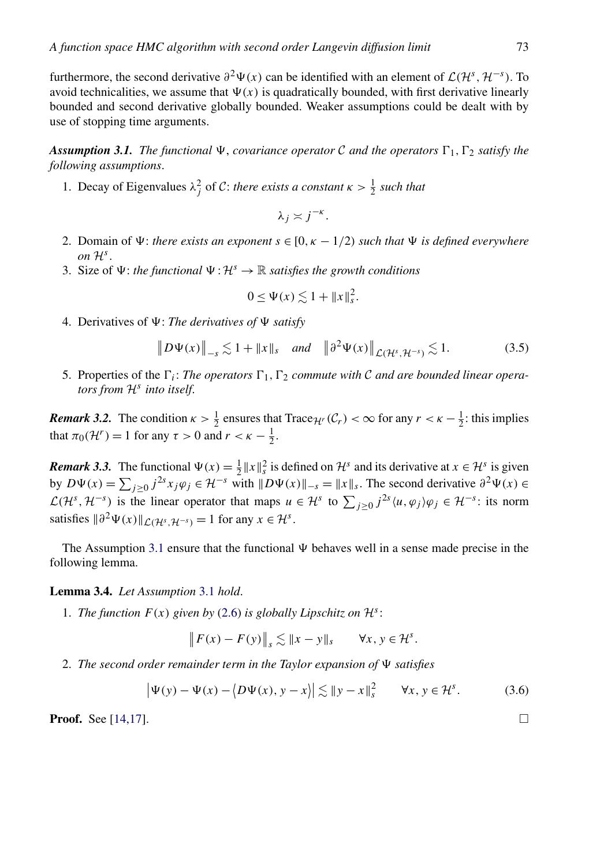<span id="page-13-0"></span>furthermore, the second derivative  $\partial^2 \Psi(x)$  can be identified with an element of  $\mathcal{L}(\mathcal{H}^s, \mathcal{H}^{-s})$ . To avoid technicalities, we assume that  $\Psi(x)$  is quadratically bounded, with first derivative linearly bounded and second derivative globally bounded. Weaker assumptions could be dealt with by use of stopping time arguments.

**Assumption 3.1.** The functional  $\Psi$ , *covariance operator* C *and the operators*  $\Gamma_1$ ,  $\Gamma_2$  *satisfy the following assumptions*.

1. Decay of Eigenvalues  $\lambda_j^2$  of C: *there exists a constant*  $\kappa > \frac{1}{2}$  such that

$$
\lambda_j \asymp j^{-\kappa}.
$$

- 2. Domain of  $\Psi$ : *there exists an exponent*  $s \in [0, \kappa 1/2)$  *such that*  $\Psi$  *is defined everywhere on*  $H^s$ .
- 3. Size of  $\Psi$ : *the functional*  $\Psi$  :  $\mathcal{H}^s \to \mathbb{R}$  *satisfies the growth conditions*

$$
0 \le \Psi(x) \lesssim 1 + \|x\|_s^2.
$$

4. Derivatives of  $\Psi$ : *The derivatives of*  $\Psi$  satisfy

$$
\|D\Psi(x)\|_{-s} \lesssim 1 + \|x\|_{s} \quad \text{and} \quad \|\partial^{2}\Psi(x)\|_{\mathcal{L}(\mathcal{H}^{s}, \mathcal{H}^{-s})} \lesssim 1. \tag{3.5}
$$

5. Properties of the  $\Gamma_i$ : *The operators*  $\Gamma_1$ ,  $\Gamma_2$  *commute with* C *and are bounded linear operators from* <sup>H</sup>*<sup>s</sup> into itself*.

*Remark 3.2.* The condition  $\kappa > \frac{1}{2}$  ensures that Trace $\mathcal{H}$ <sup>*r*</sup> ( $\mathcal{C}_r$ ) <  $\infty$  for any  $r < \kappa - \frac{1}{2}$ : this implies that  $\pi_0(\mathcal{H}^r) = 1$  for any  $\tau > 0$  and  $r < \kappa - \frac{1}{2}$ .

*Remark 3.3.* The functional  $\Psi(x) = \frac{1}{2} ||x||_s^2$  is defined on  $\mathcal{H}^s$  and its derivative at  $x \in \mathcal{H}^s$  is given by  $D\Psi(x) = \sum_{j\geq 0} j^{2s} x_j \varphi_j \in \mathcal{H}^{-s}$  with  $\|D\Psi(x)\|_{-s} = \|x\|_s$ . The second derivative  $\partial^2 \Psi(x) \in$  $\mathcal{L}(\mathcal{H}^s, \mathcal{H}^{-s})$  is the linear operator that maps  $u \in \mathcal{H}^s$  to  $\sum_{j\geq 0} j^{2s} \langle u, \varphi_j \rangle \varphi_j \in \mathcal{H}^{-s}$ : its norm satisfies  $\|\partial^2 \Psi(x)\|_{\mathcal{L}(\mathcal{H}^s, \mathcal{H}^{-s})} = 1$  for any  $x \in \mathcal{H}^s$ .

The Assumption 3.1 ensure that the functional  $\Psi$  behaves well in a sense made precise in the following lemma.

**Lemma 3.4.** *Let Assumption* 3.1 *hold*.

1. *The function*  $F(x)$  *given by* [\(2.6\)](#page-6-0) *is globally Lipschitz on*  $\mathcal{H}^s$ :

$$
\left\|F(x) - F(y)\right\|_s \lesssim \|x - y\|_s \quad \forall x, y \in \mathcal{H}^s.
$$

2. *The second order remainder term in the Taylor expansion of satisfies*

$$
\left|\Psi(y) - \Psi(x) - \langle D\Psi(x), y - x \rangle\right| \lesssim \|y - x\|_{s}^{2} \qquad \forall x, y \in \mathcal{H}^{s}.
$$
 (3.6)

**Proof.** See [\[14,17\]](#page-46-0).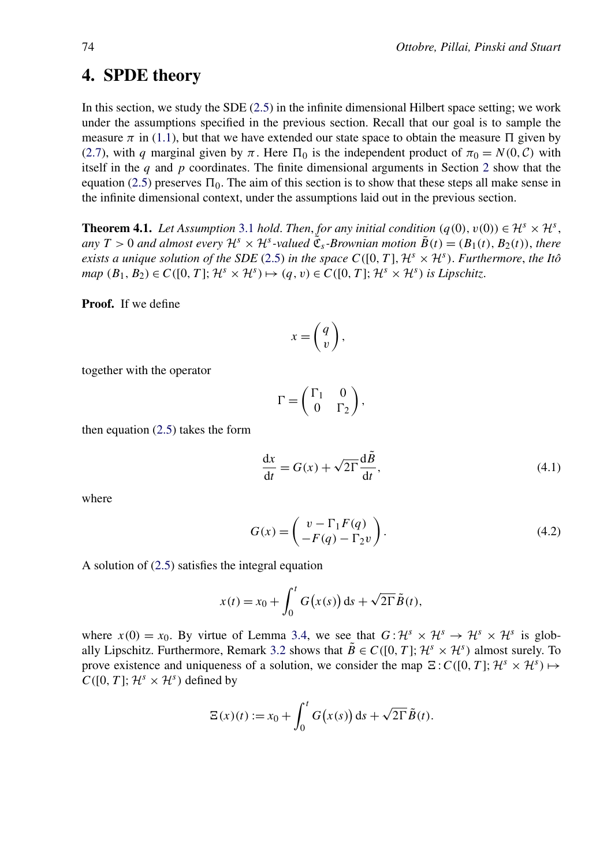# <span id="page-14-0"></span>**4. SPDE theory**

In this section, we study the SDE [\(2.5\)](#page-6-0) in the infinite dimensional Hilbert space setting; we work under the assumptions specified in the previous section. Recall that our goal is to sample the measure  $\pi$  in [\(1.1\)](#page-2-0), but that we have extended our state space to obtain the measure  $\Pi$  given by [\(2.7\)](#page-6-0), with *q* marginal given by  $\pi$ . Here  $\Pi_0$  is the independent product of  $\pi_0 = N(0, C)$  with itself in the *q* and *p* coordinates. The finite dimensional arguments in Section [2](#page-3-0) show that the equation [\(2.5\)](#page-6-0) preserves  $\Pi_0$ . The aim of this section is to show that these steps all make sense in the infinite dimensional context, under the assumptions laid out in the previous section.

**Theorem 4.1.** *Let Assumption* [3.1](#page-13-0) *hold. Then, for any initial condition*  $(q(0), v(0)) \in H^s \times H^s$ , *any*  $T > 0$  *and almost every*  $\mathcal{H}^s \times \mathcal{H}^s$ *-valued*  $\tilde{\mathfrak{C}}_s$ *-Brownian motion*  $\tilde{B}(t) = (B_1(t), B_2(t))$ *, there exists a unique solution of the SDE* [\(2.5\)](#page-6-0) *in the space*  $C([0, T], \mathcal{H}^s \times \mathcal{H}^s)$ . *Furthermore, the Itô*  $map (B_1, B_2) \in C([0, T]; \mathcal{H}^s \times \mathcal{H}^s) \mapsto (q, v) \in C([0, T]; \mathcal{H}^s \times \mathcal{H}^s)$  *is Lipschitz.* 

**Proof.** If we define

$$
x = \left(\begin{matrix} q \\ v \end{matrix}\right),
$$

together with the operator

$$
\Gamma = \begin{pmatrix} \Gamma_1 & 0 \\ 0 & \Gamma_2 \end{pmatrix},
$$

then equation [\(2.5\)](#page-6-0) takes the form

$$
\frac{dx}{dt} = G(x) + \sqrt{2\Gamma} \frac{d\tilde{B}}{dt},
$$
\n(4.1)

where

$$
G(x) = \begin{pmatrix} v - \Gamma_1 F(q) \\ -F(q) - \Gamma_2 v \end{pmatrix}.
$$
 (4.2)

A solution of [\(2.5\)](#page-6-0) satisfies the integral equation

$$
x(t) = x_0 + \int_0^t G(x(s)) ds + \sqrt{2\Gamma} \tilde{B}(t),
$$

where  $x(0) = x_0$ . By virtue of Lemma [3.4,](#page-13-0) we see that  $G: \mathcal{H}^s \times \mathcal{H}^s \to \mathcal{H}^s \times \mathcal{H}^s$  is glob-ally Lipschitz. Furthermore, Remark [3.2](#page-13-0) shows that  $\tilde{B} \in C([0, T]; \mathcal{H}^s \times \mathcal{H}^s)$  almost surely. To prove existence and uniqueness of a solution, we consider the map  $\Xi$ :  $C([0, T]; H^s \times H^s) \mapsto$  $C([0, T]; \mathcal{H}^s \times \mathcal{H}^s)$  defined by

$$
\Xi(x)(t) := x_0 + \int_0^t G(x(s)) \, ds + \sqrt{2\Gamma} \tilde{B}(t).
$$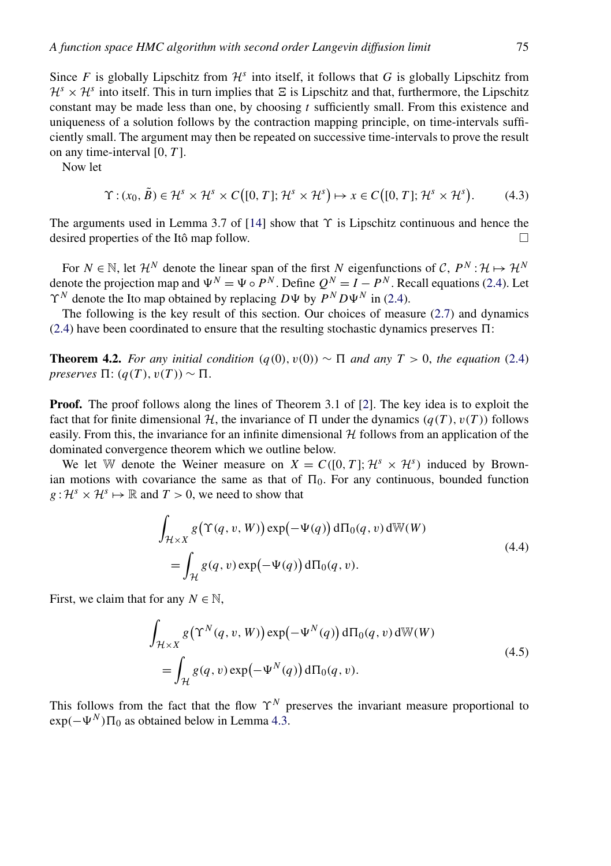<span id="page-15-0"></span>Since *F* is globally Lipschitz from  $\mathcal{H}^s$  into itself, it follows that *G* is globally Lipschitz from  $\mathcal{H}^s \times \mathcal{H}^s$  into itself. This in turn implies that  $\Xi$  is Lipschitz and that, furthermore, the Lipschitz constant may be made less than one, by choosing *t* sufficiently small. From this existence and uniqueness of a solution follows by the contraction mapping principle, on time-intervals sufficiently small. The argument may then be repeated on successive time-intervals to prove the result on any time-interval [0*,T* ].

Now let

$$
\Upsilon : (x_0, \tilde{B}) \in \mathcal{H}^s \times \mathcal{H}^s \times C([0, T]; \mathcal{H}^s \times \mathcal{H}^s) \mapsto x \in C([0, T]; \mathcal{H}^s \times \mathcal{H}^s).
$$
 (4.3)

The arguments used in Lemma 3.7 of [\[14\]](#page-46-0) show that *ϒ* is Lipschitz continuous and hence the desired properties of the Itô map follow.  $\Box$ 

For  $N \in \mathbb{N}$ , let  $\mathcal{H}^N$  denote the linear span of the first *N* eigenfunctions of C,  $P^N: \mathcal{H} \mapsto \mathcal{H}^N$ denote the projection map and  $\Psi^N = \Psi \circ P^N$ . Define  $Q^N = I - P^N$ . Recall equations [\(2.4\)](#page-6-0). Let  $\Upsilon^N$  denote the Ito map obtained by replacing  $D\Psi$  by  $\widetilde{P}^N D\Psi^N$  in [\(2.4\)](#page-6-0).

The following is the key result of this section. Our choices of measure [\(2.7\)](#page-6-0) and dynamics  $(2.4)$  have been coordinated to ensure that the resulting stochastic dynamics preserves  $\Pi$ :

**Theorem 4.2.** *For any initial condition*  $(q(0), v(0)) \sim \Pi$  *and any*  $T > 0$ *, the equation* [\(2.4\)](#page-6-0) *preserves*  $\Pi$ :  $(q(T), v(T)) \sim \Pi$ .

**Proof.** The proof follows along the lines of Theorem 3.1 of [\[2\]](#page-45-0). The key idea is to exploit the fact that for finite dimensional H, the invariance of  $\Pi$  under the dynamics  $(q(T), v(T))$  follows easily. From this, the invariance for an infinite dimensional  $H$  follows from an application of the dominated convergence theorem which we outline below.

We let W denote the Weiner measure on  $X = C([0, T]; \mathcal{H}^s \times \mathcal{H}^s)$  induced by Brownian motions with covariance the same as that of  $\Pi_0$ . For any continuous, bounded function  $g: \mathcal{H}^s \times \mathcal{H}^s \mapsto \mathbb{R}$  and  $T > 0$ , we need to show that

$$
\int_{\mathcal{H}\times X} g(\Upsilon(q, v, W)) \exp(-\Psi(q)) d\Pi_0(q, v) dW(W)
$$
\n
$$
= \int_{\mathcal{H}} g(q, v) \exp(-\Psi(q)) d\Pi_0(q, v).
$$
\n(4.4)

First, we claim that for any  $N \in \mathbb{N}$ ,

$$
\int_{\mathcal{H}\times X} g(\Upsilon^N(q, v, W)) \exp(-\Psi^N(q)) d\Pi_0(q, v) dW(W)
$$
\n
$$
= \int_{\mathcal{H}} g(q, v) \exp(-\Psi^N(q)) d\Pi_0(q, v).
$$
\n(4.5)

This follows from the fact that the flow  $\Upsilon^N$  preserves the invariant measure proportional to  $\exp(-\Psi^N)\Pi_0$  as obtained below in Lemma [4.3.](#page-16-0)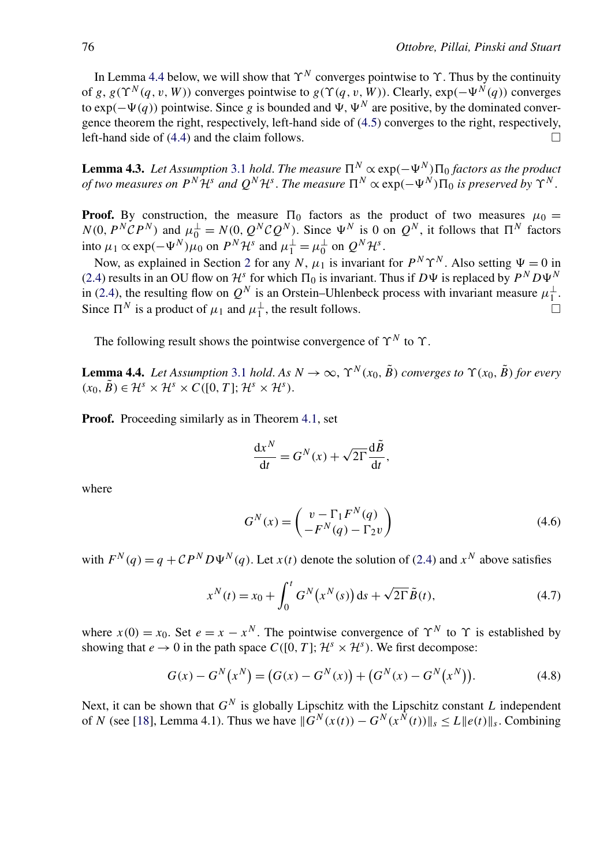<span id="page-16-0"></span>In Lemma 4.4 below, we will show that  $\Upsilon^N$  converges pointwise to  $\Upsilon$ . Thus by the continuity of *g*,  $g(\Upsilon^N(q, v, W))$  converges pointwise to  $g(\Upsilon(q, v, W))$ . Clearly,  $exp(-\Psi^N(q))$  converges to  $\exp(-\Psi(q))$  pointwise. Since *g* is bounded and  $\Psi$ ,  $\Psi^N$  are positive, by the dominated convergence theorem the right, respectively, left-hand side of [\(4.5\)](#page-15-0) converges to the right, respectively, left-hand side of  $(4.4)$  and the claim follows.

**Lemma 4.3.** *Let Assumption* [3.1](#page-13-0) *hold. The measure*  $\Pi^N \propto \exp(-\Psi^N) \Pi_0$  *factors as the product of two measures on*  $P^N\mathcal{H}^s$  *and*  $Q^N\mathcal{H}^s$ . The measure  $\Pi^N \propto \exp(-\Psi^N)\Pi_0$  is preserved by  $\Upsilon^N$ .

**Proof.** By construction, the measure  $\Pi_0$  factors as the product of two measures  $\mu_0 =$  $N(0, P^N \mathcal{C} P^N)$  and  $\mu_0^{\perp} = N(0, Q^N \mathcal{C} Q^N)$ . Since  $\Psi^N$  is 0 on  $Q^N$ , it follows that  $\Pi^N$  factors into  $\mu_1 \propto \exp(-\Psi^N)\mu_0$  on  $P^N\mathcal{H}^s$  and  $\mu_1^{\perp} = \mu_0^{\perp}$  on  $Q^N\mathcal{H}^s$ .

Now, as explained in Section [2](#page-3-0) for any *N*,  $\mu_1$  is invariant for  $P^N \Upsilon^N$ . Also setting  $\Psi = 0$  in [\(2.4\)](#page-6-0) results in an OU flow on  $\mathcal{H}^s$  for which  $\Pi_0$  is invariant. Thus if  $D\Psi$  is replaced by  $P^N D\Psi^N$ in [\(2.4\)](#page-6-0), the resulting flow on  $Q^N$  is an Orstein–Uhlenbeck process with invariant measure  $\mu_1^{\perp}$ . Since  $\Pi^N$  is a product of  $\mu_1$  and  $\mu_1^{\perp}$ , the result follows.

The following result shows the pointwise convergence of  $\Upsilon^N$  to  $\Upsilon$ .

**Lemma 4.4.** *Let Assumption* [3.1](#page-13-0) *hold. As*  $N \to \infty$ ,  $\Upsilon^N(x_0, \tilde{B})$  *converges to*  $\Upsilon(x_0, \tilde{B})$  *for every*  $(x_0, \tilde{B}) \in \mathcal{H}^s \times \mathcal{H}^s \times C([0, T]; \mathcal{H}^s \times \mathcal{H}^s).$ 

**Proof.** Proceeding similarly as in Theorem [4.1,](#page-14-0) set

$$
\frac{\mathrm{d}x^N}{\mathrm{d}t} = G^N(x) + \sqrt{2\Gamma} \frac{\mathrm{d}\tilde{B}}{\mathrm{d}t},
$$

where

$$
G^{N}(x) = \begin{pmatrix} v - \Gamma_1 F^{N}(q) \\ -F^{N}(q) - \Gamma_2 v \end{pmatrix}
$$
 (4.6)

with  $F^{N}(q) = q + CP^{N}D\Psi^{N}(q)$ . Let  $x(t)$  denote the solution of [\(2.4\)](#page-6-0) and  $x^{N}$  above satisfies

$$
x^{N}(t) = x_{0} + \int_{0}^{t} G^{N}(x^{N}(s)) ds + \sqrt{2\Gamma} \tilde{B}(t),
$$
 (4.7)

where  $x(0) = x_0$ . Set  $e = x - x^N$ . The pointwise convergence of  $\Upsilon^N$  to  $\Upsilon$  is established by showing that  $e \rightarrow 0$  in the path space  $C([0, T]; \mathcal{H}^s \times \mathcal{H}^s)$ . We first decompose:

$$
G(x) - GN(xN) = (G(x) - GN(x)) + (GN(x) - GN(xN)).
$$
\n(4.8)

Next, it can be shown that *GN* is globally Lipschitz with the Lipschitz constant *L* independent of *N* (see [\[18\]](#page-46-0), Lemma 4.1). Thus we have  $||G^N(x(t)) - G^N(x^{\hat{N}}(t))||_s \leq L ||e(t)||_s$ . Combining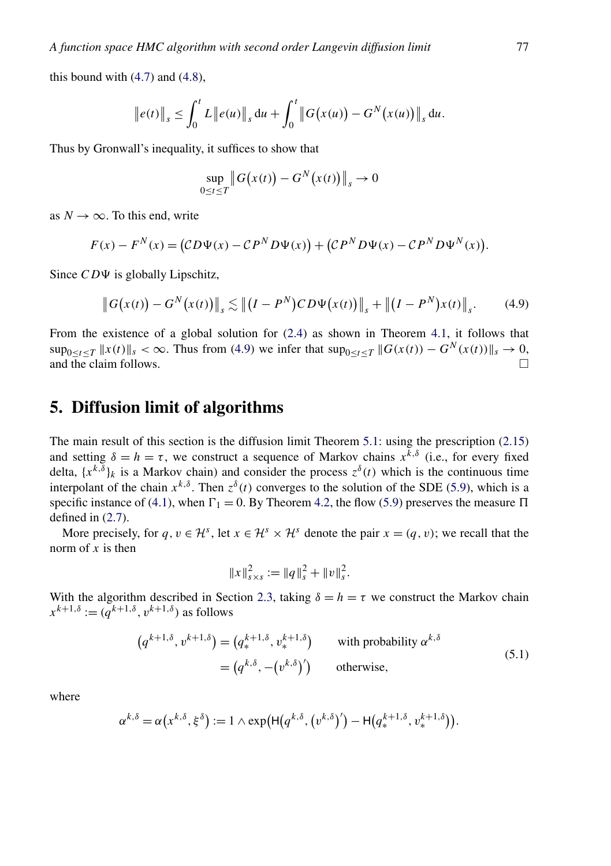<span id="page-17-0"></span>this bound with  $(4.7)$  and  $(4.8)$ ,

$$
||e(t)||_s \leq \int_0^t L||e(u)||_s du + \int_0^t ||G(x(u)) - G^N(x(u))||_s du.
$$

Thus by Gronwall's inequality, it suffices to show that

$$
\sup_{0 \le t \le T} \left\| G(x(t)) - G^N(x(t)) \right\|_s \to 0
$$

as  $N \to \infty$ . To this end, write

$$
F(x) - FN(x) = (CD\Psi(x) - CPND\Psi(x)) + (CPND\Psi(x) - CPND\PsiN(x)).
$$

Since  $CD\Psi$  is globally Lipschitz,

$$
\|G(x(t)) - G^N(x(t))\|_{s} \lesssim \left\| (I - P^N)CD\Psi(x(t)) \right\|_{s} + \left\| (I - P^N)x(t) \right\|_{s}.
$$
 (4.9)

From the existence of a global solution for [\(2.4\)](#page-6-0) as shown in Theorem [4.1,](#page-14-0) it follows that  $\sup_{0 \le t \le T} ||x(t)||_s < \infty$ . Thus from (4.9) we infer that  $\sup_{0 \le t \le T} ||G(x(t)) - G^N(x(t))||_s \to 0$ , and the claim follows and the claim follows.

## **5. Diffusion limit of algorithms**

The main result of this section is the diffusion limit Theorem [5.1:](#page-19-0) using the prescription [\(2.15\)](#page-8-0) and setting  $\delta = h = \tau$ , we construct a sequence of Markov chains  $x^{\overline{k},\delta}$  (i.e., for every fixed delta,  $\{x^{k,\delta}\}\$ k is a Markov chain) and consider the process  $z^{\delta}(t)$  which is the continuous time interpolant of the chain  $x^{k,\delta}$ . Then  $z^{\delta}(t)$  converges to the solution of the SDE [\(5.9\)](#page-19-0), which is a specific instance of [\(4.1\)](#page-14-0), when  $\Gamma_1 = 0$ . By Theorem [4.2,](#page-15-0) the flow [\(5.9\)](#page-19-0) preserves the measure  $\Pi$ defined in [\(2.7\)](#page-6-0).

More precisely, for  $q, v \in \mathcal{H}^s$ , let  $x \in \mathcal{H}^s \times \mathcal{H}^s$  denote the pair  $x = (q, v)$ ; we recall that the norm of *x* is then

$$
||x||_{s \times s}^{2} := ||q||_{s}^{2} + ||v||_{s}^{2}.
$$

With the algorithm described in Section [2.3,](#page-6-0) taking  $\delta = h = \tau$  we construct the Markov chain  $x^{k+1,\delta} := (q^{k+1,\delta}, v^{k+1,\delta})$  as follows

$$
(q^{k+1,\delta}, v^{k+1,\delta}) = (q^{k+1,\delta}, v^{k+1,\delta}) \qquad \text{with probability } \alpha^{k,\delta}
$$
  
=  $(q^{k,\delta}, -(v^{k,\delta})')$  otherwise, (5.1)

where

$$
\alpha^{k,\delta} = \alpha(x^{k,\delta},\xi^{\delta}) := 1 \wedge \exp\left(\mathsf{H}(q^{k,\delta}, (v^{k,\delta})') - \mathsf{H}(q^{k+1,\delta}_*, v^{k+1,\delta}_*)\right).
$$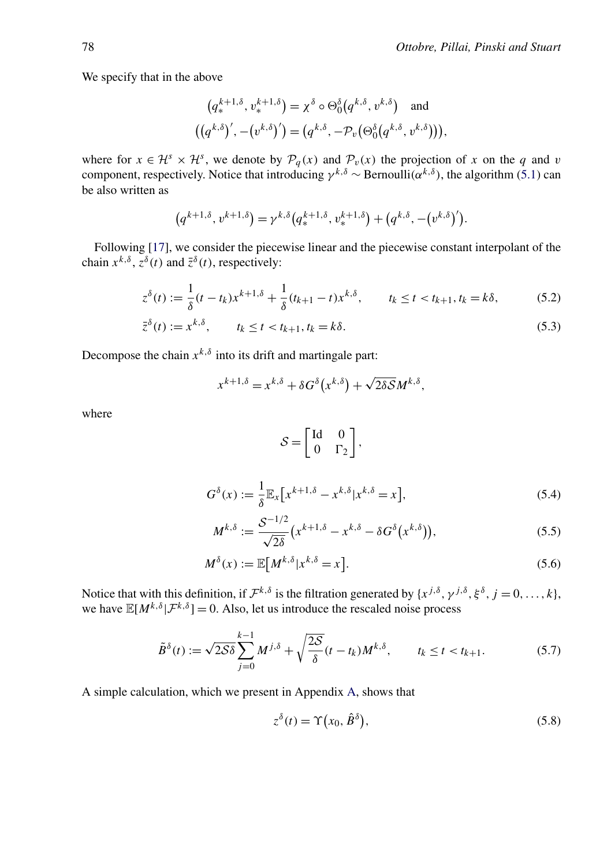<span id="page-18-0"></span>We specify that in the above

$$
(q^{k+1,\delta}, v^{k+1,\delta}) = \chi^{\delta} \circ \Theta_0^{\delta}(q^{k,\delta}, v^{k,\delta}) \text{ and}
$$

$$
((q^{k,\delta})', -(v^{k,\delta})') = (q^{k,\delta}, -\mathcal{P}_v(\Theta_0^{\delta}(q^{k,\delta}, v^{k,\delta}))),
$$

where for  $x \in \mathcal{H}^s \times \mathcal{H}^s$ , we denote by  $\mathcal{P}_q(x)$  and  $\mathcal{P}_v(x)$  the projection of *x* on the *q* and *v* component, respectively. Notice that introducing *γ k,δ* ∼ Bernoulli*(αk,δ )*, the algorithm [\(5.1\)](#page-17-0) can be also written as

$$
(q^{k+1,\delta}, v^{k+1,\delta}) = \gamma^{k,\delta} (q^{k+1,\delta}, v^{k+1,\delta}) + (q^{k,\delta}, -(v^{k,\delta})').
$$

Following [\[17\]](#page-46-0), we consider the piecewise linear and the piecewise constant interpolant of the chain  $x^{k,\delta}$ ,  $z^{\delta}(t)$  and  $\overline{z}^{\delta}(t)$ , respectively:

$$
z^{\delta}(t) := \frac{1}{\delta}(t - t_k)x^{k+1,\delta} + \frac{1}{\delta}(t_{k+1} - t)x^{k,\delta}, \qquad t_k \le t < t_{k+1}, t_k = k\delta,\tag{5.2}
$$

$$
\bar{z}^{\delta}(t) := x^{k,\delta}, \qquad t_k \le t < t_{k+1}, t_k = k\delta. \tag{5.3}
$$

Decompose the chain  $x^{k,\delta}$  into its drift and martingale part:

$$
x^{k+1,\delta} = x^{k,\delta} + \delta G^{\delta}(x^{k,\delta}) + \sqrt{2\delta S}M^{k,\delta},
$$

where

$$
S = \begin{bmatrix} \mathrm{Id} & 0 \\ 0 & \Gamma_2 \end{bmatrix},
$$

$$
G^{\delta}(x) := \frac{1}{\delta} \mathbb{E}_x \left[ x^{k+1,\delta} - x^{k,\delta} | x^{k,\delta} = x \right],\tag{5.4}
$$

$$
M^{k,\delta} := \frac{S^{-1/2}}{\sqrt{2\delta}} \left( x^{k+1,\delta} - x^{k,\delta} - \delta G^{\delta} \left( x^{k,\delta} \right) \right),\tag{5.5}
$$

$$
M^{\delta}(x) := \mathbb{E}\big[M^{k,\delta}|x^{k,\delta} = x\big].\tag{5.6}
$$

Notice that with this definition, if  $\mathcal{F}^{k,\delta}$  is the filtration generated by  $\{x^{j,\delta}, \gamma^{j,\delta}, \xi^{\delta}, j = 0, \ldots, k\}$ , we have  $\mathbb{E}[M^{k,\delta}|\mathcal{F}^{k,\delta}] = 0$ . Also, let us introduce the rescaled noise process

$$
\tilde{B}^{\delta}(t) := \sqrt{2\mathcal{S}\delta} \sum_{j=0}^{k-1} M^{j,\delta} + \sqrt{\frac{2\mathcal{S}}{\delta}} (t - t_k) M^{k,\delta}, \qquad t_k \le t < t_{k+1}.\tag{5.7}
$$

A simple calculation, which we present in Appendix [A,](#page-34-0) shows that

$$
z^{\delta}(t) = \Upsilon(x_0, \hat{B}^{\delta}), \qquad (5.8)
$$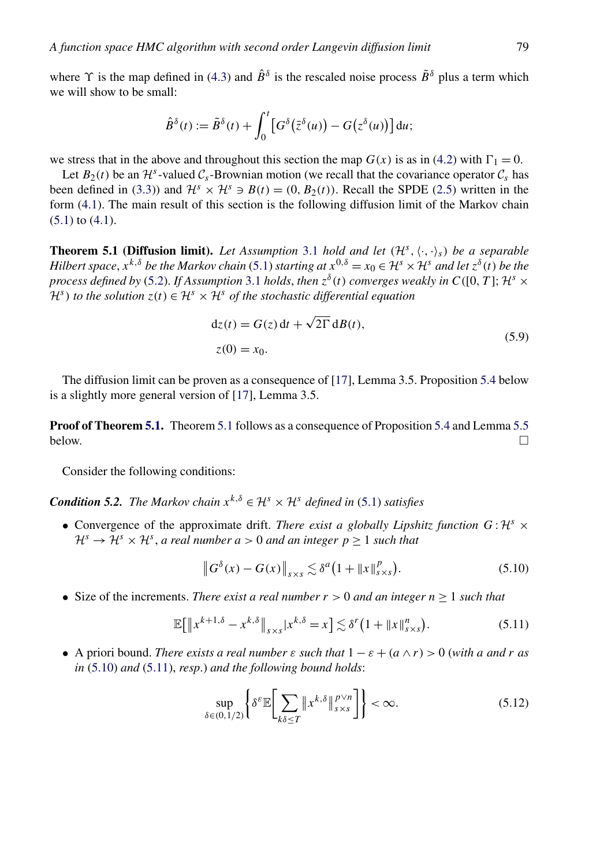<span id="page-19-0"></span>where  $\Upsilon$  is the map defined in [\(4.3\)](#page-15-0) and  $\hat{B}^{\delta}$  is the rescaled noise process  $\tilde{B}^{\delta}$  plus a term which we will show to be small:

$$
\hat{B}^{\delta}(t) := \tilde{B}^{\delta}(t) + \int_0^t \left[ G^{\delta}(\bar{z}^{\delta}(u)) - G(z^{\delta}(u)) \right] du;
$$

we stress that in the above and throughout this section the map  $G(x)$  is as in [\(4.2\)](#page-14-0) with  $\Gamma_1 = 0$ .

Let  $B_2(t)$  be an  $\mathcal{H}^s$ -valued  $\mathcal{C}_s$ -Brownian motion (we recall that the covariance operator  $\mathcal{C}_s$  has been defined in [\(3.3\)](#page-11-0)) and  $\mathcal{H}^s \times \mathcal{H}^s \ni B(t) = (0, B_2(t))$ . Recall the SPDE [\(2.5\)](#page-6-0) written in the form [\(4.1\)](#page-14-0). The main result of this section is the following diffusion limit of the Markov chain [\(5.1\)](#page-17-0) to [\(4.1\)](#page-14-0).

**Theorem 5.1 (Diffusion limit).** Let Assumption [3.1](#page-13-0) hold and let  $(\mathcal{H}^s, \langle \cdot, \cdot \rangle_s)$  be a separable *Hilbert space*,  $\dot{x}^{k,\delta}$  *be the Markov chain* [\(5.1\)](#page-17-0) *starting at*  $x^{0,\delta} = x_0 \in \mathcal{H}^s \times \mathcal{H}^s$  *and let*  $z^{\delta}(t)$  *be the process defined by* [\(5.2\)](#page-18-0). *If Assumption* [3.1](#page-13-0) *holds, then*  $z^{\delta}(t)$  *converges weakly in*  $C([0, T]; H^{s} \times$  $\mathcal{H}^s$ ) *to the solution z*(*t*) ∈  $\mathcal{H}^s$  ×  $\mathcal{H}^s$  *of the stochastic differential equation* 

$$
dz(t) = G(z) dt + \sqrt{2\Gamma} dB(t),
$$
  
\n
$$
z(0) = x_0.
$$
\n(5.9)

The diffusion limit can be proven as a consequence of [\[17\]](#page-46-0), Lemma 3.5. Proposition [5.4](#page-20-0) below is a slightly more general version of [\[17\]](#page-46-0), Lemma 3.5.

**Proof of Theorem 5.1.** Theorem 5.1 follows as a consequence of Proposition [5.4](#page-20-0) and Lemma [5.5](#page-20-0) below.  $\Box$ 

Consider the following conditions:

*Condition 5.2. The Markov chain*  $x^{k, \delta} \in \mathcal{H}^s \times \mathcal{H}^s$  *defined in* [\(5.1\)](#page-17-0) *satisfies* 

• Convergence of the approximate drift. *There exist a globally Lipshitz function*  $G: \mathcal{H}^s \times$  $\mathcal{H}^s \to \mathcal{H}^s \times \mathcal{H}^s$ , *a real number*  $a > 0$  *and an integer*  $p \ge 1$  *such that* 

$$
\left\|G^{\delta}(x) - G(x)\right\|_{s \times s} \lesssim \delta^{a}\left(1 + \left\|x\right\|_{s \times s}^{p}\right). \tag{5.10}
$$

• Size of the increments. *There exist a real number*  $r > 0$  *and an integer*  $n \ge 1$  *such that* 

$$
\mathbb{E}\big[\left\|x^{k+1,\delta}-x^{k,\delta}\right\|_{s\times s}|x^{k,\delta}=x\big]\lesssim \delta'\big(1+\left\|x\right\|_{s\times s}^n\big). \tag{5.11}
$$

• A priori bound. *There exists a real number*  $\varepsilon$  *such that*  $1 - \varepsilon + (a \wedge r) > 0$  (with a and r as *in* (5.10) *and* (5.11), *resp*.) *and the following bound holds*:

$$
\sup_{\delta \in (0,1/2)} \left\{ \delta^{\varepsilon} \mathbb{E} \bigg[ \sum_{k \delta \le T} \| x^{k,\delta} \|_{s \times s}^{p \vee n} \bigg] \right\} < \infty. \tag{5.12}
$$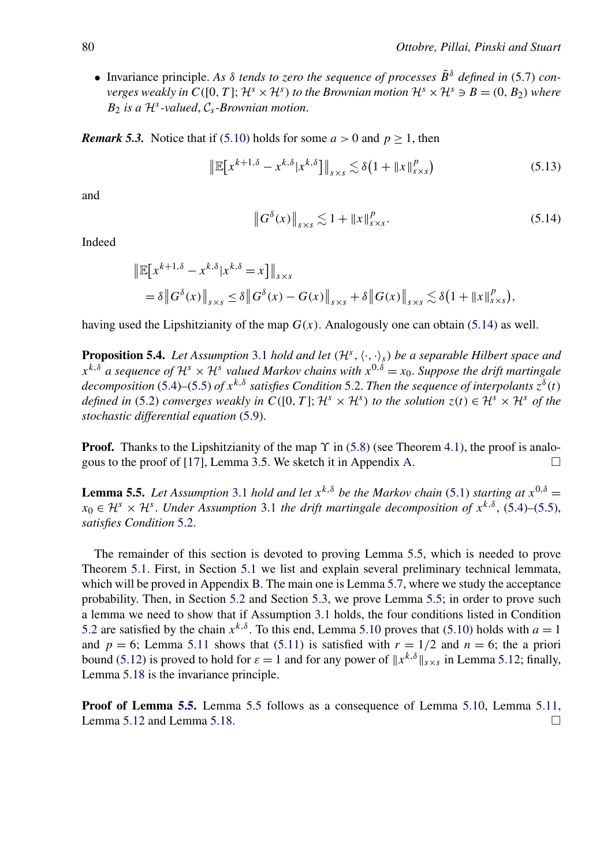<span id="page-20-0"></span>• Invariance principle. *As δ tends to zero the sequence of processes B*˜ *<sup>δ</sup> defined in* [\(5.7\)](#page-18-0) *converges weakly in*  $C([0, T]; \mathcal{H}^s \times \mathcal{H}^s)$  *to the Brownian motion*  $\mathcal{H}^s \times \mathcal{H}^s \ni B = (0, B_2)$  *where*  $B_2$  *is a*  $\mathcal{H}^s$ *-valued*,  $\mathcal{C}_s$ *-Brownian motion.* 

*Remark 5.3.* Notice that if [\(5.10\)](#page-19-0) holds for some  $a > 0$  and  $p > 1$ , then

$$
\left\| \mathbb{E} \big[ x^{k+1,\delta} - x^{k,\delta} | x^{k,\delta} \big] \right\|_{s \times s} \lesssim \delta \big( 1 + \| x \|_{s \times s}^p \big) \tag{5.13}
$$

and

$$
\left\|G^{\delta}(x)\right\|_{s\times s} \lesssim 1 + \left\|x\right\|_{s\times s}^{p}.\tag{5.14}
$$

Indeed

$$
\|\mathbb{E}[x^{k+1,\delta} - x^{k,\delta}|x^{k,\delta} = x]\|_{s \times s} \n= \delta \|G^{\delta}(x)\|_{s \times s} \le \delta \|G^{\delta}(x) - G(x)\|_{s \times s} + \delta \|G(x)\|_{s \times s} \lesssim \delta (1 + \|x\|_{s \times s}^p),
$$

having used the Lipshitzianity of the map  $G(x)$ . Analogously one can obtain (5.14) as well.

**Proposition 5.4.** *Let Assumption* [3.1](#page-13-0) *hold and let*  $(H<sup>S</sup>, \langle \cdot, \cdot \rangle_{S})$  *be a separable Hilbert space and*  $x^{k,\delta}$  *a sequence of*  $\mathcal{H}^s \times \mathcal{H}^s$  *valued Markov chains with*  $x^{0,\delta} = x_0$ . *Suppose the drift martingale decomposition* [\(5.4\)](#page-18-0)–[\(5.5\)](#page-18-0) *of*  $x^{k, \delta}$  *satisfies Condition* [5.2.](#page-19-0) *Then the sequence of interpolants*  $z^{\delta}(t)$ *defined in* [\(5.2\)](#page-18-0) *converges weakly in*  $C([0, T]; \mathcal{H}^s \times \mathcal{H}^s)$  *to the solution*  $z(t) \in \mathcal{H}^s \times \mathcal{H}^s$  *of the stochastic differential equation* [\(5.9\)](#page-19-0).

**Proof.** Thanks to the Lipshitzianity of the map *ϒ* in [\(5.8\)](#page-18-0) (see Theorem [4.1\)](#page-14-0), the proof is analo-gous to the proof of [\[17\]](#page-46-0), Lemma 3.5. We sketch it in Appendix [A.](#page-34-0)  $\Box$ 

**Lemma 5.5.** *Let Assumption* [3.1](#page-13-0) *hold and let*  $x^{k,\delta}$  *be the Markov chain* [\(5.1\)](#page-17-0) *starting at*  $x^{0,\delta} =$  $x_0 \in \mathcal{H}^s \times \mathcal{H}^s$ . *Under Assumption* [3.1](#page-13-0) *the drift martingale decomposition of*  $x^{k,\delta}$ , [\(5.4\)](#page-18-0)–[\(5.5\)](#page-18-0), *satisfies Condition* [5.2.](#page-19-0)

The remainder of this section is devoted to proving Lemma 5.5, which is needed to prove Theorem [5.1.](#page-19-0) First, in Section [5.1](#page-21-0) we list and explain several preliminary technical lemmata, which will be proved in Appendix [B.](#page-36-0) The main one is Lemma [5.7,](#page-21-0) where we study the acceptance probability. Then, in Section [5.2](#page-23-0) and Section [5.3,](#page-29-0) we prove Lemma 5.5; in order to prove such a lemma we need to show that if Assumption [3.1](#page-13-0) holds, the four conditions listed in Condition [5.2](#page-19-0) are satisfied by the chain  $x^{k,\delta}$ . To this end, Lemma [5.10](#page-23-0) proves that [\(5.10\)](#page-19-0) holds with  $a = 1$ and  $p = 6$ ; Lemma [5.11](#page-25-0) shows that [\(5.11\)](#page-19-0) is satisfied with  $r = 1/2$  and  $n = 6$ ; the a priori bound [\(5.12\)](#page-19-0) is proved to hold for  $\varepsilon = 1$  and for any power of  $||x^{k,\delta}||_{S \times S}$  in Lemma [5.12;](#page-26-0) finally, Lemma [5.18](#page-30-0) is the invariance principle.

**Proof of Lemma 5.5.** Lemma 5.5 follows as a consequence of Lemma [5.10,](#page-23-0) Lemma [5.11,](#page-25-0) Lemma [5.12](#page-26-0) and Lemma [5.18.](#page-30-0)  $\Box$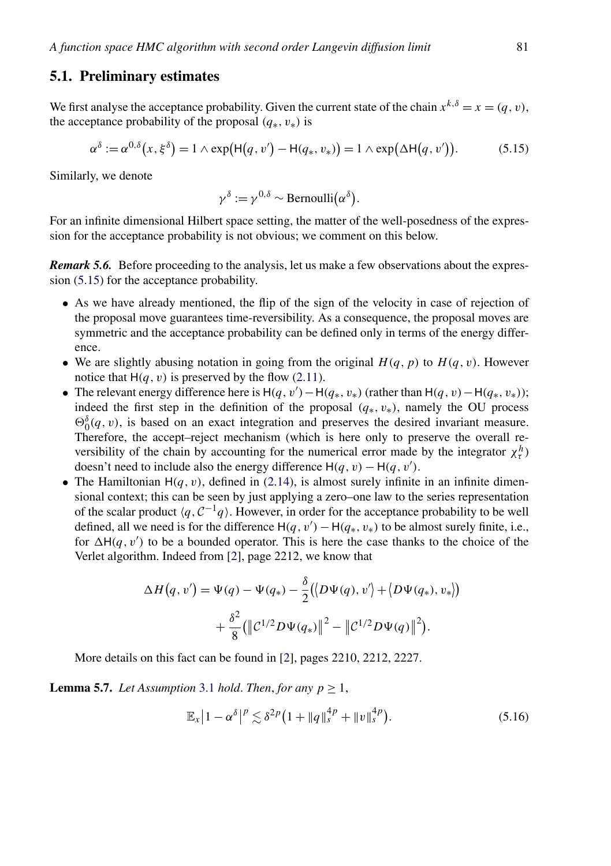#### <span id="page-21-0"></span>**5.1. Preliminary estimates**

We first analyse the acceptance probability. Given the current state of the chain  $x^{k,\delta} = x = (q, v)$ , the acceptance probability of the proposal  $(q_*, v_*)$  is

$$
\alpha^{\delta} := \alpha^{0,\delta}(x,\xi^{\delta}) = 1 \wedge \exp(\mathsf{H}(q,v') - \mathsf{H}(q_*,v_*)) = 1 \wedge \exp(\Delta \mathsf{H}(q,v')). \tag{5.15}
$$

Similarly, we denote

$$
\gamma^{\delta} := \gamma^{0,\delta} \sim \text{Bernoulli}(\alpha^{\delta}).
$$

For an infinite dimensional Hilbert space setting, the matter of the well-posedness of the expression for the acceptance probability is not obvious; we comment on this below.

*Remark 5.6.* Before proceeding to the analysis, let us make a few observations about the expression (5.15) for the acceptance probability.

- As we have already mentioned, the flip of the sign of the velocity in case of rejection of the proposal move guarantees time-reversibility. As a consequence, the proposal moves are symmetric and the acceptance probability can be defined only in terms of the energy difference.
- We are slightly abusing notation in going from the original  $H(q, p)$  to  $H(q, v)$ . However notice that  $H(q, v)$  is preserved by the flow [\(2.11\)](#page-7-0).
- The relevant energy difference here is  $H(q, v') H(q_*, v_*)$  (rather than  $H(q, v) H(q_*, v_*)$ ); indeed the first step in the definition of the proposal  $(q_*, v_*)$ , namely the OU process  $\Theta_0^{\delta}(q, v)$ , is based on an exact integration and preserves the desired invariant measure. Therefore, the accept–reject mechanism (which is here only to preserve the overall reversibility of the chain by accounting for the numerical error made by the integrator  $\chi^h_{\tau}$ ) doesn't need to include also the energy difference  $H(q, v) - H(q, v')$ .
- The Hamiltonian  $H(q, v)$ , defined in [\(2.14\)](#page-8-0), is almost surely infinite in an infinite dimensional context; this can be seen by just applying a zero–one law to the series representation of the scalar product  $\langle q, C^{-1}q \rangle$ . However, in order for the acceptance probability to be well defined, all we need is for the difference  $H(q, v') - H(q_*, v_*)$  to be almost surely finite, i.e., for  $\Delta H(q, v')$  to be a bounded operator. This is here the case thanks to the choice of the Verlet algorithm. Indeed from [\[2\]](#page-45-0), page 2212, we know that

$$
\Delta H(q, v') = \Psi(q) - \Psi(q_*) - \frac{\delta}{2} (\langle D\Psi(q), v' \rangle + \langle D\Psi(q_*), v_* \rangle)
$$

$$
+ \frac{\delta^2}{8} (\langle C^{1/2}D\Psi(q_*) \rangle \langle \langle P \rangle - \langle C^{1/2}D\Psi(q) \rangle \langle \langle P \rangle \langle \langle P \rangle \langle \langle P \rangle \rangle + \langle C^{1/2}D\Psi(q) \langle \langle P \rangle \langle \langle P \rangle \langle \langle P \rangle \rangle \langle \langle P \rangle \langle \langle P \rangle \rangle \langle \langle P \rangle \langle \langle P \rangle \langle \langle P \rangle \langle \langle P \rangle \rangle \langle \langle P \rangle \langle \langle P \rangle \langle \langle P \rangle \langle \langle P \rangle \langle \langle P \rangle \rangle \langle \langle P \rangle \langle \langle P \rangle \langle \langle P \rangle \langle \langle P \rangle \langle \langle P \rangle \langle \langle P \rangle \langle \langle P \rangle \rangle \langle \langle P \rangle \langle \langle P \rangle \langle \langle P \rangle \langle \langle P \rangle \langle \langle P \rangle \langle \langle P \rangle \langle \langle P \rangle \langle \langle P \rangle \langle \langle P \rangle \langle \langle P \rangle \langle \langle P \rangle \langle \langle P \rangle \langle \langle P \rangle \langle \langle P \rangle \langle \langle P \rangle \langle \langle P \rangle \langle \langle P \rangle \langle \langle P \rangle \langle \langle P \rangle \langle \langle P \rangle \langle \langle P \rangle \langle \langle P \rangle \langle \langle P \rangle \langle \langle P \rangle \langle \langle P \rangle \langle \langle P \rangle \langle \langle P \rangle \langle \langle P \rangle \langle \langle P \rangle \langle \langle P \rangle \langle \langle P \rangle \langle \langle P \rangle \langle \langle P \rangle \langle \langle P \rangle \langle \langle P \rangle \langle \langle P \rangle \langle \langle P \rangle \langle \langle P \rangle \langle \langle P \rangle \langle \langle P \rangle \langle \langle P \rangle \langle \langle P \rangle \langle \langle P \rangle \langle \langle P \rangle \langle \langle P \rangle \langle \langle P \rangle \langle \langle P \rangle \langle \langle P \rangle \langle \langle P \rangle \langle \langle P \rangle \langle \langle P \rangle \langle \langle P \rangle \langle \langle P \rangle \langle \langle P \rangle \langle \langle P \rangle \langle \langle P \rangle \langle \langle P \rangle \langle \langle P \rangle \langle \langle P \rangle \langle \langle P \rangle \langle \langle P \rangle \langle \langle P \rangle \langle \langle P \rangle \langle \langle P \rangle \langle \langle P \rangle \langle \langle
$$

More details on this fact can be found in [\[2\]](#page-45-0), pages 2210, 2212, 2227.

**Lemma 5.7.** *Let Assumption* [3.1](#page-13-0) *hold. Then, for any*  $p \ge 1$ ,

$$
\mathbb{E}_x \left| 1 - \alpha^{\delta} \right|^p \lesssim \delta^{2p} \left( 1 + \|q\|_s^{4p} + \|v\|_s^{4p} \right). \tag{5.16}
$$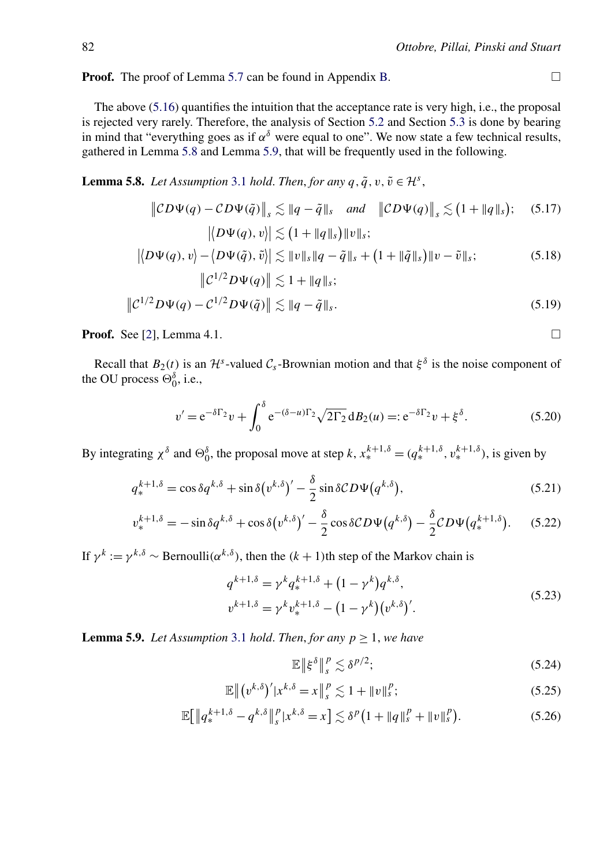<span id="page-22-0"></span>**Proof.** The proof of Lemma [5.7](#page-21-0) can be found in Appendix [B.](#page-36-0)

The above [\(5.16\)](#page-21-0) quantifies the intuition that the acceptance rate is very high, i.e., the proposal is rejected very rarely. Therefore, the analysis of Section [5.2](#page-23-0) and Section [5.3](#page-29-0) is done by bearing in mind that "everything goes as if  $\alpha^{\delta}$  were equal to one". We now state a few technical results, gathered in Lemma 5.8 and Lemma 5.9, that will be frequently used in the following.

**Lemma 5.8.** *Let Assumption* [3.1](#page-13-0) *hold. Then, for any*  $q, \tilde{q}, v, \tilde{v} \in \mathcal{H}^s$ ,

$$
\|CD\Psi(q) - CD\Psi(\tilde{q})\|_{s} \lesssim \|q - \tilde{q}\|_{s} \quad \text{and} \quad \|CD\Psi(q)\|_{s} \lesssim (1 + \|q\|_{s}); \quad (5.17)
$$

$$
|\langle D\Psi(q), v \rangle| \lesssim (1 + \|q\|_{s})\|v\|_{s};
$$

$$
|\langle D\Psi(q), v \rangle - \langle D\Psi(\tilde{q}), \tilde{v} \rangle| \lesssim \|v\|_{s} \|q - \tilde{q}\|_{s} + (1 + \|\tilde{q}\|_{s})\|v - \tilde{v}\|_{s}; \quad (5.18)
$$

$$
\|C^{1/2}D\Psi(q)\| \lesssim 1 + \|q\|_{s};
$$

$$
\|C^{1/2}D\Psi(q)\| \lesssim 1 + \|q\|_{s}; \quad (5.19)
$$

$$
\|C^{1/2}D\Psi(q) - C^{1/2}D\Psi(\tilde{q})\| \lesssim \|q - \tilde{q}\|_{s}.
$$
\n(5.19)

**Proof.** See [\[2\]](#page-45-0), Lemma 4.1.  $\Box$ 

Recall that  $B_2(t)$  is an  $\mathcal{H}^s$ -valued  $\mathcal{C}_s$ -Brownian motion and that  $\xi^{\delta}$  is the noise component of the OU process  $\Theta_0^{\delta}$ , i.e.,

$$
v' = e^{-\delta\Gamma_2}v + \int_0^{\delta} e^{-(\delta - u)\Gamma_2} \sqrt{2\Gamma_2} \, d B_2(u) =: e^{-\delta\Gamma_2}v + \xi^{\delta}.
$$
 (5.20)

By integrating  $\chi^{\delta}$  and  $\Theta_0^{\delta}$ , the proposal move at step *k*,  $x_*^{k+1,\delta} = (q_*^{k+1,\delta}, v_*^{k+1,\delta})$ , is given by

$$
q_{*}^{k+1,\delta} = \cos \delta q^{k,\delta} + \sin \delta (v^{k,\delta})' - \frac{\delta}{2} \sin \delta CD\Psi(q^{k,\delta}), \qquad (5.21)
$$

$$
v_*^{k+1,\delta} = -\sin\delta q^{k,\delta} + \cos\delta (v^{k,\delta})' - \frac{\delta}{2}\cos\delta CD\Psi(q^{k,\delta}) - \frac{\delta}{2}CD\Psi(q_*^{k+1,\delta}).\tag{5.22}
$$

If  $\gamma^k := \gamma^{k,\delta} \sim \text{Bernoulli}(\alpha^{k,\delta})$ , then the  $(k+1)$ th step of the Markov chain is

$$
q^{k+1,\delta} = \gamma^k q_*^{k+1,\delta} + (1 - \gamma^k) q^{k,\delta},
$$
  
\n
$$
v^{k+1,\delta} = \gamma^k v_*^{k+1,\delta} - (1 - \gamma^k) (v^{k,\delta})'.
$$
\n(5.23)

**Lemma 5.9.** *Let Assumption* [3.1](#page-13-0) *hold. Then, for any*  $p \ge 1$ *, we have* 

$$
\mathbb{E}\left\|\xi^{\delta}\right\|_{s}^{p} \lesssim \delta^{p/2};\tag{5.24}
$$

$$
\mathbb{E}\left\|(v^{k,\delta})'|x^{k,\delta}=x\right\|_{s}^{p}\lesssim 1+\|v\|_{s}^{p};\tag{5.25}
$$

$$
\mathbb{E}\big[\|q_*^{k+1,\delta} - q^{k,\delta}\|_{s}^p |x^{k,\delta} = x\big] \lesssim \delta^p \big(1 + \|q\|_{s}^p + \|v\|_{s}^p\big). \tag{5.26}
$$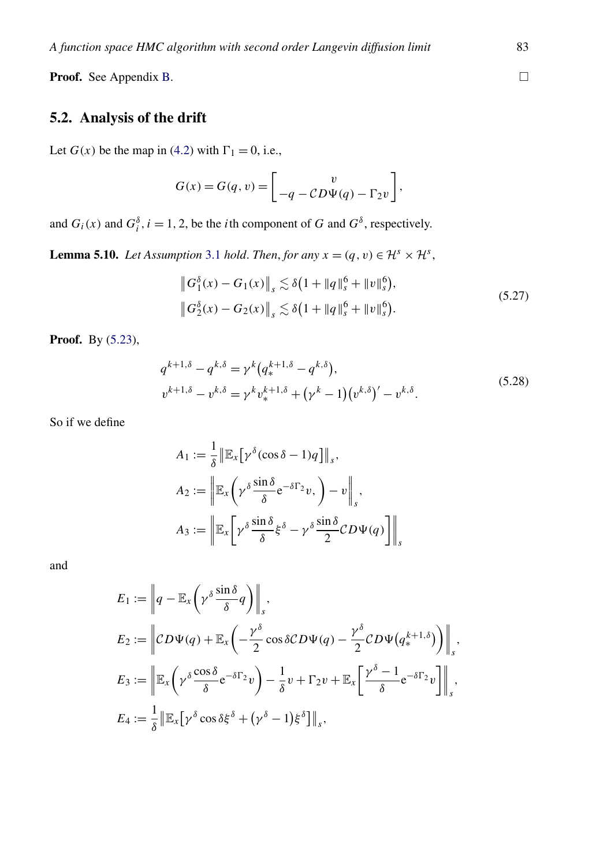<span id="page-23-0"></span>Proof. See Appendix [B.](#page-36-0)

## **5.2. Analysis of the drift**

Let  $G(x)$  be the map in [\(4.2\)](#page-14-0) with  $\Gamma_1 = 0$ , i.e.,

$$
G(x) = G(q, v) = \begin{bmatrix} v \\ -q - CD\Psi(q) - \Gamma_2 v \end{bmatrix},
$$

and  $G_i(x)$  and  $G_i^{\delta}$ ,  $i = 1, 2$ , be the *i*th component of *G* and  $G^{\delta}$ , respectively.

**Lemma 5.10.** *Let Assumption* [3.1](#page-13-0) *hold. Then, for any*  $x = (q, v) \in \mathcal{H}^s \times \mathcal{H}^s$ ,

$$
\|G_1^{\delta}(x) - G_1(x)\|_{s} \lesssim \delta \left(1 + \|q\|_{s}^{6} + \|v\|_{s}^{6}\right),
$$
  

$$
\|G_2^{\delta}(x) - G_2(x)\|_{s} \lesssim \delta \left(1 + \|q\|_{s}^{6} + \|v\|_{s}^{6}\right).
$$
 (5.27)

**Proof.** By [\(5.23\)](#page-22-0),

$$
q^{k+1,\delta} - q^{k,\delta} = \gamma^k (q^{k+1,\delta}_* - q^{k,\delta}),
$$
  
\n
$$
v^{k+1,\delta} - v^{k,\delta} = \gamma^k v^{k+1,\delta}_* + (\gamma^k - 1)(v^{k,\delta})' - v^{k,\delta}.
$$
\n(5.28)

So if we define

$$
A_1 := \frac{1}{\delta} \|\mathbb{E}_x[\gamma^{\delta}(\cos \delta - 1)q]\|_s,
$$
  
\n
$$
A_2 := \left\|\mathbb{E}_x\left(\gamma^{\delta}\frac{\sin \delta}{\delta}e^{-\delta \Gamma_2}v, \right) - v\right\|_s,
$$
  
\n
$$
A_3 := \left\|\mathbb{E}_x\left[\gamma^{\delta}\frac{\sin \delta}{\delta}\xi^{\delta} - \gamma^{\delta}\frac{\sin \delta}{2}CD\Psi(q)\right]\right\|_s
$$

and

$$
E_1 := \left\| q - \mathbb{E}_x \left( \gamma^{\delta} \frac{\sin \delta}{\delta} q \right) \right\|_s,
$$
  
\n
$$
E_2 := \left\| CD\Psi(q) + \mathbb{E}_x \left( -\frac{\gamma^{\delta}}{2} \cos \delta CD\Psi(q) - \frac{\gamma^{\delta}}{2} CD\Psi(q_*^{k+1,\delta}) \right) \right\|_s,
$$
  
\n
$$
E_3 := \left\| \mathbb{E}_x \left( \gamma^{\delta} \frac{\cos \delta}{\delta} e^{-\delta \Gamma_2} v \right) - \frac{1}{\delta} v + \Gamma_2 v + \mathbb{E}_x \left[ \frac{\gamma^{\delta} - 1}{\delta} e^{-\delta \Gamma_2} v \right] \right\|_s,
$$
  
\n
$$
E_4 := \frac{1}{\delta} \left\| \mathbb{E}_x \left[ \gamma^{\delta} \cos \delta \xi^{\delta} + (\gamma^{\delta} - 1) \xi^{\delta} \right] \right\|_s,
$$

 $\Box$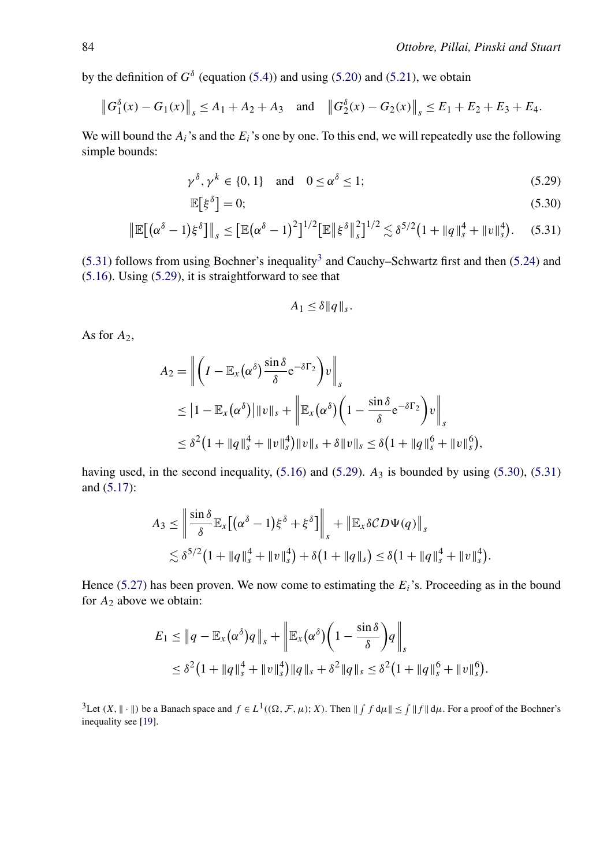<span id="page-24-0"></span>by the definition of  $G^{\delta}$  (equation [\(5.4\)](#page-18-0)) and using [\(5.20\)](#page-22-0) and [\(5.21\)](#page-22-0), we obtain

$$
||G_1^{\delta}(x) - G_1(x)||_s \le A_1 + A_2 + A_3
$$
 and  $||G_2^{\delta}(x) - G_2(x)||_s \le E_1 + E_2 + E_3 + E_4$ .

We will bound the  $A_i$ 's and the  $E_i$ 's one by one. To this end, we will repeatedly use the following simple bounds:

$$
\gamma^{\delta}, \gamma^{k} \in \{0, 1\} \quad \text{and} \quad 0 \le \alpha^{\delta} \le 1; \tag{5.29}
$$

$$
\mathbb{E}\big[\xi^{\delta}\big] = 0;\tag{5.30}
$$

$$
\|\mathbb{E}\big[(\alpha^{\delta}-1)\xi^{\delta}\big]\|_{s} \leq \big[\mathbb{E}(\alpha^{\delta}-1)^{2}\big]^{1/2}\big[\mathbb{E}\|\xi^{\delta}\|_{s}^{2}\big]^{1/2} \lesssim \delta^{5/2}\big(1+\|q\|_{s}^{4}+\|v\|_{s}^{4}\big). \tag{5.31}
$$

(5.31) follows from using Bochner's inequality<sup>3</sup> and Cauchy–Schwartz first and then [\(5.24\)](#page-22-0) and [\(5.16\)](#page-21-0). Using (5.29), it is straightforward to see that

$$
A_1 \leq \delta ||q||_s.
$$

As for  $A_2$ ,

$$
A_2 = \left\| \left( I - \mathbb{E}_x (\alpha^{\delta}) \frac{\sin \delta}{\delta} e^{-\delta \Gamma_2} \right) v \right\|_s
$$
  
\n
$$
\leq |1 - \mathbb{E}_x (\alpha^{\delta})| \|v\|_s + \left\| \mathbb{E}_x (\alpha^{\delta}) \left( 1 - \frac{\sin \delta}{\delta} e^{-\delta \Gamma_2} \right) v \right\|_s
$$
  
\n
$$
\leq \delta^2 (1 + \|q\|_s^4 + \|v\|_s^4) \|v\|_s + \delta \|v\|_s \leq \delta (1 + \|q\|_s^6 + \|v\|_s^6),
$$

having used, in the second inequality,  $(5.16)$  and  $(5.29)$ .  $A_3$  is bounded by using  $(5.30)$ ,  $(5.31)$ and [\(5.17\)](#page-22-0):

$$
A_3 \le \left\| \frac{\sin \delta}{\delta} \mathbb{E}_x \big[ (\alpha^{\delta} - 1) \xi^{\delta} + \xi^{\delta} \big] \right\|_s + \left\| \mathbb{E}_x \delta CD \Psi(q) \right\|_s
$$
  
\$\lesssim \delta^{5/2} (1 + \|q\|\_s^4 + \|v\|\_s^4) + \delta (1 + \|q\|\_s) \le \delta (1 + \|q\|\_s^4 + \|v\|\_s^4).

Hence [\(5.27\)](#page-23-0) has been proven. We now come to estimating the *Ei*'s. Proceeding as in the bound for *A*<sup>2</sup> above we obtain:

$$
E_1 \le \|q - \mathbb{E}_x(\alpha^{\delta})q\|_s + \left\| \mathbb{E}_x(\alpha^{\delta}) \left(1 - \frac{\sin \delta}{\delta}\right)q\right\|_s
$$
  

$$
\le \delta^2 (1 + \|q\|_s^4 + \|v\|_s^4) \|q\|_s + \delta^2 \|q\|_s \le \delta^2 (1 + \|q\|_s^6 + \|v\|_s^6).
$$

<sup>3</sup>Let  $(X, \| \cdot \|)$  be a Banach space and  $f \in L^1((\Omega, \mathcal{F}, \mu); X)$ . Then  $\| \int f d\mu \| \le \int \| f \| d\mu$ . For a proof of the Bochner's inequality see [\[19\]](#page-46-0).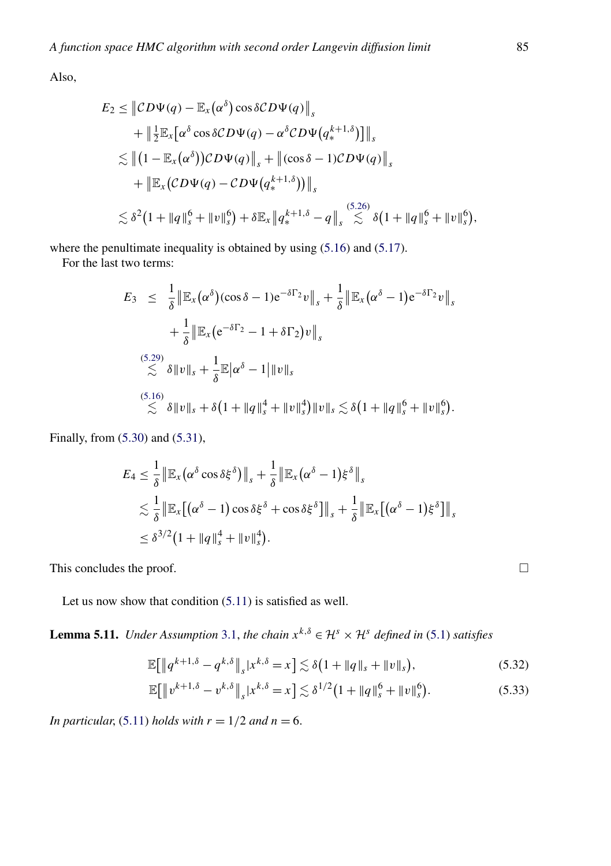<span id="page-25-0"></span>Also,

$$
E_2 \leq ||CD\Psi(q) - \mathbb{E}_x(\alpha^{\delta})\cos\delta CD\Psi(q)||_s
$$
  
+  $||\frac{1}{2}\mathbb{E}_x[\alpha^{\delta}\cos\delta CD\Psi(q) - \alpha^{\delta}CD\Psi(q_*^{k+1,\delta})]||_s$   
 $\lesssim ||(1 - \mathbb{E}_x(\alpha^{\delta}))CD\Psi(q)||_s + ||(\cos\delta - 1)CD\Psi(q)||_s$   
+  $||\mathbb{E}_x(CD\Psi(q) - CD\Psi(q_*^{k+1,\delta}))||_s$   
 $\lesssim \delta^2(1 + ||q||_s^6 + ||v||_s^6) + \delta \mathbb{E}_x||q_*^{k+1,\delta} - q||_s \lesssim \delta(1 + ||q||_s^6 + ||v||_s^6),$ 

where the penultimate inequality is obtained by using  $(5.16)$  and  $(5.17)$ .

For the last two terms:

$$
E_3 \leq \frac{1}{\delta} \| \mathbb{E}_x (\alpha^{\delta}) (\cos \delta - 1) e^{-\delta \Gamma_2} v \|_{s} + \frac{1}{\delta} \| \mathbb{E}_x (\alpha^{\delta} - 1) e^{-\delta \Gamma_2} v \|_{s}
$$
  
+ 
$$
\frac{1}{\delta} \| \mathbb{E}_x (e^{-\delta \Gamma_2} - 1 + \delta \Gamma_2) v \|_{s}
$$
  

$$
\lesssim \delta \| v \|_{s} + \frac{1}{\delta} \mathbb{E} |\alpha^{\delta} - 1| \| v \|_{s}
$$
  

$$
\lesssim \delta \| v \|_{s} + \delta (1 + \| q \|_{s}^{4} + \| v \|_{s}^{4}) \| v \|_{s} \lesssim \delta (1 + \| q \|_{s}^{6} + \| v \|_{s}^{6}).
$$

Finally, from [\(5.30\)](#page-24-0) and [\(5.31\)](#page-24-0),

$$
E_4 \leq \frac{1}{\delta} \left\| \mathbb{E}_x (\alpha^\delta \cos \delta \xi^\delta) \right\|_s + \frac{1}{\delta} \left\| \mathbb{E}_x (\alpha^\delta - 1) \xi^\delta \right\|_s
$$
  
\$\lesssim \frac{1}{\delta} \left\| \mathbb{E}\_x [(\alpha^\delta - 1) \cos \delta \xi^\delta + \cos \delta \xi^\delta] \right\|\_s + \frac{1}{\delta} \left\| \mathbb{E}\_x [(\alpha^\delta - 1) \xi^\delta] \right\|\_s\$  
\$\leq \delta^{3/2} (1 + \|q\|\_s^4 + \|v\|\_s^4).

This concludes the proof.

Let us now show that condition [\(5.11\)](#page-19-0) is satisfied as well.

**Lemma 5.11.** *Under Assumption* [3.1,](#page-13-0) *the chain*  $x^{k,\delta} \in \mathcal{H}^s \times \mathcal{H}^s$  *defined in* [\(5.1\)](#page-17-0) *satisfies* 

$$
\mathbb{E}[\|q^{k+1,\delta} - q^{k,\delta}\|_{s}|x^{k,\delta} = x] \lesssim \delta(1 + \|q\|_{s} + \|v\|_{s}),
$$
\n(5.32)

$$
\mathbb{E}[\|v^{k+1,\delta} - v^{k,\delta}\|_{s}|x^{k,\delta} = x] \lesssim \delta^{1/2} \left(1 + \|q\|_{s}^{6} + \|v\|_{s}^{6}\right). \tag{5.33}
$$

*In particular*, [\(5.11\)](#page-19-0) *holds with*  $r = 1/2$  *and*  $n = 6$ .

 $\Box$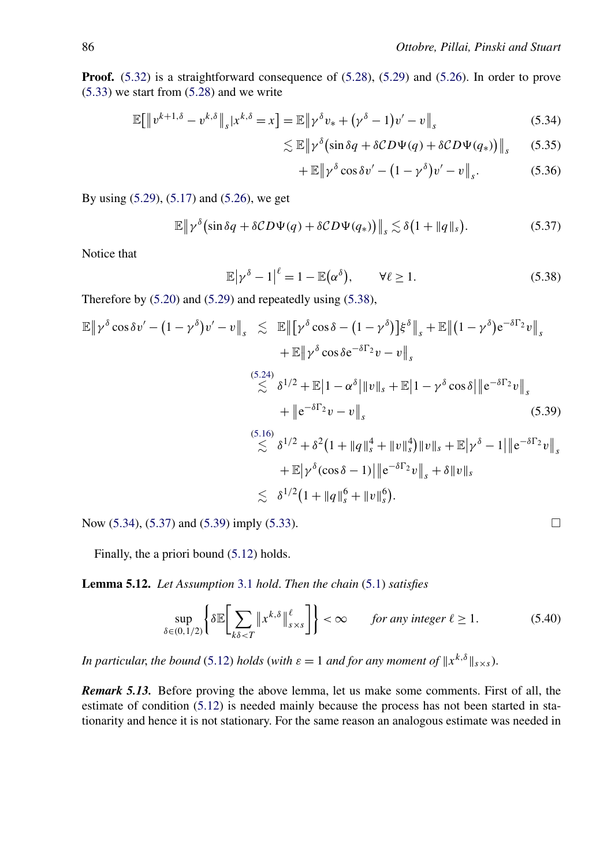<span id="page-26-0"></span>**Proof.** [\(5.32\)](#page-25-0) is a straightforward consequence of [\(5.28\)](#page-23-0), [\(5.29\)](#page-24-0) and [\(5.26\)](#page-22-0). In order to prove [\(5.33\)](#page-25-0) we start from [\(5.28\)](#page-23-0) and we write

$$
\mathbb{E}\big[\left\|v^{k+1,\delta}-v^{k,\delta}\right\|_{s}|x^{k,\delta}=x\big]=\mathbb{E}\left\|\gamma^{\delta}v_{*}+\left(\gamma^{\delta}-1\right)v'-v\right\|_{s}\tag{5.34}
$$

$$
\lesssim \mathbb{E} \left\| \gamma^{\delta} \left( \sin \delta q + \delta CD \Psi(q) + \delta CD \Psi(q_*) \right) \right\|_s \tag{5.35}
$$

$$
+ \mathbb{E} \| \gamma^{\delta} \cos \delta v' - (1 - \gamma^{\delta}) v' - v \|_{s}.
$$
 (5.36)

By using [\(5.29\)](#page-24-0), [\(5.17\)](#page-22-0) and [\(5.26\)](#page-22-0), we get

$$
\mathbb{E}\left\|\gamma^{\delta}\left(\sin\delta q + \delta CD\Psi(q) + \delta CD\Psi(q_{*})\right)\right\|_{s} \lesssim \delta\left(1 + \|q\|_{s}\right). \tag{5.37}
$$

Notice that

$$
\mathbb{E}|\gamma^{\delta}-1|^{\ell}=1-\mathbb{E}(\alpha^{\delta}), \qquad \forall \ell \ge 1. \tag{5.38}
$$

Therefore by [\(5.20\)](#page-22-0) and [\(5.29\)](#page-24-0) and repeatedly using (5.38),

$$
\mathbb{E} \|\gamma^{\delta} \cos \delta v' - (1 - \gamma^{\delta})v' - v\|_{s} \leq \mathbb{E} \|\big[\gamma^{\delta} \cos \delta - (1 - \gamma^{\delta})\big] \xi^{\delta}\|_{s} + \mathbb{E} \|(1 - \gamma^{\delta})e^{-\delta\Gamma_{2}}v\|_{s} \n+ \mathbb{E} \|\gamma^{\delta} \cos \delta e^{-\delta\Gamma_{2}}v - v\|_{s} \n\lesssim \delta^{1/2} + \mathbb{E} |1 - \alpha^{\delta}| \|v\|_{s} + \mathbb{E} |1 - \gamma^{\delta} \cos \delta| \|e^{-\delta\Gamma_{2}}v\|_{s} \n+ \|e^{-\delta\Gamma_{2}}v - v\|_{s} \n\lesssim \delta^{1/2} + \delta^{2} (1 + \|q\|_{s}^{4} + \|v\|_{s}^{4}) \|v\|_{s} + \mathbb{E} |\gamma^{\delta} - 1| \|e^{-\delta\Gamma_{2}}v\|_{s} \n+ \mathbb{E} |\gamma^{\delta} (\cos \delta - 1)| \|e^{-\delta\Gamma_{2}}v\|_{s} + \delta \|v\|_{s} \n\lesssim \delta^{1/2} (1 + \|q\|_{s}^{6} + \|v\|_{s}^{6}).
$$
\n(5.39)

Now  $(5.34)$ ,  $(5.37)$  and  $(5.39)$  imply  $(5.33)$ .

Finally, the a priori bound [\(5.12\)](#page-19-0) holds.

**Lemma 5.12.** *Let Assumption* [3.1](#page-13-0) *hold*. *Then the chain* [\(5.1\)](#page-17-0) *satisfies*

$$
\sup_{\delta \in (0,1/2)} \left\{ \delta \mathbb{E} \bigg[ \sum_{k\delta < T} \left\| x^{k,\delta} \right\|_{s \times s}^{\ell} \bigg] \right\} < \infty \qquad \text{for any integer } \ell \ge 1. \tag{5.40}
$$

*In particular, the bound* [\(5.12\)](#page-19-0) *holds* (*with*  $\varepsilon = 1$  *and for any moment of*  $||x^{k,\delta}||_{s \times s}$ ).

*Remark 5.13.* Before proving the above lemma, let us make some comments. First of all, the estimate of condition [\(5.12\)](#page-19-0) is needed mainly because the process has not been started in stationarity and hence it is not stationary. For the same reason an analogous estimate was needed in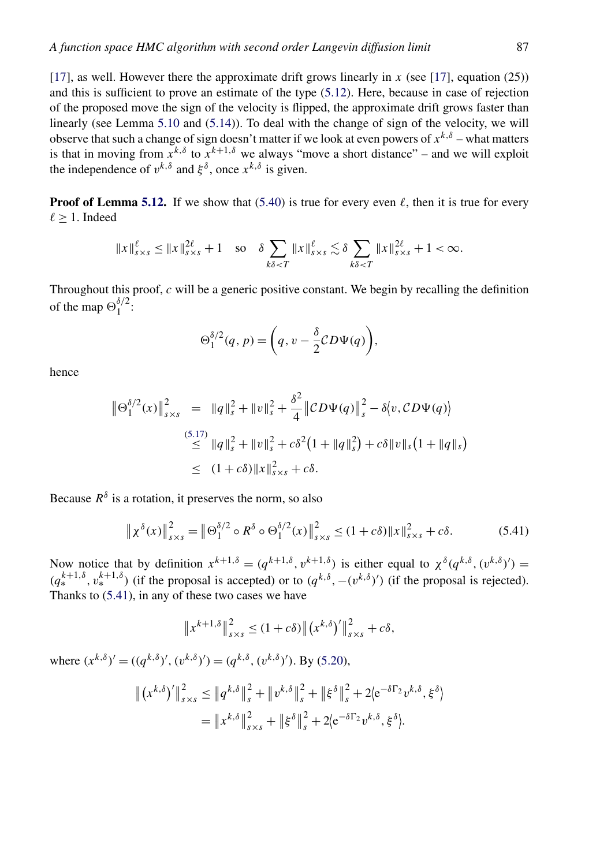[\[17\]](#page-46-0), as well. However there the approximate drift grows linearly in *x* (see [\[17\]](#page-46-0), equation (25)) and this is sufficient to prove an estimate of the type [\(5.12\)](#page-19-0). Here, because in case of rejection of the proposed move the sign of the velocity is flipped, the approximate drift grows faster than linearly (see Lemma [5.10](#page-23-0) and [\(5.14\)](#page-20-0)). To deal with the change of sign of the velocity, we will observe that such a change of sign doesn't matter if we look at even powers of *xk,δ* – what matters is that in moving from  $\overline{x}^{k,\delta}$  to  $\overline{x}^{k+1,\delta}$  we always "move a short distance" – and we will exploit the independence of  $v^{k,\delta}$  and  $\xi^{\delta}$ , once  $x^{k,\delta}$  is given.

**Proof of Lemma [5.12.](#page-26-0)** If we show that [\(5.40\)](#page-26-0) is true for every even  $\ell$ , then it is true for every  $\ell \geq 1$ . Indeed

$$
||x||_{s \times s}^{\ell} \le ||x||_{s \times s}^{2\ell} + 1 \quad \text{so} \quad \delta \sum_{k\delta < T} ||x||_{s \times s}^{\ell} \lesssim \delta \sum_{k\delta < T} ||x||_{s \times s}^{2\ell} + 1 < \infty.
$$

Throughout this proof, *c* will be a generic positive constant. We begin by recalling the definition of the map  $\Theta_1^{\delta/2}$ :

$$
\Theta_1^{\delta/2}(q, p) = \bigg(q, v - \frac{\delta}{2} CD \Psi(q)\bigg),
$$

hence

$$
\|\Theta_1^{\delta/2}(x)\|_{s\times s}^2 = \|q\|_s^2 + \|v\|_s^2 + \frac{\delta^2}{4} \|CD\Psi(q)\|_s^2 - \delta \langle v, CD\Psi(q) \rangle
$$
  
\n
$$
\leq \|q\|_s^2 + \|v\|_s^2 + c\delta^2 (1 + \|q\|_s^2) + c\delta \|v\|_s (1 + \|q\|_s)
$$
  
\n
$$
\leq (1 + c\delta) \|x\|_{s\times s}^2 + c\delta.
$$

Because  $R^{\delta}$  is a rotation, it preserves the norm, so also

$$
\|\chi^{\delta}(x)\|_{s\times s}^{2} = \|\Theta_{1}^{\delta/2} \circ R^{\delta} \circ \Theta_{1}^{\delta/2}(x)\|_{s\times s}^{2} \le (1+c\delta) \|x\|_{s\times s}^{2} + c\delta. \tag{5.41}
$$

Now notice that by definition  $x^{k+1,\delta} = (q^{k+1,\delta}, v^{k+1,\delta})$  is either equal to  $\chi^{\delta}(q^{k,\delta}, (v^{k,\delta})') =$  $(q_*^{k+1,\delta}, v_*^{k+1,\delta})$  (if the proposal is accepted) or to  $(q^{k,\delta}, -(v^{k,\delta})')$  (if the proposal is rejected). Thanks to (5.41), in any of these two cases we have

$$
||x^{k+1,\delta}||_{s\times s}^2 \le (1+c\delta) ||(x^{k,\delta})'||_{s\times s}^2 + c\delta,
$$

where  $(x^{k,\delta})' = ((q^{k,\delta})', (v^{k,\delta})') = (q^{k,\delta}, (v^{k,\delta})')$ . By [\(5.20\)](#page-22-0),

$$
\begin{split} \left\| \left( x^{k,\delta} \right)' \right\|_{s \times s}^2 &\leq \left\| q^{k,\delta} \right\|_s^2 + \left\| v^{k,\delta} \right\|_s^2 + \left\| \xi^{\delta} \right\|_s^2 + 2 \left( e^{-\delta \Gamma_2} v^{k,\delta}, \xi^{\delta} \right) \\ &= \left\| x^{k,\delta} \right\|_{s \times s}^2 + \left\| \xi^{\delta} \right\|_s^2 + 2 \left( e^{-\delta \Gamma_2} v^{k,\delta}, \xi^{\delta} \right). \end{split}
$$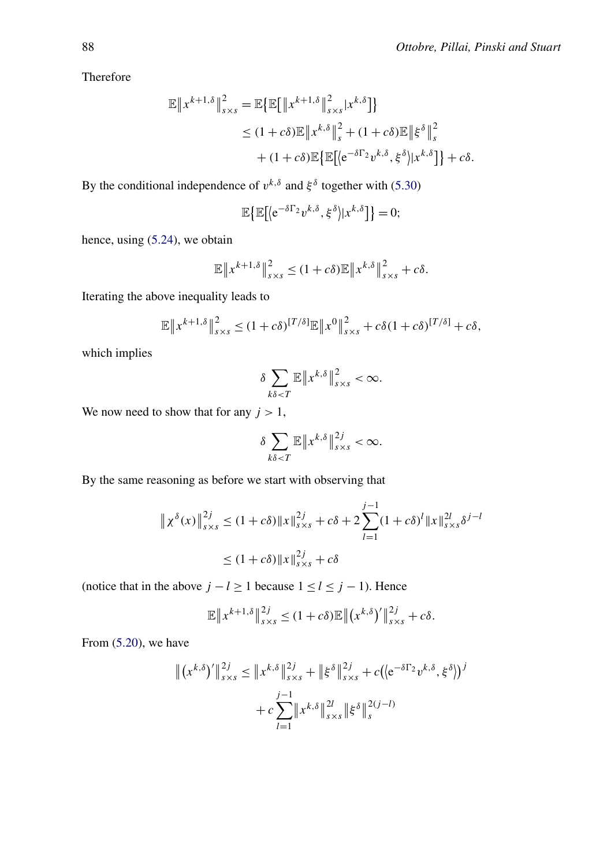Therefore

$$
\mathbb{E} \|x^{k+1,\delta}\|_{s \times s}^{2} = \mathbb{E} \{ \mathbb{E} [\|x^{k+1,\delta}\|_{s \times s}^{2} | x^{k,\delta}] \}
$$
  
\n
$$
\leq (1+c\delta) \mathbb{E} \|x^{k,\delta}\|_{s}^{2} + (1+c\delta) \mathbb{E} \|\xi^{\delta}\|_{s}^{2}
$$
  
\n
$$
+ (1+c\delta) \mathbb{E} \{ \mathbb{E} [\langle e^{-\delta \Gamma_{2}} v^{k,\delta}, \xi^{\delta} \rangle | x^{k,\delta} ] \} + c\delta.
$$

By the conditional independence of  $v^{k,\delta}$  and  $\xi^{\delta}$  together with [\(5.30\)](#page-24-0)

$$
\mathbb{E}\big\{\mathbb{E}\big[\langle e^{-\delta\Gamma_2}v^{k,\delta},\xi^{\delta}\rangle|x^{k,\delta}\big]\big\}=0;
$$

hence, using [\(5.24\)](#page-22-0), we obtain

$$
\mathbb{E}\left\|x^{k+1,\delta}\right\|_{s\times s}^2 \leq (1+c\delta)\mathbb{E}\left\|x^{k,\delta}\right\|_{s\times s}^2 + c\delta.
$$

Iterating the above inequality leads to

$$
\mathbb{E}\left\|x^{k+1,\delta}\right\|_{s\times s}^2 \leq (1+c\delta)^{[T/\delta]}\mathbb{E}\left\|x^0\right\|_{s\times s}^2 + c\delta(1+c\delta)^{[T/\delta]} + c\delta,
$$

which implies

$$
\delta \sum_{k\delta < T} \mathbb{E} \left\| x^{k,\delta} \right\|_{s \times s}^2 < \infty.
$$

We now need to show that for any  $j > 1$ ,

$$
\delta \sum_{k\delta < T} \mathbb{E} \left\| x^{k,\delta} \right\|_{s \times s}^{2j} < \infty.
$$

By the same reasoning as before we start with observing that

$$
\| \chi^{\delta}(x) \|_{s \times s}^{2j} \le (1 + c\delta) \|x\|_{s \times s}^{2j} + c\delta + 2 \sum_{l=1}^{j-1} (1 + c\delta)^l \|x\|_{s \times s}^{2l} \delta^{j-l}
$$
  

$$
\le (1 + c\delta) \|x\|_{s \times s}^{2j} + c\delta
$$

(notice that in the above  $j - l \ge 1$  because  $1 \le l \le j - 1$ ). Hence

$$
\mathbb{E}\|x^{k+1,\delta}\|_{s\times s}^{2j} \leq (1+c\delta)\mathbb{E}\|(x^{k,\delta})'\|_{s\times s}^{2j}+c\delta.
$$

From [\(5.20\)](#page-22-0), we have

$$
\| (x^{k,\delta})' \|_{s \times s}^{2j} \le \| x^{k,\delta} \|_{s \times s}^{2j} + \| \xi^{\delta} \|_{s \times s}^{2j} + c \big( \langle e^{-\delta \Gamma_2} v^{k,\delta}, \xi^{\delta} \rangle \big)^{j}
$$
  
+  $c \sum_{l=1}^{j-1} \| x^{k,\delta} \|_{s \times s}^{2l} \| \xi^{\delta} \|_{s}^{2(j-l)}$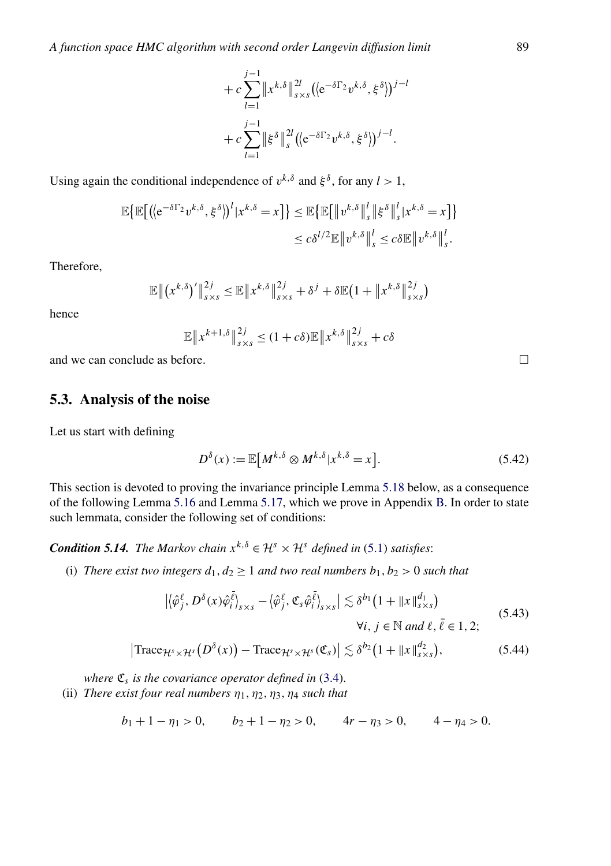$$
+ c \sum_{l=1}^{j-1} ||x^{k,\delta}||_{s \times s}^{2l} ((e^{-\delta \Gamma_2} v^{k,\delta}, \xi^{\delta}))^{j-l}
$$
  
+ 
$$
c \sum_{l=1}^{j-1} ||\xi^{\delta}||_{s}^{2l} ((e^{-\delta \Gamma_2} v^{k,\delta}, \xi^{\delta}))^{j-l}.
$$

<span id="page-29-0"></span>Using again the conditional independence of  $v^{k,\delta}$  and  $\xi^{\delta}$ , for any  $l > 1$ ,

$$
\mathbb{E}\big\{\mathbb{E}\big[\big(\langle e^{-\delta\Gamma_2}v^{k,\delta},\xi^{\delta}\rangle\big)^l|x^{k,\delta}=x\big]\big\}\leq \mathbb{E}\big\{\mathbb{E}\big[\|v^{k,\delta}\|_{s}^l\|\xi^{\delta}\|_{s}^l|x^{k,\delta}=x\big]\big\}
$$

$$
\leq c\delta^{l/2}\mathbb{E}\|v^{k,\delta}\|_{s}^l\leq c\delta\mathbb{E}\|v^{k,\delta}\|_{s}^l.
$$

Therefore,

$$
\mathbb{E} \left\| (x^{k,\delta})' \right\|_{s \times s}^{2j} \leq \mathbb{E} \left\| x^{k,\delta} \right\|_{s \times s}^{2j} + \delta^j + \delta \mathbb{E} (1 + \left\| x^{k,\delta} \right\|_{s \times s}^{2j})
$$

hence

$$
\mathbb{E}\|x^{k+1,\delta}\|_{s\times s}^{2j} \le (1+c\delta)\mathbb{E}\|x^{k,\delta}\|_{s\times s}^{2j} + c\delta
$$

and we can conclude as before.  $\Box$ 

#### **5.3. Analysis of the noise**

Let us start with defining

$$
D^{\delta}(x) := \mathbb{E}\big[M^{k,\delta} \otimes M^{k,\delta} | x^{k,\delta} = x\big].\tag{5.42}
$$

This section is devoted to proving the invariance principle Lemma [5.18](#page-30-0) below, as a consequence of the following Lemma [5.16](#page-30-0) and Lemma [5.17,](#page-30-0) which we prove in Appendix [B.](#page-36-0) In order to state such lemmata, consider the following set of conditions:

*Condition 5.14. The Markov chain*  $x^{k,\delta} \in \mathcal{H}^s \times \mathcal{H}^s$  *defined in* [\(5.1\)](#page-17-0) *satisfies*:

(i) *There exist two integers*  $d_1, d_2 \geq 1$  *and two real numbers*  $b_1, b_2 > 0$  *such that* 

$$
\left| \langle \hat{\varphi}_j^{\ell}, D^{\delta}(x) \hat{\varphi}_i^{\bar{\ell}} \rangle_{s \times s} - \langle \hat{\varphi}_j^{\ell}, \mathfrak{C}_s \hat{\varphi}_i^{\bar{\ell}} \rangle_{s \times s} \right| \lesssim \delta^{b_1} \left( 1 + \|x\|_{s \times s}^{d_1} \right)
$$
\n
$$
\forall i, j \in \mathbb{N} \text{ and } \ell, \bar{\ell} \in 1, 2; \tag{5.43}
$$

$$
\left|\text{Trace}_{\mathcal{H}^s \times \mathcal{H}^s}\big(D^{\delta}(x)\big) - \text{Trace}_{\mathcal{H}^s \times \mathcal{H}^s}(\mathfrak{C}_s)\right| \lesssim \delta^{b_2}\big(1 + \|x\|_{s \times s}^{d_2}\big),\tag{5.44}
$$

*where*  $\mathfrak{C}_s$  *is the covariance operator defined in* [\(3.4\)](#page-12-0).

(ii) *There exist four real numbers*  $\eta_1, \eta_2, \eta_3, \eta_4$  *such that* 

$$
b_1 + 1 - \eta_1 > 0
$$
,  $b_2 + 1 - \eta_2 > 0$ ,  $4r - \eta_3 > 0$ ,  $4 - \eta_4 > 0$ .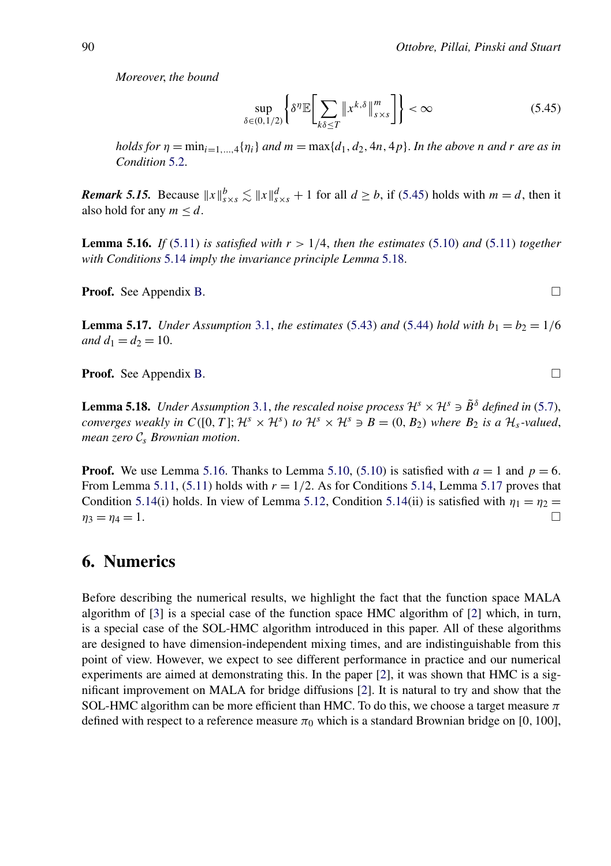<span id="page-30-0"></span>*Moreover*, *the bound*

$$
\sup_{\delta \in (0,1/2)} \left\{ \delta^{\eta} \mathbb{E} \bigg[ \sum_{k\delta \le T} \| x^{k,\delta} \|_{s \times s}^m \bigg] \right\} < \infty \tag{5.45}
$$

*holds for*  $\eta = \min_{i=1,\ldots,4} {\eta_i}$  *and*  $m = \max{d_1, d_2, 4n, 4p}$ . *In the above n and r are as in Condition* [5.2.](#page-19-0)

*Remark 5.15.* Because  $||x||_{s \times s}^{b} \lesssim ||x||_{s \times s}^{d} + 1$  for all  $d \geq b$ , if (5.45) holds with  $m = d$ , then it also hold for any  $m \leq d$ .

**Lemma 5.16.** *If* [\(5.11\)](#page-19-0) *is satisfied with*  $r > 1/4$ , *then the estimates* [\(5.10\)](#page-19-0) *and* (5.11) *together with Conditions* [5.14](#page-29-0) *imply the invariance principle Lemma* 5.18.

Proof. See Appendix [B.](#page-36-0)

**Lemma 5.17.** *Under Assumption* [3.1,](#page-13-0) *the estimates* [\(5.43\)](#page-29-0) *and* [\(5.44\)](#page-29-0) *hold with*  $b_1 = b_2 = 1/6$ *and*  $d_1 = d_2 = 10$ .

Proof. See Appendix [B.](#page-36-0)

**Lemma 5.18.** *Under Assumption* [3.1,](#page-13-0) *the rescaled noise process*  $\mathcal{H}^s \times \mathcal{H}^s \ni \tilde{B}^{\delta}$  *defined in* [\(5.7\)](#page-18-0), *converges weakly in*  $C([0, T]; \mathcal{H}^s \times \mathcal{H}^s)$  *to*  $\mathcal{H}^s \times \mathcal{H}^s \ni B = (0, B_2)$  *where*  $B_2$  *is a*  $\mathcal{H}_s$ *-valued*, *mean zero* C*<sup>s</sup> Brownian motion*.

**Proof.** We use Lemma 5.16. Thanks to Lemma [5.10,](#page-23-0) [\(5.10\)](#page-19-0) is satisfied with  $a = 1$  and  $p = 6$ . From Lemma [5.11,](#page-25-0) [\(5.11\)](#page-19-0) holds with  $r = 1/2$ . As for Conditions [5.14,](#page-29-0) Lemma 5.17 proves that Condition [5.14\(](#page-29-0)i) holds. In view of Lemma [5.12,](#page-26-0) Condition 5.14(ii) is satisfied with  $\eta_1 = \eta_2 =$  $\eta_3 = \eta_4 = 1.$ 

### **6. Numerics**

Before describing the numerical results, we highlight the fact that the function space MALA algorithm of [\[3\]](#page-45-0) is a special case of the function space HMC algorithm of [\[2\]](#page-45-0) which, in turn, is a special case of the SOL-HMC algorithm introduced in this paper. All of these algorithms are designed to have dimension-independent mixing times, and are indistinguishable from this point of view. However, we expect to see different performance in practice and our numerical experiments are aimed at demonstrating this. In the paper [\[2\]](#page-45-0), it was shown that HMC is a significant improvement on MALA for bridge diffusions [\[2\]](#page-45-0). It is natural to try and show that the SOL-HMC algorithm can be more efficient than HMC. To do this, we choose a target measure *π* defined with respect to a reference measure  $\pi_0$  which is a standard Brownian bridge on [0, 100],

 $\Box$ 

 $\Box$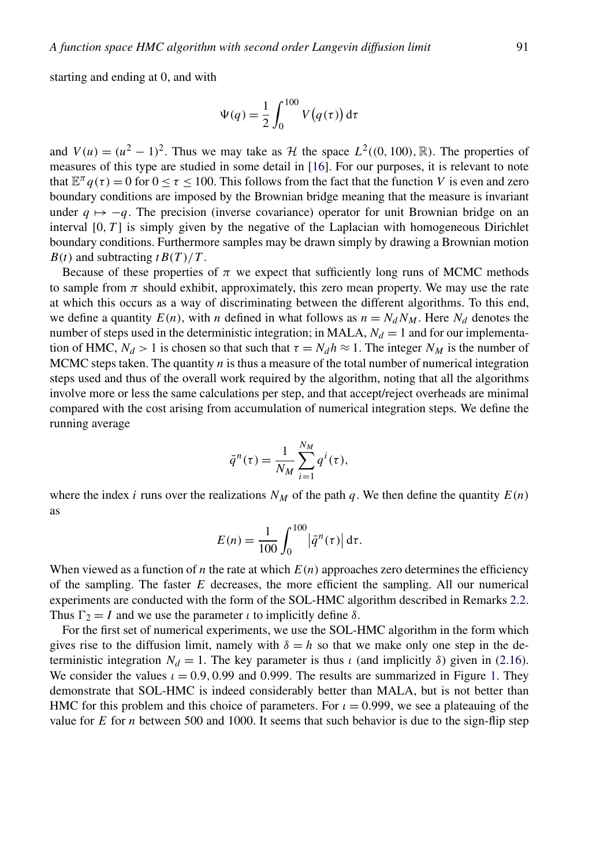starting and ending at 0, and with

$$
\Psi(q) = \frac{1}{2} \int_0^{100} V(q(\tau)) d\tau
$$

and  $V(u) = (u^2 - 1)^2$ . Thus we may take as H the space  $L^2((0, 100), \mathbb{R})$ . The properties of measures of this type are studied in some detail in [\[16\]](#page-46-0). For our purposes, it is relevant to note that  $\mathbb{E}^{\pi} q(\tau) = 0$  for  $0 \leq \tau \leq 100$ . This follows from the fact that the function *V* is even and zero boundary conditions are imposed by the Brownian bridge meaning that the measure is invariant under  $q \mapsto -q$ . The precision (inverse covariance) operator for unit Brownian bridge on an interval  $[0, T]$  is simply given by the negative of the Laplacian with homogeneous Dirichlet boundary conditions. Furthermore samples may be drawn simply by drawing a Brownian motion  $B(t)$  and subtracting  $t B(T)/T$ .

Because of these properties of  $\pi$  we expect that sufficiently long runs of MCMC methods to sample from  $\pi$  should exhibit, approximately, this zero mean property. We may use the rate at which this occurs as a way of discriminating between the different algorithms. To this end, we define a quantity  $E(n)$ , with *n* defined in what follows as  $n = N_d N_M$ . Here  $N_d$  denotes the number of steps used in the deterministic integration; in MALA,  $N_d = 1$  and for our implementation of HMC,  $N_d > 1$  is chosen so that such that  $\tau = N_d h \approx 1$ . The integer  $N_M$  is the number of MCMC steps taken. The quantity *n* is thus a measure of the total number of numerical integration steps used and thus of the overall work required by the algorithm, noting that all the algorithms involve more or less the same calculations per step, and that accept/reject overheads are minimal compared with the cost arising from accumulation of numerical integration steps. We define the running average

$$
\bar{q}^n(\tau) = \frac{1}{N_M} \sum_{i=1}^{N_M} q^i(\tau),
$$

where the index *i* runs over the realizations  $N_M$  of the path *q*. We then define the quantity  $E(n)$ as

$$
E(n) = \frac{1}{100} \int_0^{100} |\bar{q}^n(\tau)| d\tau.
$$

When viewed as a function of *n* the rate at which  $E(n)$  approaches zero determines the efficiency of the sampling. The faster *E* decreases, the more efficient the sampling. All our numerical experiments are conducted with the form of the SOL-HMC algorithm described in Remarks [2.2.](#page-9-0) Thus  $\Gamma_2 = I$  and we use the parameter *ι* to implicitly define *δ*.

For the first set of numerical experiments, we use the SOL-HMC algorithm in the form which gives rise to the diffusion limit, namely with  $\delta = h$  so that we make only one step in the deterministic integration  $N_d = 1$ . The key parameter is thus *ι* (and implicitly *δ*) given in [\(2.16\)](#page-9-0). We consider the values  $\iota = 0.9, 0.99$  and 0.999. The results are summarized in Figure [1.](#page-32-0) They demonstrate that SOL-HMC is indeed considerably better than MALA, but is not better than HMC for this problem and this choice of parameters. For *ι* = 0.999, we see a plateauing of the value for *E* for *n* between 500 and 1000. It seems that such behavior is due to the sign-flip step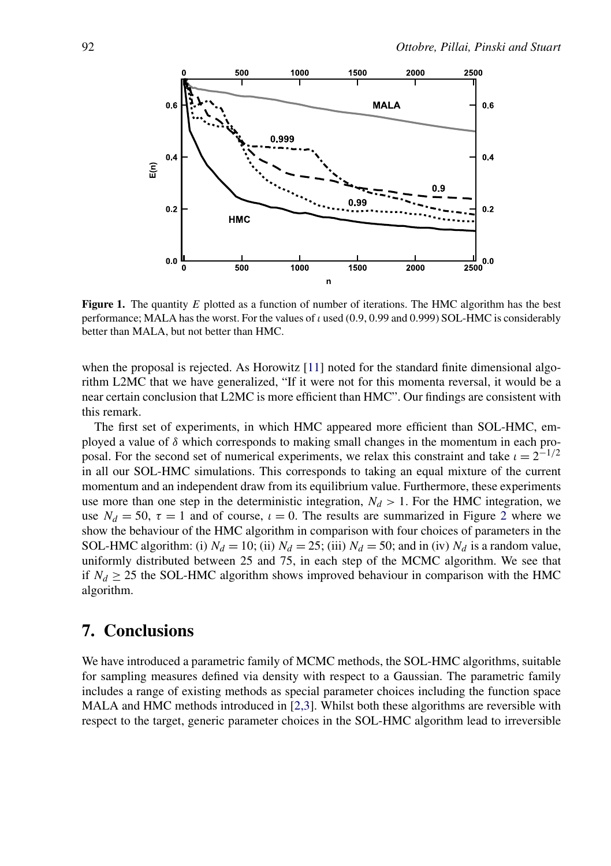<span id="page-32-0"></span>

**Figure 1.** The quantity *E* plotted as a function of number of iterations. The HMC algorithm has the best performance; MALA has the worst. For the values of *ι* used (0*.*9, 0*.*99 and 0*.*999) SOL-HMC is considerably better than MALA, but not better than HMC.

when the proposal is rejected. As Horowitz [\[11\]](#page-46-0) noted for the standard finite dimensional algorithm L2MC that we have generalized, "If it were not for this momenta reversal, it would be a near certain conclusion that L2MC is more efficient than HMC". Our findings are consistent with this remark.

The first set of experiments, in which HMC appeared more efficient than SOL-HMC, employed a value of  $\delta$  which corresponds to making small changes in the momentum in each proposal. For the second set of numerical experiments, we relax this constraint and take  $\iota = 2^{-1/2}$ in all our SOL-HMC simulations. This corresponds to taking an equal mixture of the current momentum and an independent draw from its equilibrium value. Furthermore, these experiments use more than one step in the deterministic integration,  $N_d > 1$ . For the HMC integration, we use  $N_d = 50$ ,  $\tau = 1$  and of course,  $\iota = 0$ . The results are summarized in Figure [2](#page-33-0) where we show the behaviour of the HMC algorithm in comparison with four choices of parameters in the SOL-HMC algorithm: (i)  $N_d = 10$ ; (ii)  $N_d = 25$ ; (iii)  $N_d = 50$ ; and in (iv)  $N_d$  is a random value, uniformly distributed between 25 and 75, in each step of the MCMC algorithm. We see that if  $N_d \geq 25$  the SOL-HMC algorithm shows improved behaviour in comparison with the HMC algorithm.

## **7. Conclusions**

We have introduced a parametric family of MCMC methods, the SOL-HMC algorithms, suitable for sampling measures defined via density with respect to a Gaussian. The parametric family includes a range of existing methods as special parameter choices including the function space MALA and HMC methods introduced in [\[2,3\]](#page-45-0). Whilst both these algorithms are reversible with respect to the target, generic parameter choices in the SOL-HMC algorithm lead to irreversible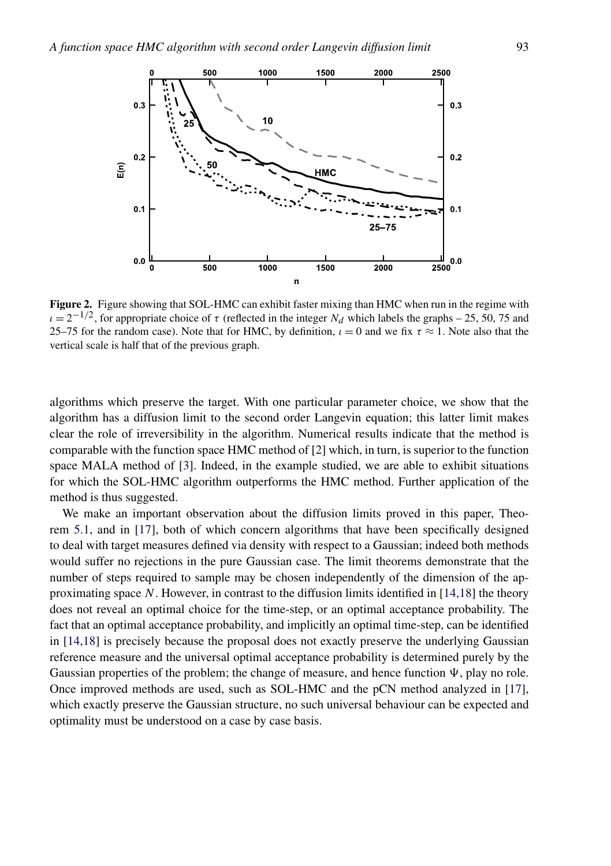<span id="page-33-0"></span>

**Figure 2.** Figure showing that SOL-HMC can exhibit faster mixing than HMC when run in the regime with  $\iota = 2^{-1/2}$ , for appropriate choice of  $\tau$  (reflected in the integer *N<sub>d</sub>* which labels the graphs – 25, 50, 75 and 25–75 for the random case). Note that for HMC, by definition,  $\iota = 0$  and we fix  $\tau \approx 1$ . Note also that the vertical scale is half that of the previous graph.

algorithms which preserve the target. With one particular parameter choice, we show that the algorithm has a diffusion limit to the second order Langevin equation; this latter limit makes clear the role of irreversibility in the algorithm. Numerical results indicate that the method is comparable with the function space HMC method of [\[2\]](#page-45-0) which, in turn, is superior to the function space MALA method of [\[3\]](#page-45-0). Indeed, in the example studied, we are able to exhibit situations for which the SOL-HMC algorithm outperforms the HMC method. Further application of the method is thus suggested.

We make an important observation about the diffusion limits proved in this paper, Theorem [5.1,](#page-19-0) and in [\[17\]](#page-46-0), both of which concern algorithms that have been specifically designed to deal with target measures defined via density with respect to a Gaussian; indeed both methods would suffer no rejections in the pure Gaussian case. The limit theorems demonstrate that the number of steps required to sample may be chosen independently of the dimension of the approximating space *N*. However, in contrast to the diffusion limits identified in [\[14,18\]](#page-46-0) the theory does not reveal an optimal choice for the time-step, or an optimal acceptance probability. The fact that an optimal acceptance probability, and implicitly an optimal time-step, can be identified in [\[14,18\]](#page-46-0) is precisely because the proposal does not exactly preserve the underlying Gaussian reference measure and the universal optimal acceptance probability is determined purely by the Gaussian properties of the problem; the change of measure, and hence function  $\Psi$ , play no role. Once improved methods are used, such as SOL-HMC and the pCN method analyzed in [\[17\]](#page-46-0), which exactly preserve the Gaussian structure, no such universal behaviour can be expected and optimality must be understood on a case by case basis.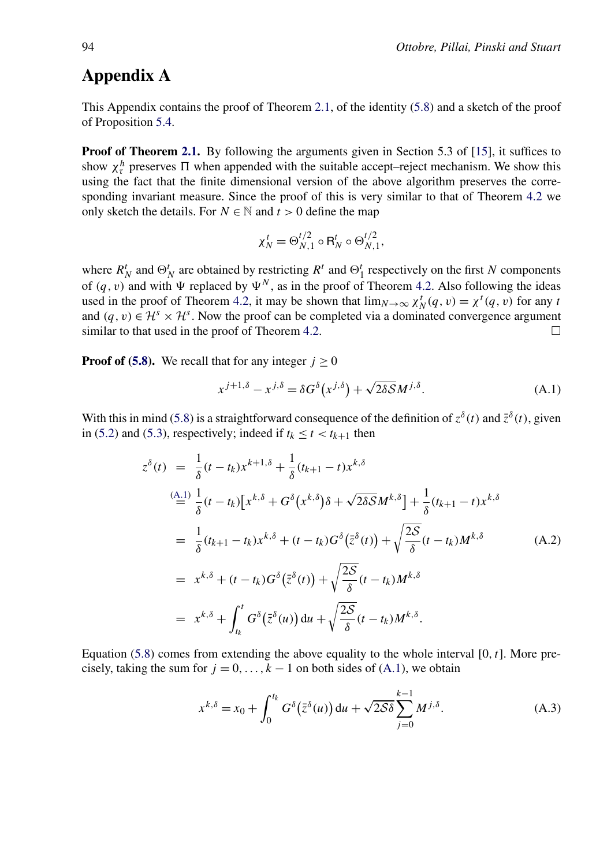# <span id="page-34-0"></span>**Appendix A**

This Appendix contains the proof of Theorem [2.1,](#page-9-0) of the identity [\(5.8\)](#page-18-0) and a sketch of the proof of Proposition [5.4.](#page-20-0)

**Proof of Theorem [2.1.](#page-9-0)** By following the arguments given in Section 5.3 of [\[15\]](#page-46-0), it suffices to show  $\chi^h_\tau$  preserves  $\Pi$  when appended with the suitable accept–reject mechanism. We show this using the fact that the finite dimensional version of the above algorithm preserves the corresponding invariant measure. Since the proof of this is very similar to that of Theorem [4.2](#page-15-0) we only sketch the details. For *N* ∈  $\mathbb N$  and *t* > 0 define the map

$$
\chi_N^t = \Theta_{N,1}^{t/2} \circ \mathsf{R}_N^t \circ \Theta_{N,1}^{t/2},
$$

where  $R_N^t$  and  $\Theta_N^t$  are obtained by restricting  $R^t$  and  $\Theta_1^t$  respectively on the first *N* components of  $(q, v)$  and with  $\Psi$  replaced by  $\Psi^N$ , as in the proof of Theorem [4.2.](#page-15-0) Also following the ideas used in the proof of Theorem [4.2,](#page-15-0) it may be shown that  $\lim_{N\to\infty} \chi_N^t(q, v) = \chi^t(q, v)$  for any *t* and  $(q, v) \in \mathcal{H}^s \times \mathcal{H}^s$ . Now the proof can be completed via a dominated convergence argument similar to that used in the proof of Theorem 4.2 similar to that used in the proof of Theorem [4.2.](#page-15-0)

**Proof of [\(5.8\)](#page-18-0).** We recall that for any integer  $j \geq 0$ 

$$
x^{j+1,\delta} - x^{j,\delta} = \delta G^{\delta}(x^{j,\delta}) + \sqrt{2\delta S} M^{j,\delta}.
$$
 (A.1)

With this in mind [\(5.8\)](#page-18-0) is a straightforward consequence of the definition of  $z^{\delta}(t)$  and  $\bar{z}^{\delta}(t)$ , given in [\(5.2\)](#page-18-0) and [\(5.3\)](#page-18-0), respectively; indeed if  $t_k \le t < t_{k+1}$  then

$$
z^{\delta}(t) = \frac{1}{\delta}(t - t_k)x^{k+1,\delta} + \frac{1}{\delta}(t_{k+1} - t)x^{k,\delta}
$$
  
\n
$$
(\stackrel{\text{(A.1)}}{=} \frac{1}{\delta}(t - t_k)[x^{k,\delta} + G^{\delta}(x^{k,\delta})\delta + \sqrt{2\delta S}M^{k,\delta}] + \frac{1}{\delta}(t_{k+1} - t)x^{k,\delta}
$$
  
\n
$$
= \frac{1}{\delta}(t_{k+1} - t_k)x^{k,\delta} + (t - t_k)G^{\delta}(\bar{z}^{\delta}(t)) + \sqrt{\frac{2S}{\delta}}(t - t_k)M^{k,\delta}
$$
  
\n
$$
= x^{k,\delta} + (t - t_k)G^{\delta}(\bar{z}^{\delta}(t)) + \sqrt{\frac{2S}{\delta}}(t - t_k)M^{k,\delta}
$$
  
\n
$$
= x^{k,\delta} + \int_{t_k}^{t} G^{\delta}(\bar{z}^{\delta}(u)) du + \sqrt{\frac{2S}{\delta}}(t - t_k)M^{k,\delta}.
$$

Equation [\(5.8\)](#page-18-0) comes from extending the above equality to the whole interval [0*,t*]. More precisely, taking the sum for  $j = 0, \ldots, k - 1$  on both sides of (A.1), we obtain

$$
x^{k,\delta} = x_0 + \int_0^{t_k} G^{\delta}(\bar{z}^{\delta}(u)) du + \sqrt{2S\delta} \sum_{j=0}^{k-1} M^{j,\delta}.
$$
 (A.3)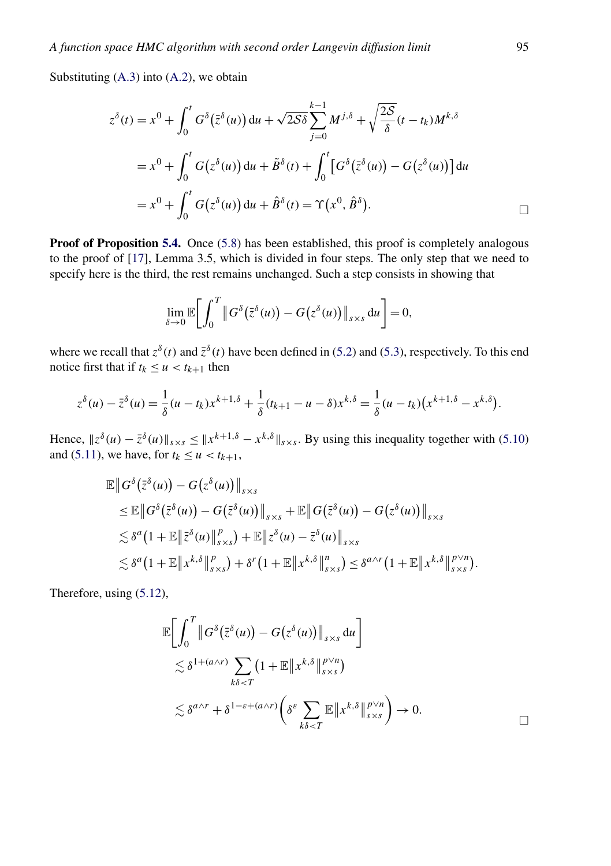Substituting [\(A.3\)](#page-34-0) into [\(A.2\)](#page-34-0), we obtain

$$
z^{\delta}(t) = x^0 + \int_0^t G^{\delta}(\bar{z}^{\delta}(u)) du + \sqrt{2\delta \delta} \sum_{j=0}^{k-1} M^{j,\delta} + \sqrt{\frac{2\delta}{\delta}} (t - t_k) M^{k,\delta}
$$
  

$$
= x^0 + \int_0^t G(z^{\delta}(u)) du + \tilde{B}^{\delta}(t) + \int_0^t [G^{\delta}(\bar{z}^{\delta}(u)) - G(z^{\delta}(u))] du
$$
  

$$
= x^0 + \int_0^t G(z^{\delta}(u)) du + \hat{B}^{\delta}(t) = \Upsilon(x^0, \hat{B}^{\delta}).
$$

**Proof of Proposition [5.4.](#page-20-0)** Once [\(5.8\)](#page-18-0) has been established, this proof is completely analogous to the proof of [\[17\]](#page-46-0), Lemma 3.5, which is divided in four steps. The only step that we need to specify here is the third, the rest remains unchanged. Such a step consists in showing that

$$
\lim_{\delta \to 0} \mathbb{E} \bigg[ \int_0^T \big\| G^{\delta}(\bar{z}^{\delta}(u)) - G(z^{\delta}(u)) \big\|_{s \times s} du \bigg] = 0,
$$

where we recall that  $z^{\delta}(t)$  and  $\overline{z}^{\delta}(t)$  have been defined in [\(5.2\)](#page-18-0) and [\(5.3\)](#page-18-0), respectively. To this end notice first that if  $t_k \le u < t_{k+1}$  then

$$
z^{\delta}(u) - \bar{z}^{\delta}(u) = \frac{1}{\delta}(u - t_k)x^{k+1,\delta} + \frac{1}{\delta}(t_{k+1} - u - \delta)x^{k,\delta} = \frac{1}{\delta}(u - t_k)(x^{k+1,\delta} - x^{k,\delta}).
$$

Hence,  $\|z^{\delta}(u) - \bar{z}^{\delta}(u)\|_{s \times s} \leq \|x^{k+1,\delta} - x^{k,\delta}\|_{s \times s}$ . By using this inequality together with [\(5.10\)](#page-19-0) and [\(5.11\)](#page-19-0), we have, for  $t_k \le u < t_{k+1}$ ,

$$
\mathbb{E} \|G^{\delta}(\bar{z}^{\delta}(u)) - G(z^{\delta}(u))\|_{s \times s} \n\leq \mathbb{E} \|G^{\delta}(\bar{z}^{\delta}(u)) - G(\bar{z}^{\delta}(u))\|_{s \times s} + \mathbb{E} \|G(\bar{z}^{\delta}(u)) - G(z^{\delta}(u))\|_{s \times s} \n\lesssim \delta^{a} (1 + \mathbb{E} \|\bar{z}^{\delta}(u)\|_{s \times s}^{p}) + \mathbb{E} \|\bar{z}^{\delta}(u) - \bar{z}^{\delta}(u)\|_{s \times s} \n\lesssim \delta^{a} (1 + \mathbb{E} \|x^{k,\delta}\|_{s \times s}^{p}) + \delta^{r} (1 + \mathbb{E} \|x^{k,\delta}\|_{s \times s}^{n}) \leq \delta^{a \wedge r} (1 + \mathbb{E} \|x^{k,\delta}\|_{s \times s}^{p}) .
$$

Therefore, using [\(5.12\)](#page-19-0),

$$
\mathbb{E}\bigg[\int_0^T \big\|G^{\delta}\big(\bar{z}^{\delta}(u)\big) - G\big(z^{\delta}(u)\big)\big\|_{s\times s} du\bigg] \leq \delta^{1 + (a \wedge r)} \sum_{k\delta < T} \big(1 + \mathbb{E}\|x^{k,\delta}\|_{s\times s}^{p \vee n}\big) \leq \delta^{a \wedge r} + \delta^{1 - \varepsilon + (a \wedge r)} \bigg(\delta^{\varepsilon} \sum_{k\delta < T} \mathbb{E}\|x^{k,\delta}\|_{s\times s}^{p \vee n}\bigg) \to 0.
$$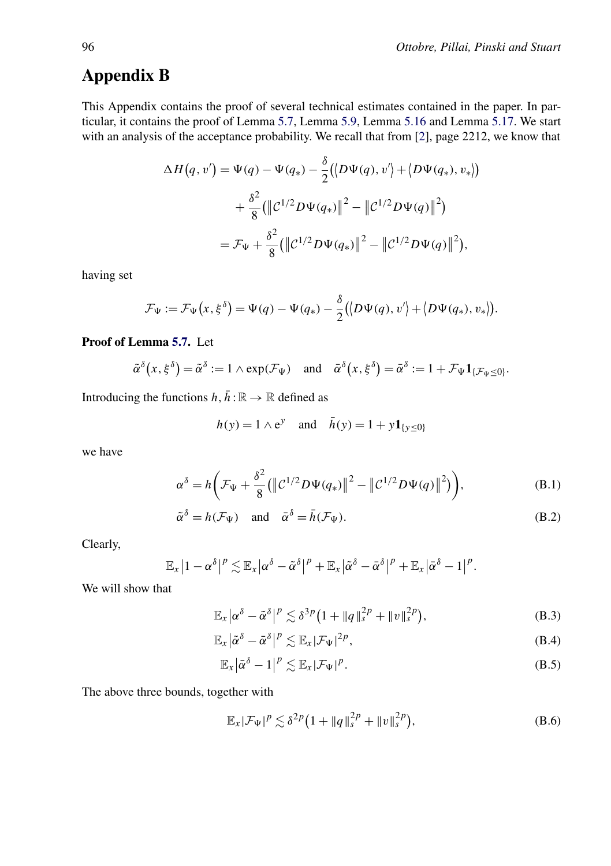# <span id="page-36-0"></span>**Appendix B**

This Appendix contains the proof of several technical estimates contained in the paper. In particular, it contains the proof of Lemma [5.7,](#page-21-0) Lemma [5.9,](#page-22-0) Lemma [5.16](#page-30-0) and Lemma [5.17.](#page-30-0) We start with an analysis of the acceptance probability. We recall that from [\[2\]](#page-45-0), page 2212, we know that

$$
\Delta H(q, v') = \Psi(q) - \Psi(q_*) - \frac{\delta}{2} (\langle D\Psi(q), v' \rangle + \langle D\Psi(q_*), v_* \rangle)
$$
  
+ 
$$
\frac{\delta^2}{8} (\langle |C^{1/2}D\Psi(q_*)|^2 - |C^{1/2}D\Psi(q)|^2)
$$
  
= 
$$
\mathcal{F}_{\Psi} + \frac{\delta^2}{8} (\langle |C^{1/2}D\Psi(q_*)|^2 - |C^{1/2}D\Psi(q)|^2),
$$

having set

$$
\mathcal{F}_{\Psi} := \mathcal{F}_{\Psi}(x,\xi^{\delta}) = \Psi(q) - \Psi(q_*) - \frac{\delta}{2} ( \langle D\Psi(q), v' \rangle + \langle D\Psi(q_*), v_* \rangle ).
$$

#### **Proof of Lemma [5.7.](#page-21-0)** Let

$$
\tilde{\alpha}^{\delta}\big(x,\xi^{\delta}\big)=\tilde{\alpha}^{\delta}:=1 \wedge \exp(\mathcal{F}_{\Psi}) \quad \text{and} \quad \bar{\alpha}^{\delta}\big(x,\xi^{\delta}\big)=\bar{\alpha}^{\delta}:=1+\mathcal{F}_{\Psi}\mathbf{1}_{\{\mathcal{F}_{\Psi}\leq 0\}}.
$$

Introducing the functions  $h, \bar{h} : \mathbb{R} \to \mathbb{R}$  defined as

$$
h(y) = 1 \wedge e^y
$$
 and  $\bar{h}(y) = 1 + y \mathbf{1}_{\{y \le 0\}}$ 

we have

$$
\alpha^{\delta} = h \bigg( \mathcal{F}_{\Psi} + \frac{\delta^2}{8} \big( \big\| \mathcal{C}^{1/2} D \Psi(q_*) \big\|^2 - \big\| \mathcal{C}^{1/2} D \Psi(q) \big\|^2 \big) \bigg), \tag{B.1}
$$

$$
\tilde{\alpha}^{\delta} = h(\mathcal{F}_{\Psi}) \quad \text{and} \quad \bar{\alpha}^{\delta} = \bar{h}(\mathcal{F}_{\Psi}). \tag{B.2}
$$

Clearly,

$$
\mathbb{E}_x\big|1-\alpha^\delta\big|^p\lesssim \mathbb{E}_x\big|\alpha^\delta-\tilde{\alpha}^\delta\big|^p+\mathbb{E}_x\big|\tilde{\alpha}^\delta-\bar{\alpha}^\delta\big|^p+\mathbb{E}_x\big|\tilde{\alpha}^\delta-1\big|^p.
$$

We will show that

$$
\mathbb{E}_x \left| \alpha^{\delta} - \tilde{\alpha}^{\delta} \right|^p \lesssim \delta^{3p} \left( 1 + \|q\|_s^{2p} + \|v\|_s^{2p} \right),\tag{B.3}
$$

$$
\mathbb{E}_x \left| \tilde{\alpha}^\delta - \bar{\alpha}^\delta \right|^p \lesssim \mathbb{E}_x |\mathcal{F}_{\Psi}|^{2p},\tag{B.4}
$$

$$
\mathbb{E}_x \big| \bar{\alpha}^{\delta} - 1 \big|^p \lesssim \mathbb{E}_x |\mathcal{F}_{\Psi}|^p.
$$
 (B.5)

The above three bounds, together with

$$
\mathbb{E}_x|\mathcal{F}_{\Psi}|^p \lesssim \delta^{2p} \big(1 + \|q\|_s^{2p} + \|v\|_s^{2p}\big),\tag{B.6}
$$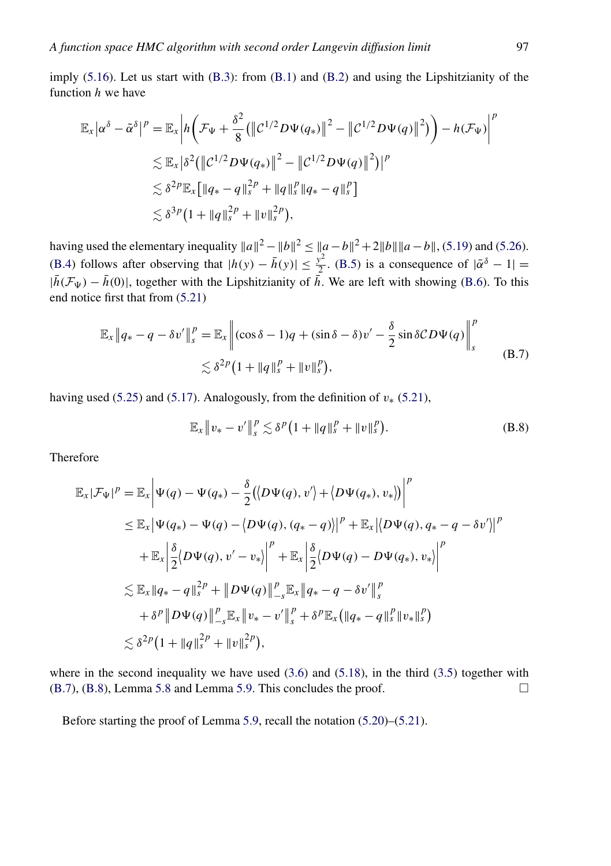imply [\(5.16\)](#page-21-0). Let us start with [\(B.3\)](#page-36-0): from [\(B.1\)](#page-36-0) and [\(B.2\)](#page-36-0) and using the Lipshitzianity of the function *h* we have

$$
\mathbb{E}_{x} |\alpha^{\delta} - \tilde{\alpha}^{\delta}|^{p} = \mathbb{E}_{x} \left| h \left( \mathcal{F}_{\Psi} + \frac{\delta^{2}}{8} (\| \mathcal{C}^{1/2} D \Psi(q_{*}) \|^{2} - \| \mathcal{C}^{1/2} D \Psi(q) \|^{2}) \right) - h(\mathcal{F}_{\Psi}) \right|^{p}
$$
  
\n
$$
\lesssim \mathbb{E}_{x} |\delta^{2} (\| \mathcal{C}^{1/2} D \Psi(q_{*}) \|^{2} - \| \mathcal{C}^{1/2} D \Psi(q) \|^{2}) |^{p}
$$
  
\n
$$
\lesssim \delta^{2p} \mathbb{E}_{x} [\| q_{*} - q \|_{s}^{2p} + \| q \|_{s}^{p} \| q_{*} - q \|_{s}^{p}]
$$
  
\n
$$
\lesssim \delta^{3p} (1 + \| q \|_{s}^{2p} + \| v \|_{s}^{2p}),
$$

having used the elementary inequality  $||a||^2 - ||b||^2 \le ||a-b||^2 + 2||b|| ||a-b||$ , [\(5.19\)](#page-22-0) and [\(5.26\)](#page-22-0). [\(B.4\)](#page-36-0) follows after observing that  $|h(y) - \bar{h}(y)| \leq \frac{y^2}{2}$ . [\(B.5\)](#page-36-0) is a consequence of  $|\bar{\alpha}^{\delta} - 1|$  =  $|\bar{h}(\mathcal{F}_{\Psi}) - \bar{h}(0)|$ , together with the Lipshitzianity of  $\bar{h}$ . We are left with showing [\(B.6\)](#page-36-0). To this end notice first that from [\(5.21\)](#page-22-0)

$$
\mathbb{E}_x \|q_* - q - \delta v'\|_s^p = \mathbb{E}_x \left\| (\cos \delta - 1)q + (\sin \delta - \delta)v' - \frac{\delta}{2} \sin \delta CD\Psi(q) \right\|_s^p
$$
  

$$
\lesssim \delta^{2p} \left(1 + \|q\|_s^p + \|v\|_s^p\right), \tag{B.7}
$$

having used [\(5.25\)](#page-22-0) and [\(5.17\)](#page-22-0). Analogously, from the definition of  $v<sub>*</sub>$  [\(5.21\)](#page-22-0),

$$
\mathbb{E}_x \| v_* - v' \|_s^p \lesssim \delta^p (1 + \|q\|_s^p + \|v\|_s^p). \tag{B.8}
$$

Therefore

$$
\mathbb{E}_{x}|\mathcal{F}_{\Psi}|^{p} = \mathbb{E}_{x} \left| \Psi(q) - \Psi(q_{*}) - \frac{\delta}{2} (\langle D\Psi(q), v' \rangle + \langle D\Psi(q_{*}), v_{*} \rangle) \right|^{p}
$$
\n
$$
\leq \mathbb{E}_{x} |\Psi(q_{*}) - \Psi(q) - \langle D\Psi(q), (q_{*} - q) \rangle|^{p} + \mathbb{E}_{x} | \langle D\Psi(q), q_{*} - q - \delta v' \rangle|^{p}
$$
\n
$$
+ \mathbb{E}_{x} \left| \frac{\delta}{2} \langle D\Psi(q), v' - v_{*} \rangle \right|^{p} + \mathbb{E}_{x} \left| \frac{\delta}{2} \langle D\Psi(q) - D\Psi(q_{*}), v_{*} \rangle \right|^{p}
$$
\n
$$
\leq \mathbb{E}_{x} ||q_{*} - q||_{s}^{2p} + ||D\Psi(q)||_{-s}^{p} \mathbb{E}_{x} ||q_{*} - q - \delta v' ||_{s}^{p}
$$
\n
$$
+ \delta^{p} ||D\Psi(q)||_{-s}^{p} \mathbb{E}_{x} ||v_{*} - v' ||_{s}^{p} + \delta^{p} \mathbb{E}_{x} (||q_{*} - q||_{s}^{p} ||v_{*}||_{s}^{p})
$$
\n
$$
\leq \delta^{2p} (1 + ||q||_{s}^{2p} + ||v||_{s}^{2p}),
$$

where in the second inequality we have used  $(3.6)$  and  $(5.18)$ , in the third  $(3.5)$  together with  $(B.7)$ ,  $(B.8)$ , Lemma [5.8](#page-22-0) and Lemma [5.9.](#page-22-0) This concludes the proof.

Before starting the proof of Lemma [5.9,](#page-22-0) recall the notation [\(5.20\)](#page-22-0)–[\(5.21\)](#page-22-0).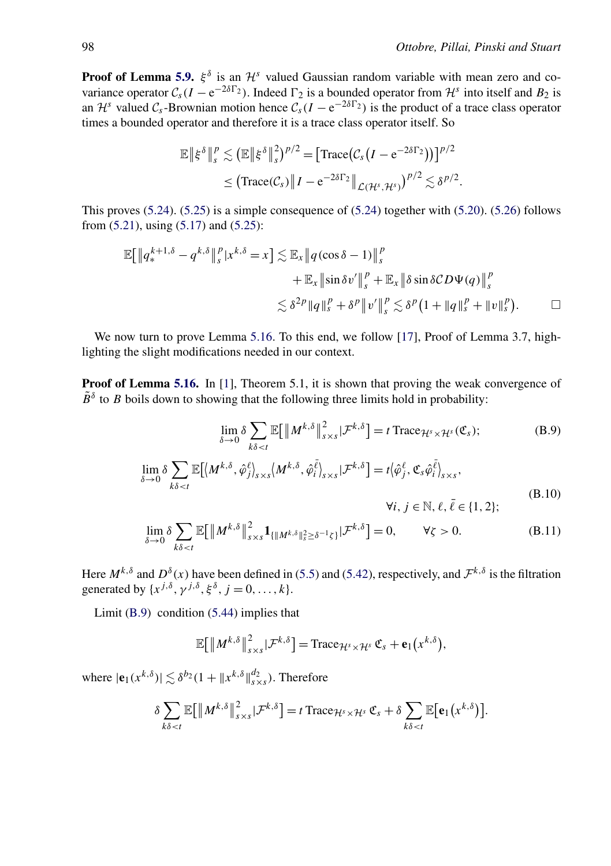<span id="page-38-0"></span>**Proof of Lemma [5.9.](#page-22-0)**  $\xi^{\delta}$  is an  $\mathcal{H}^{s}$  valued Gaussian random variable with mean zero and covariance operator  $C_s(I - e^{-2\delta\Gamma_2})$ . Indeed  $\Gamma_2$  is a bounded operator from  $\mathcal{H}^s$  into itself and  $B_2$  is an  $\mathcal{H}^s$  valued  $\mathcal{C}_s$ -Brownian motion hence  $\mathcal{C}_s(I - e^{-2\delta\Gamma_2})$  is the product of a trace class operator times a bounded operator and therefore it is a trace class operator itself. So

$$
\mathbb{E} \left\| \xi^{\delta} \right\|_{s}^{p} \lesssim \left( \mathbb{E} \left\| \xi^{\delta} \right\|_{s}^{2} \right)^{p/2} = \left[ \text{Trace} \left( C_{s} \left( I - e^{-2\delta \Gamma_{2}} \right) \right) \right]^{p/2} \leq \left( \text{Trace} \left( C_{s} \right) \left\| I - e^{-2\delta \Gamma_{2}} \right\|_{\mathcal{L}(\mathcal{H}^{s}, \mathcal{H}^{s})} \right)^{p/2} \lesssim \delta^{p/2}.
$$

This proves  $(5.24)$ .  $(5.25)$  is a simple consequence of  $(5.24)$  together with  $(5.20)$ .  $(5.26)$  follows from [\(5.21\)](#page-22-0), using [\(5.17\)](#page-22-0) and [\(5.25\)](#page-22-0):

$$
\mathbb{E}[\|q_s^{k+1,\delta} - q^{k,\delta}\|_s^p |x^{k,\delta} = x] \lesssim \mathbb{E}_x \|q(\cos\delta - 1)\|_s^p
$$
  
+ 
$$
\mathbb{E}_x \|\sin\delta v'\|_s^p + \mathbb{E}_x \|\delta\sin\delta CD\Psi(q)\|_s^p
$$
  

$$
\lesssim \delta^{2p} \|q\|_s^p + \delta^p \|v'\|_s^p \lesssim \delta^p (1 + \|q\|_s^p + \|v\|_s^p).
$$

We now turn to prove Lemma [5.16.](#page-30-0) To this end, we follow [\[17\]](#page-46-0), Proof of Lemma 3.7, highlighting the slight modifications needed in our context.

**Proof of Lemma [5.16.](#page-30-0)** In [\[1\]](#page-45-0), Theorem 5.1, it is shown that proving the weak convergence of  $\tilde{B}^{\delta}$  to *B* boils down to showing that the following three limits hold in probability:

$$
\lim_{\delta \to 0} \delta \sum_{k\delta < t} \mathbb{E} \big[ \left\| M^{k,\delta} \right\|_{s \times s}^2 | \mathcal{F}^{k,\delta} \big] = t \operatorname{Trace}_{\mathcal{H}^s \times \mathcal{H}^s}(\mathfrak{C}_s); \tag{B.9}
$$

$$
\lim_{\delta \to 0} \delta \sum_{k\delta < t} \mathbb{E} \left[ \langle M^{k,\delta}, \hat{\varphi}_j^{\ell} \rangle_{s \times s} \langle M^{k,\delta}, \hat{\varphi}_i^{\bar{\ell}} \rangle_{s \times s} | \mathcal{F}^{k,\delta} \right] = t \langle \hat{\varphi}_j^{\ell}, \mathfrak{C}_s \hat{\varphi}_i^{\bar{\ell}} \rangle_{s \times s},
$$
\n
$$
\forall i, j \in \mathbb{N}, \ell, \bar{\ell} \in \{1, 2\};
$$
\n
$$
\lim_{k \to \infty} \sum_{k \in \mathbb{N}} \mathbb{E} \left[ \|\mathcal{M}^{k,\delta}\|^2 - 1\right] \quad \text{for } k \in \mathbb{N}, \ell, \bar{\ell} \in \{1, 2\};
$$
\n
$$
\tag{B.10}
$$

$$
\lim_{\delta \to 0} \delta \sum_{k\delta < t} \mathbb{E} \big[ \big\| M^{k,\delta} \big\|_{s \times s}^2 \mathbf{1}_{\{\| M^{k,\delta} \|^2_s \ge \delta^{-1} \zeta\}} | \mathcal{F}^{k,\delta} \big] = 0, \qquad \forall \zeta > 0. \tag{B.11}
$$

Here  $M^{k,\delta}$  and  $D^{\delta}(x)$  have been defined in [\(5.5\)](#page-18-0) and [\(5.42\)](#page-29-0), respectively, and  $\mathcal{F}^{k,\delta}$  is the filtration generated by  $\{x^{j,\delta}, \gamma^{j,\delta}, \xi^{\delta}, j = 0, ..., k\}.$ 

Limit (B.9) condition [\(5.44\)](#page-29-0) implies that

$$
\mathbb{E}\big[\left\|M^{k,\delta}\right\|^2_{s\times s}|\mathcal{F}^{k,\delta}=\text{Trace}_{\mathcal{H}^s\times\mathcal{H}^s}\mathfrak{C}_s+\mathbf{e}_1(x^{k,\delta}),
$$

where  $|\mathbf{e}_1(x^{k,\delta})| \lesssim \delta^{b_2} (1 + \|x^{k,\delta}\|_{s \times s}^{d_2})$ . Therefore

$$
\delta \sum_{k\delta < t} \mathbb{E}\big[\left\|M^{k,\delta}\right\|_{s\times s}^2 |\mathcal{F}^{k,\delta} \big] = t \operatorname{Trace}_{\mathcal{H}^s\times \mathcal{H}^s} \mathfrak{C}_s + \delta \sum_{k\delta < t} \mathbb{E}\big[\mathbf{e}_1\big(x^{k,\delta}\big)\big].
$$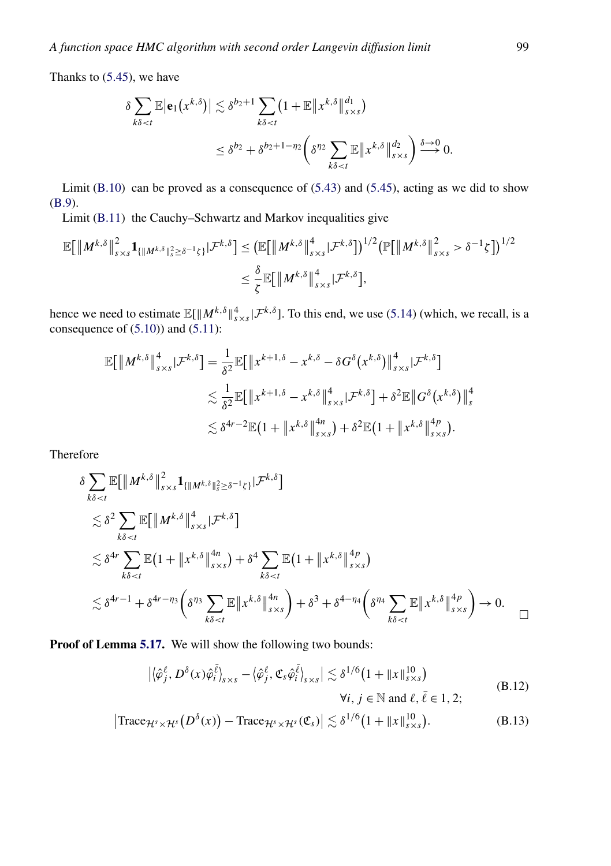<span id="page-39-0"></span>Thanks to [\(5.45\)](#page-30-0), we have

$$
\delta \sum_{k\delta < t} \mathbb{E} \left| \mathbf{e}_1 \left( x^{k,\delta} \right) \right| \lesssim \delta^{b_2+1} \sum_{k\delta < t} \left( 1 + \mathbb{E} \left\| x^{k,\delta} \right\|_{s \times s}^{d_1} \right) \\
\leq \delta^{b_2} + \delta^{b_2+1-\eta_2} \left( \delta^{\eta_2} \sum_{k\delta < t} \mathbb{E} \left\| x^{k,\delta} \right\|_{s \times s}^{d_2} \right) \stackrel{\delta \to 0}{\longrightarrow} 0.
$$

Limit  $(B.10)$  can be proved as a consequence of  $(5.43)$  and  $(5.45)$ , acting as we did to show [\(B.9\)](#page-38-0).

Limit [\(B.11\)](#page-38-0) the Cauchy–Schwartz and Markov inequalities give

$$
\mathbb{E}[\left\|M^{k,\delta}\right\|_{s\times s}^{2}\mathbf{1}_{\{\|M^{k,\delta}\|_{s}^{2}\geq\delta^{-1}\zeta\}}|\mathcal{F}^{k,\delta}]\leq \left(\mathbb{E}[\left\|M^{k,\delta}\right\|_{s\times s}^{4}|\mathcal{F}^{k,\delta}]\right)^{1/2}\left(\mathbb{P}[\left\|M^{k,\delta}\right\|_{s\times s}^{2}>\delta^{-1}\zeta\right]\right)^{1/2}
$$

$$
\leq \frac{\delta}{\zeta}\mathbb{E}[\left\|M^{k,\delta}\right\|_{s\times s}^{4}|\mathcal{F}^{k,\delta}],
$$

hence we need to estimate  $\mathbb{E}[\|M^{k,\delta}\|_{s\times s}^4 | \mathcal{F}^{k,\delta}]$ . To this end, we use [\(5.14\)](#page-20-0) (which, we recall, is a consequence of  $(5.10)$  and  $(5.11)$ :

$$
\mathbb{E}[\|M^{k,\delta}\|_{s\times s}^4 | \mathcal{F}^{k,\delta}] = \frac{1}{\delta^2} \mathbb{E}[\|x^{k+1,\delta} - x^{k,\delta} - \delta G^{\delta}(x^{k,\delta})\|_{s\times s}^4 | \mathcal{F}^{k,\delta}]
$$
  

$$
\lesssim \frac{1}{\delta^2} \mathbb{E}[\|x^{k+1,\delta} - x^{k,\delta}\|_{s\times s}^4 | \mathcal{F}^{k,\delta}] + \delta^2 \mathbb{E} \|G^{\delta}(x^{k,\delta})\|_{s}^4
$$
  

$$
\lesssim \delta^{4r-2} \mathbb{E}(1 + \|x^{k,\delta}\|_{s\times s}^4) + \delta^2 \mathbb{E}(1 + \|x^{k,\delta}\|_{s\times s}^4).
$$

Therefore

$$
\delta \sum_{k\delta\n
$$
\lesssim \delta^2 \sum_{k\delta\n
$$
\lesssim \delta^{4r} \sum_{k\delta\n
$$
\lesssim \delta^{4r-1} + \delta^{4r- \eta_3} \left(\delta^{\eta_3} \sum_{k\delta
$$
$$
$$
$$

**Proof of Lemma [5.17.](#page-30-0)** We will show the following two bounds:

$$
\left| \langle \hat{\varphi}_j^{\ell}, D^{\delta}(x) \hat{\varphi}_i^{\bar{\ell}} \rangle_{s \times s} - \langle \hat{\varphi}_j^{\ell}, \mathfrak{C}_s \hat{\varphi}_i^{\bar{\ell}} \rangle_{s \times s} \right| \lesssim \delta^{1/6} \left( 1 + \|x\|_{s \times s}^{10} \right)
$$
\n
$$
\forall i, j \in \mathbb{N} \text{ and } \ell, \bar{\ell} \in 1, 2;
$$
\n(B.12)\n
$$
\left| \sum_{j=1}^{n} \langle D^{\delta}(x) \rangle - \sum_{j=1}^{n} \langle D^{\delta}(x) \rangle \right| \le \delta^{1/6} \left( 1 + \|x\|_{s \times s}^{10} \right)
$$

$$
\left|\text{Trace}_{\mathcal{H}^s \times \mathcal{H}^s}\big(D^{\delta}(x)\big) - \text{Trace}_{\mathcal{H}^s \times \mathcal{H}^s}(\mathfrak{C}_s)\right| \lesssim \delta^{1/6}\big(1 + \|x\|_{s \times s}^{10}\big). \tag{B.13}
$$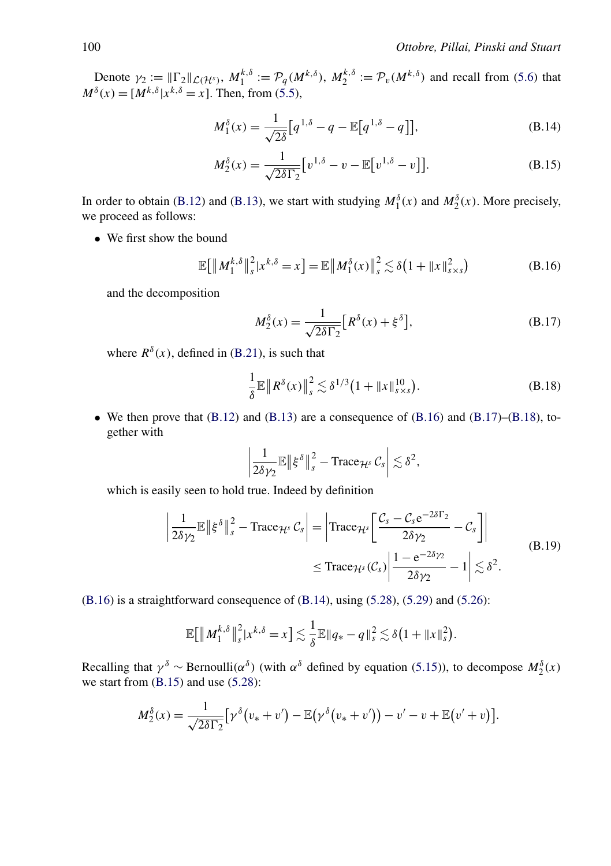<span id="page-40-0"></span>Denote  $\gamma_2 := ||\Gamma_2||_{\mathcal{L}(\mathcal{H}^s)}$ ,  $M_1^{k,\delta} := \mathcal{P}_q(M^{k,\delta})$ ,  $M_2^{k,\delta} := \mathcal{P}_v(M^{k,\delta})$  and recall from [\(5.6\)](#page-18-0) that  $M^{\delta}(x) = [M^{k,\delta}|x^{k,\delta} = x]$ . Then, from [\(5.5\)](#page-18-0),

$$
M_1^{\delta}(x) = \frac{1}{\sqrt{2\delta}} [q^{1,\delta} - q - \mathbb{E}[q^{1,\delta} - q]],
$$
 (B.14)

$$
M_2^{\delta}(x) = \frac{1}{\sqrt{2\delta\Gamma_2}} \left[ v^{1,\delta} - v - \mathbb{E}\left[ v^{1,\delta} - v \right] \right].
$$
 (B.15)

In order to obtain [\(B.12\)](#page-39-0) and [\(B.13\)](#page-39-0), we start with studying  $M_1^{\delta}(x)$  and  $M_2^{\delta}(x)$ . More precisely, we proceed as follows:

• We first show the bound

$$
\mathbb{E}\big[\|M_1^{k,\delta}\|_{s}^{2}|x^{k,\delta}=x\big]=\mathbb{E}\|M_1^{\delta}(x)\|_{s}^{2}\lesssim\delta\big(1+\|x\|_{s\times s}^{2}\big)
$$
(B.16)

and the decomposition

$$
M_2^{\delta}(x) = \frac{1}{\sqrt{2\delta\Gamma_2}} \left[ R^{\delta}(x) + \xi^{\delta} \right],
$$
 (B.17)

where  $R^{\delta}(x)$ , defined in [\(B.21\)](#page-41-0), is such that

$$
\frac{1}{\delta} \mathbb{E} \| R^{\delta}(x) \|_{s}^{2} \lesssim \delta^{1/3} (1 + \|x\|_{s \times s}^{10}). \tag{B.18}
$$

• We then prove that  $(B.12)$  and  $(B.13)$  are a consequence of  $(B.16)$  and  $(B.17)$ – $(B.18)$ , together with

$$
\left|\frac{1}{2\delta\gamma_2}\mathbb{E}\right\|\xi^{\delta}\right\|_{s}^{2}-\operatorname{Trace}_{\mathcal{H}^{s}}\mathcal{C}_{s}\right|\lesssim\delta^{2},
$$

which is easily seen to hold true. Indeed by definition

$$
\left| \frac{1}{2\delta\gamma_2} \mathbb{E} \left\| \xi^{\delta} \right\|_s^2 - \text{Trace}_{\mathcal{H}^s} \mathcal{C}_s \right| = \left| \text{Trace}_{\mathcal{H}^s} \left[ \frac{\mathcal{C}_s - \mathcal{C}_s e^{-2\delta \Gamma_2}}{2\delta\gamma_2} - \mathcal{C}_s \right] \right|
$$
  
\$\leq\$ Trace}\_{\mathcal{H}^s} (\mathcal{C}\_s) \left| \frac{1 - e^{-2\delta\gamma\_2}}{2\delta\gamma\_2} - 1 \right| \lesssim \delta^2. \tag{B.19}

 $(B.16)$  is a straightforward consequence of  $(B.14)$ , using  $(5.28)$ ,  $(5.29)$  and  $(5.26)$ :

$$
\mathbb{E}\big[\left\|M_1^{k,\delta}\right\|_{s}^{2}|x^{k,\delta}=x\big]\lesssim\frac{1}{\delta}\mathbb{E}\|q_{*}-q\|_{s}^{2}\lesssim\delta\big(1+\|x\|_{s}^{2}\big).
$$

Recalling that  $\gamma^{\delta} \sim$  Bernoulli $(\alpha^{\delta})$  (with  $\alpha^{\delta}$  defined by equation [\(5.15\)](#page-21-0)), to decompose  $M_2^{\delta}(x)$ we start from (B.15) and use [\(5.28\)](#page-23-0):

$$
M_2^{\delta}(x) = \frac{1}{\sqrt{2\delta\Gamma_2}}\big[\gamma^{\delta}(v_*+v') - \mathbb{E}(\gamma^{\delta}(v_*+v')) - v' - v + \mathbb{E}(v'+v)\big].
$$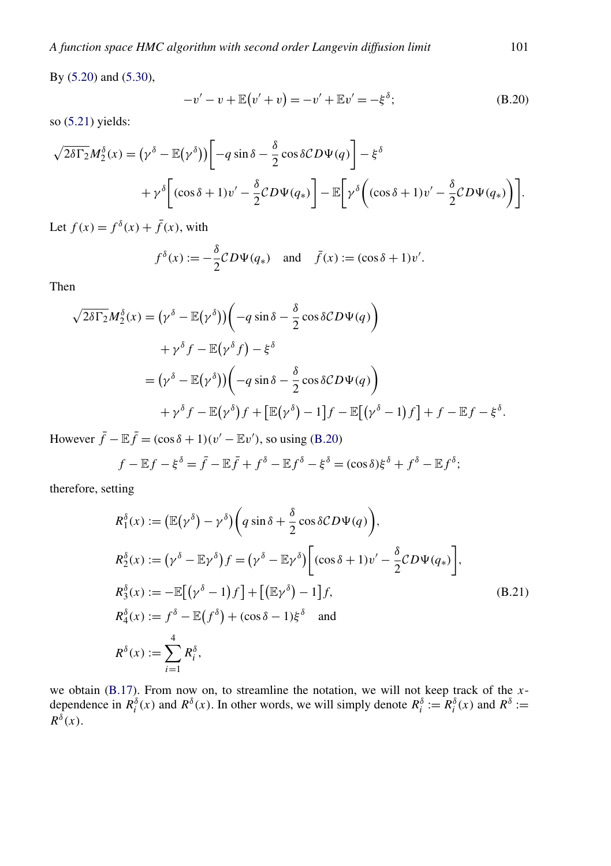<span id="page-41-0"></span>By [\(5.20\)](#page-22-0) and [\(5.30\)](#page-24-0),

$$
-v' - v + \mathbb{E}(v' + v) = -v' + \mathbb{E}v' = -\xi^{\delta};
$$
 (B.20)

so [\(5.21\)](#page-22-0) yields:

$$
\sqrt{2\delta\Gamma_2}M_2^{\delta}(x) = (\gamma^{\delta} - \mathbb{E}(\gamma^{\delta})) \bigg[ -q \sin\delta - \frac{\delta}{2}\cos\delta CD\Psi(q) \bigg] - \xi^{\delta}
$$
  
+ 
$$
\gamma^{\delta} \bigg[ (\cos\delta + 1)v' - \frac{\delta}{2}CD\Psi(q_*) \bigg] - \mathbb{E} \bigg[ \gamma^{\delta} \bigg( (\cos\delta + 1)v' - \frac{\delta}{2}CD\Psi(q_*) \bigg) \bigg].
$$

Let  $f(x) = f^{\delta}(x) + \bar{f}(x)$ , with

$$
f^{\delta}(x) := -\frac{\delta}{2}CD\Psi(q_*)
$$
 and  $\bar{f}(x) := (\cos \delta + 1)v'.$ 

Then

$$
\sqrt{2\delta\Gamma_2}M_2^{\delta}(x) = (\gamma^{\delta} - \mathbb{E}(\gamma^{\delta})) \left( -q\sin\delta - \frac{\delta}{2}\cos\delta CD\Psi(q) \right)
$$
  
+  $\gamma^{\delta}f - \mathbb{E}(\gamma^{\delta}f) - \xi^{\delta}$   
=  $(\gamma^{\delta} - \mathbb{E}(\gamma^{\delta})) \left( -q\sin\delta - \frac{\delta}{2}\cos\delta CD\Psi(q) \right)$   
+  $\gamma^{\delta}f - \mathbb{E}(\gamma^{\delta})f + \left[ \mathbb{E}(\gamma^{\delta}) - 1 \right]f - \mathbb{E}[(\gamma^{\delta} - 1)f] + f - \mathbb{E}f - \xi^{\delta}.$ 

However  $\bar{f} - \mathbb{E}\bar{f} = (\cos \delta + 1)(v' - \mathbb{E}v')$ , so using (B.20)

$$
f - \mathbb{E}f - \xi^{\delta} = \bar{f} - \mathbb{E}\bar{f} + f^{\delta} - \mathbb{E}f^{\delta} - \xi^{\delta} = (\cos \delta)\xi^{\delta} + f^{\delta} - \mathbb{E}f^{\delta};
$$

therefore, setting

$$
R_1^{\delta}(x) := (\mathbb{E}(\gamma^{\delta}) - \gamma^{\delta}) \Big( q \sin \delta + \frac{\delta}{2} \cos \delta CD\Psi(q) \Big),
$$
  
\n
$$
R_2^{\delta}(x) := (\gamma^{\delta} - \mathbb{E}\gamma^{\delta}) f = (\gamma^{\delta} - \mathbb{E}\gamma^{\delta}) \Big[ (\cos \delta + 1) v' - \frac{\delta}{2} CD\Psi(q_*) \Big],
$$
  
\n
$$
R_3^{\delta}(x) := -\mathbb{E}[(\gamma^{\delta} - 1)f] + [(\mathbb{E}\gamma^{\delta}) - 1]f,
$$
  
\n
$$
R_4^{\delta}(x) := f^{\delta} - \mathbb{E}(f^{\delta}) + (\cos \delta - 1)\xi^{\delta} \text{ and}
$$
  
\n
$$
R^{\delta}(x) := \sum_{i=1}^{4} R_i^{\delta},
$$
  
\n(B.21)

we obtain [\(B.17\)](#page-40-0). From now on, to streamline the notation, we will not keep track of the *x*dependence in  $R_i^{\delta}(x)$  and  $R^{\delta}(x)$ . In other words, we will simply denote  $R_i^{\delta} := R_i^{\delta}(x)$  and  $R^{\delta} :=$  $R^{\delta}(x)$ .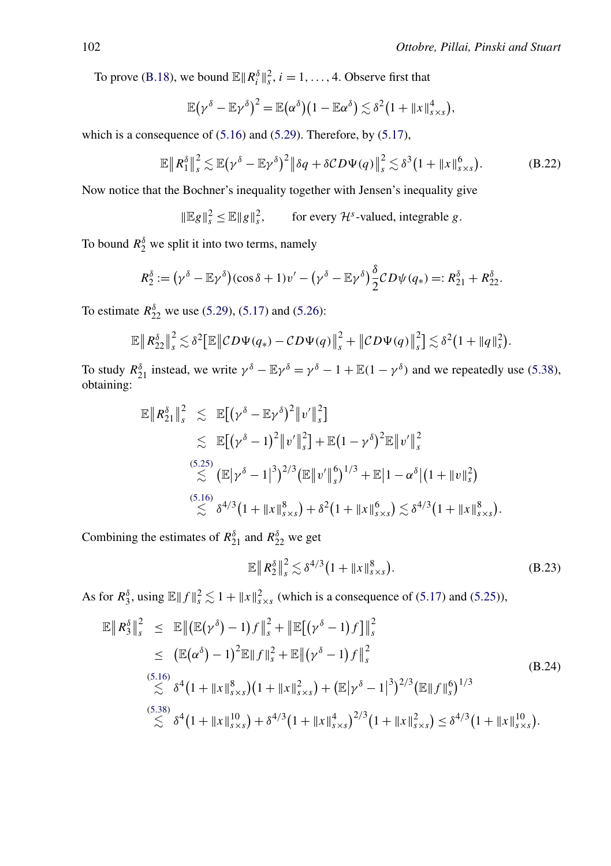<span id="page-42-0"></span>To prove [\(B.18\)](#page-40-0), we bound  $\mathbb{E} \Vert R_i^{\delta} \Vert_s^2$ ,  $i = 1, ..., 4$ . Observe first that

$$
\mathbb{E}(\gamma^{\delta}-\mathbb{E}\gamma^{\delta})^2=\mathbb{E}(\alpha^{\delta})(1-\mathbb{E}\alpha^{\delta})\lesssim \delta^2(1+\|x\|_{s\times s}^4),
$$

which is a consequence of  $(5.16)$  and  $(5.29)$ . Therefore, by  $(5.17)$ ,

$$
\mathbb{E}\left\|R_1^{\delta}\right\|_{s}^{2} \lesssim \mathbb{E}\left(\gamma^{\delta} - \mathbb{E}\gamma^{\delta}\right)^{2}\left\|\delta q + \delta CD\Psi(q)\right\|_{s}^{2} \lesssim \delta^{3}\left(1 + \|x\|_{s \times s}^{6}\right). \tag{B.22}
$$

Now notice that the Bochner's inequality together with Jensen's inequality give

 $\|\mathbb{E}g\|_{s}^{2} \leq \mathbb{E} \|g\|_{s}^{2}$ , for every  $\mathcal{H}^{s}$ -valued, integrable *g*.

To bound  $R_2^{\delta}$  we split it into two terms, namely

$$
R_2^{\delta} := (\gamma^{\delta} - \mathbb{E}\gamma^{\delta})(\cos\delta + 1)v' - (\gamma^{\delta} - \mathbb{E}\gamma^{\delta})\frac{\delta}{2}CD\psi(q_*) =: R_{21}^{\delta} + R_{22}^{\delta}.
$$

To estimate  $R_{22}^{\delta}$  we use [\(5.29\)](#page-24-0), [\(5.17\)](#page-22-0) and [\(5.26\)](#page-22-0):

$$
\mathbb{E}\left\|R_{22}^{\delta}\right\|_{s}^{2} \lesssim \delta^{2}\left[\mathbb{E}\left\|\mathcal{CD}\Psi(q_{*})-\mathcal{CD}\Psi(q)\right\|_{s}^{2}+\left\|\mathcal{CD}\Psi(q)\right\|_{s}^{2}\right] \lesssim \delta^{2}\left(1+\left\|q\right\|_{s}^{2}\right).
$$

To study  $R_{21}^{\delta}$  instead, we write  $\gamma^{\delta} - \mathbb{E}\gamma^{\delta} = \gamma^{\delta} - 1 + \mathbb{E}(1 - \gamma^{\delta})$  and we repeatedly use [\(5.38\)](#page-26-0), obtaining:

$$
\mathbb{E} \|R_{21}^{\delta}\|_{s}^{2} \leq \mathbb{E} [(\gamma^{\delta} - \mathbb{E}\gamma^{\delta})^{2} \|v'\|_{s}^{2}]
$$
  
\n
$$
\leq \mathbb{E} [(\gamma^{\delta} - 1)^{2} \|v'\|_{s}^{2}] + \mathbb{E} (1 - \gamma^{\delta})^{2} \mathbb{E} \|v'\|_{s}^{2}
$$
  
\n(5.25)  
\n
$$
\leq \mathbb{E} [\gamma^{\delta} - 1]^{3})^{2/3} (\mathbb{E} \|v'\|_{s}^{6})^{1/3} + \mathbb{E} |1 - \alpha^{\delta} |(1 + \|v\|_{s}^{2})
$$
  
\n(5.16)  
\n
$$
\leq \delta^{4/3} (1 + \|x\|_{s \times s}^{8}) + \delta^{2} (1 + \|x\|_{s \times s}^{6}) \leq \delta^{4/3} (1 + \|x\|_{s \times s}^{8}).
$$

Combining the estimates of  $R_{21}^{\delta}$  and  $R_{22}^{\delta}$  we get

$$
\mathbb{E} \|R_2^{\delta}\|_{s}^2 \lesssim \delta^{4/3} \big(1 + \|x\|_{s \times s}^8\big). \tag{B.23}
$$

As for  $R_3^{\delta}$ , using  $\mathbb{E} ||f||_s^2 \lesssim 1 + ||x||_{s \times s}^2$  (which is a consequence of [\(5.17\)](#page-22-0) and [\(5.25\)](#page-22-0)),

$$
\mathbb{E} \|R_3^{\delta}\|_s^2 \leq \mathbb{E} \|(\mathbb{E}(\gamma^{\delta}) - 1)f\|_s^2 + \|\mathbb{E}[(\gamma^{\delta} - 1)f]\|_s^2 \n\leq (\mathbb{E}(\alpha^{\delta}) - 1)^2 \mathbb{E} \|f\|_s^2 + \mathbb{E} \|(\gamma^{\delta} - 1)f\|_s^2 \n\lesssim \delta^4 (1 + \|x\|_{s \times s}^8) (1 + \|x\|_{s \times s}^2) + (\mathbb{E}|\gamma^{\delta} - 1|^3)^{2/3} (\mathbb{E} \|f\|_s^6)^{1/3} \n\lesssim \delta^4 (1 + \|x\|_{s \times s}^{10}) + \delta^{4/3} (1 + \|x\|_{s \times s}^4)^{2/3} (1 + \|x\|_{s \times s}^2) \leq \delta^{4/3} (1 + \|x\|_{s \times s}^{10}).
$$
\n(B.24)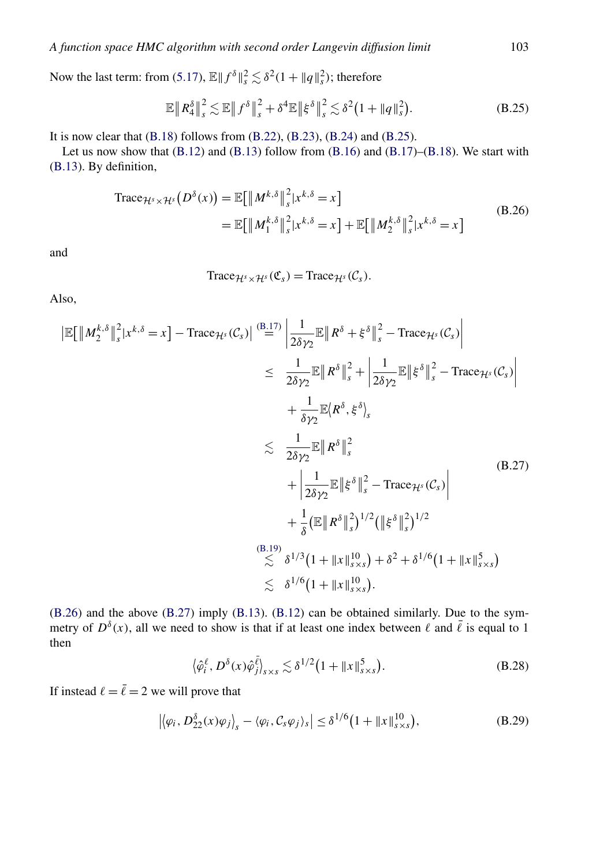<span id="page-43-0"></span>Now the last term: from [\(5.17\)](#page-22-0),  $\mathbb{E} \| f^{\delta} \|_{s}^{2} \lesssim \delta^{2} (1 + \| q \|_{s}^{2})$ ; therefore

$$
\mathbb{E}\left\|R_4^{\delta}\right\|_{s}^{2} \lesssim \mathbb{E}\left\|f^{\delta}\right\|_{s}^{2} + \delta^{4}\mathbb{E}\left\|\xi^{\delta}\right\|_{s}^{2} \lesssim \delta^{2}\left(1 + \|q\|_{s}^{2}\right). \tag{B.25}
$$

It is now clear that  $(B.18)$  follows from  $(B.22)$ ,  $(B.23)$ ,  $(B.24)$  and  $(B.25)$ .

Let us now show that  $(B.12)$  and  $(B.13)$  follow from  $(B.16)$  and  $(B.17)$ – $(B.18)$ . We start with [\(B.13\)](#page-39-0). By definition,

Trace
$$
Trace_{\mathcal{H}^s \times \mathcal{H}^s}(D^\delta(x)) = \mathbb{E}\big[\|M^{k,\delta}\|_s^2 |x^{k,\delta} = x\big]
$$
  
=  $\mathbb{E}\big[\|M_1^{k,\delta}\|_s^2 |x^{k,\delta} = x\big] + \mathbb{E}\big[\|M_2^{k,\delta}\|_s^2 |x^{k,\delta} = x\big]$  (B.26)

and

Trace
$$
\mathcal{H}^s \times \mathcal{H}^s(\mathfrak{C}_s)
$$
 = Trace $\mathcal{H}^s(\mathcal{C}_s)$ .

Also,

$$
\begin{split}\n|\mathbb{E}[\|M_{2}^{k,\delta}\|_{s}^{2}|x^{k,\delta} = x] - \text{Trace}_{\mathcal{H}^{s}}(\mathcal{C}_{s})| \stackrel{\text{(B.17)}}{=} \left| \frac{1}{2\delta\gamma_{2}}\mathbb{E}\|R^{\delta} + \xi^{\delta}\|_{s}^{2} - \text{Trace}_{\mathcal{H}^{s}}(\mathcal{C}_{s}) \right| \\
&\leq \frac{1}{2\delta\gamma_{2}}\mathbb{E}\|R^{\delta}\|_{s}^{2} + \left| \frac{1}{2\delta\gamma_{2}}\mathbb{E}\|\xi^{\delta}\|_{s}^{2} - \text{Trace}_{\mathcal{H}^{s}}(\mathcal{C}_{s}) \right| \\
&\qquad + \frac{1}{\delta\gamma_{2}}\mathbb{E}\|R^{\delta}, \xi^{\delta}\rangle_{s} \\
&\leq \frac{1}{2\delta\gamma_{2}}\mathbb{E}\|R^{\delta}\|_{s}^{2} \\
&\qquad + \left| \frac{1}{2\delta\gamma_{2}}\mathbb{E}\|\xi^{\delta}\|_{s}^{2} - \text{Trace}_{\mathcal{H}^{s}}(\mathcal{C}_{s}) \right| \\
&\qquad + \frac{1}{\delta}\left(\mathbb{E}\|R^{\delta}\|_{s}^{2}\right)^{1/2}\left(\|\xi^{\delta}\|_{s}^{2}\right)^{1/2} \\
&\qquad \qquad + \frac{1}{\delta}\left(\mathbb{E}\|R^{\delta}\|_{s}^{2}\right)^{1/2}\left(\|\xi^{\delta}\|_{s}^{2}\right)^{1/2} \\
&\qquad \qquad + \frac{1}{\delta}\left(\mathbb{E}\|R^{\delta}\|_{s}^{2}\right)^{1/2} + \frac{1}{\delta}\left(\mathbb{E}\|R^{\delta}\|_{s}^{2}\right)^{1/2} \\
&\qquad \qquad + \frac{1}{\delta}\left(\mathbb{E}\|R^{\delta}\|_{s}^{2}\right)^{1/2} + \frac{1}{\delta}\left(\mathbb{E}\|R^{\delta}\|_{s}^{2}\right)^{1/2} \\
&\qquad \qquad + \frac{1}{\delta}\left(\mathbb{E}\|R^{\delta}\|_{s}^{2}\right)^{1/2} + \frac{1}{\delta}\left(\mathbb{E}\|R^{\delta}\|_{s}^{2}\right)^{1/2} \\
&\q
$$

(B.26) and the above (B.27) imply [\(B.13\)](#page-39-0). [\(B.12\)](#page-39-0) can be obtained similarly. Due to the symmetry of  $D^{\delta}(x)$ , all we need to show is that if at least one index between  $\ell$  and  $\bar{\ell}$  is equal to 1 then

$$
\langle \hat{\varphi}_i^{\ell}, D^{\delta}(x) \hat{\varphi}_j^{\bar{\ell}} \rangle_{s \times s} \lesssim \delta^{1/2} \left( 1 + \|x\|_{s \times s}^5 \right). \tag{B.28}
$$

If instead  $\ell = \overline{\ell} = 2$  we will prove that

$$
\left| \left\langle \varphi_i, D^{\delta}_{22}(x)\varphi_j \right\rangle_s - \left\langle \varphi_i, \mathcal{C}_s\varphi_j \right\rangle_s \right| \leq \delta^{1/6} \big( 1 + \|x\|_{s \times s}^{10} \big),\tag{B.29}
$$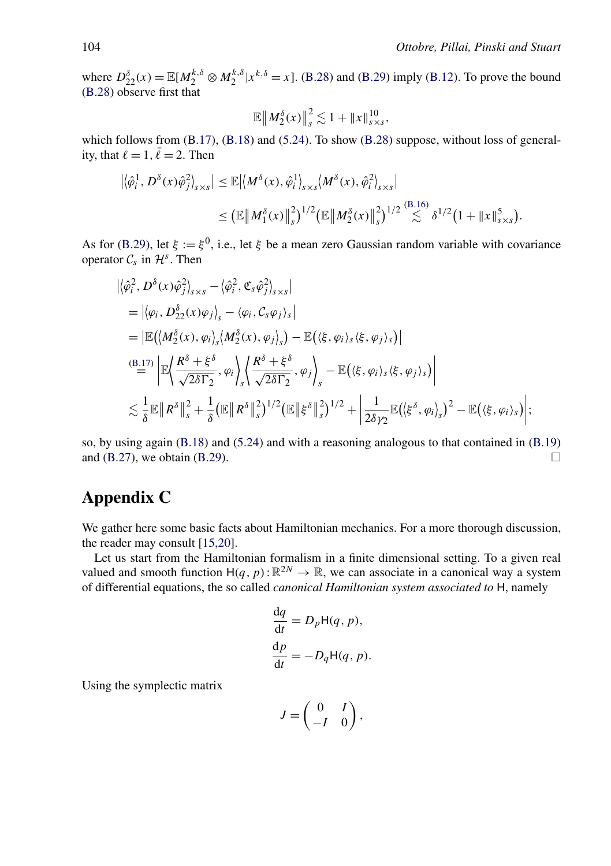<span id="page-44-0"></span>where  $D_{22}^{\delta}(x) = \mathbb{E}[M_2^{k,\delta} \otimes M_2^{k,\delta} | x^{k,\delta} = x]$ . [\(B.28\)](#page-43-0) and [\(B.29\)](#page-43-0) imply [\(B.12\)](#page-39-0). To prove the bound [\(B.28\)](#page-43-0) observe first that

$$
\mathbb{E} \|M_2^{\delta}(x)\|_{s}^2 \lesssim 1 + \|x\|_{s \times s}^{10},
$$

which follows from  $(B.17)$ ,  $(B.18)$  and  $(5.24)$ . To show  $(B.28)$  suppose, without loss of generality, that  $\ell = 1$ ,  $\bar{\ell} = 2$ . Then

$$
\begin{aligned} \left| \langle \hat{\varphi}_i^1, D^{\delta}(x) \hat{\varphi}_j^2 \rangle_{s \times s} \right| &\leq \mathbb{E} \left| \langle M^{\delta}(x), \hat{\varphi}_i^1 \rangle_{s \times s} \langle M^{\delta}(x), \hat{\varphi}_i^2 \rangle_{s \times s} \right| \\ &\leq \left( \mathbb{E} \left| M_1^{\delta}(x) \right|_s^2 \right)^{1/2} \left( \mathbb{E} \left| M_2^{\delta}(x) \right|_s^2 \right)^{1/2} \stackrel{(B.16)}{\lesssim} \delta^{1/2} \left( 1 + \left| x \right|_{s \times s}^5 \right). \end{aligned}
$$

As for [\(B.29\)](#page-43-0), let  $\xi := \xi^0$ , i.e., let  $\xi$  be a mean zero Gaussian random variable with covariance operator  $C_s$  in  $\mathcal{H}^s$ . Then

$$
\begin{split}\n&\left|\langle \hat{\varphi}_i^2, D^\delta(x)\hat{\varphi}_j^2 \rangle_{s \times s} - \langle \hat{\varphi}_i^2, \mathfrak{C}_s \hat{\varphi}_j^2 \rangle_{s \times s}\right| \\
&= \left|\langle \varphi_i, D^\delta_{22}(x)\varphi_j \rangle_s - \langle \varphi_i, \mathcal{C}_s \varphi_j \rangle_s\right| \\
&= \left| \mathbb{E}\big(\langle M^\delta_2(x), \varphi_i \rangle_s \langle M^\delta_2(x), \varphi_j \rangle_s\big) - \mathbb{E}\big(\langle \xi, \varphi_i \rangle_s \langle \xi, \varphi_j \rangle_s\big)\right| \\
&\stackrel{\text{(B.17)}}{=} \left| \mathbb{E}\bigg\langle \frac{R^\delta + \xi^\delta}{\sqrt{2\delta T_2}}, \varphi_i \bigg\rangle_s \left\langle \frac{R^\delta + \xi^\delta}{\sqrt{2\delta T_2}}, \varphi_j \right\rangle_s - \mathbb{E}\big(\langle \xi, \varphi_i \rangle_s \langle \xi, \varphi_j \rangle_s\big)\right| \\
&\lesssim \frac{1}{\delta} \mathbb{E} \left\| R^\delta \right\|_s^2 + \frac{1}{\delta} \left( \mathbb{E} \left\| R^\delta \right\|_s^2 \right)^{1/2} \left( \mathbb{E} \left\| \xi^\delta \right\|_s^2 \right)^{1/2} + \left| \frac{1}{2\delta\gamma_2} \mathbb{E}\big(\langle \xi^\delta, \varphi_i \rangle_s\big)^2 - \mathbb{E}\big(\langle \xi, \varphi_i \rangle_s\big)\right|; \\
&\lesssim \frac{1}{\delta} \mathbb{E} \left\| R^\delta \right\|_s^2 + \frac{1}{\delta} \left( \mathbb{E} \left\| R^\delta \right\|_s^2 \right)^{1/2} \left( \mathbb{E} \left\| \xi^\delta \right\|_s^2 \right)^{1/2} + \left| \frac{1}{2\delta\gamma_2} \mathbb{E}\big(\langle \xi^\delta, \varphi_i \rangle_s\big)^2 - \mathbb{E}\big(\langle \xi, \varphi_i \rangle_s\big)\right|; \\
&\lesssim \frac{1}{\delta} \mathbb{E} \left\| R^\delta \right\|_s^2 + \frac{1}{\delta} \left( \mathbb{E} \left
$$

so, by using again [\(B.18\)](#page-40-0) and [\(5.24\)](#page-22-0) and with a reasoning analogous to that contained in [\(B.19\)](#page-40-0) and [\(B.27\)](#page-43-0), we obtain [\(B.29\)](#page-43-0).  $\Box$ 

# **Appendix C**

We gather here some basic facts about Hamiltonian mechanics. For a more thorough discussion, the reader may consult [\[15,20\]](#page-46-0).

Let us start from the Hamiltonian formalism in a finite dimensional setting. To a given real valued and smooth function  $H(q, p): \mathbb{R}^{2N} \to \mathbb{R}$ , we can associate in a canonical way a system of differential equations, the so called *canonical Hamiltonian system associated to* H, namely

$$
\frac{dq}{dt} = D_p H(q, p),
$$
  
\n
$$
\frac{dp}{dt} = -D_q H(q, p).
$$

Using the symplectic matrix

$$
J = \begin{pmatrix} 0 & I \\ -I & 0 \end{pmatrix},
$$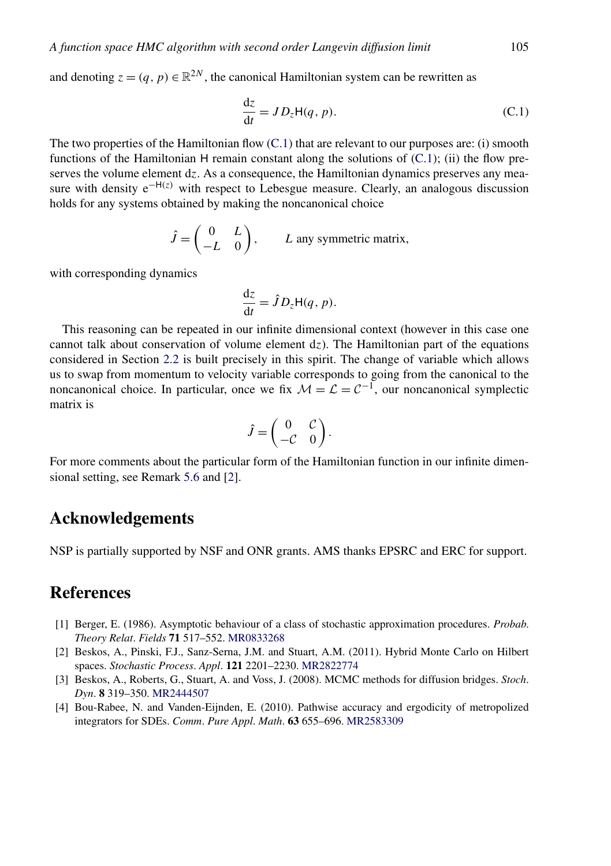<span id="page-45-0"></span>and denoting  $z = (q, p) \in \mathbb{R}^{2N}$ , the canonical Hamiltonian system can be rewritten as

$$
\frac{dz}{dt} = JD_z H(q, p). \tag{C.1}
$$

The two properties of the Hamiltonian flow  $(C.1)$  that are relevant to our purposes are: (i) smooth functions of the Hamiltonian H remain constant along the solutions of  $(C.1)$ ; (ii) the flow preserves the volume element d*z*. As a consequence, the Hamiltonian dynamics preserves any measure with density e−H*(z)* with respect to Lebesgue measure. Clearly, an analogous discussion holds for any systems obtained by making the noncanonical choice

$$
\hat{J} = \begin{pmatrix} 0 & L \\ -L & 0 \end{pmatrix}, \qquad L \text{ any symmetric matrix,}
$$

with corresponding dynamics

$$
\frac{\mathrm{d}z}{\mathrm{d}t} = \hat{J} D_z \mathsf{H}(q, p).
$$

This reasoning can be repeated in our infinite dimensional context (however in this case one cannot talk about conservation of volume element d*z*). The Hamiltonian part of the equations considered in Section [2.2](#page-5-0) is built precisely in this spirit. The change of variable which allows us to swap from momentum to velocity variable corresponds to going from the canonical to the noncanonical choice. In particular, once we fix  $\mathcal{M} = \mathcal{L} = \mathcal{C}^{-1}$ , our noncanonical symplectic matrix is

$$
\hat{J} = \begin{pmatrix} 0 & \mathcal{C} \\ -\mathcal{C} & 0 \end{pmatrix}.
$$

For more comments about the particular form of the Hamiltonian function in our infinite dimensional setting, see Remark [5.6](#page-21-0) and [2].

# **Acknowledgements**

NSP is partially supported by NSF and ONR grants. AMS thanks EPSRC and ERC for support.

# **References**

- [1] Berger, E. (1986). Asymptotic behaviour of a class of stochastic approximation procedures. *Probab*. *Theory Relat*. *Fields* **71** 517–552. [MR0833268](http://www.ams.org/mathscinet-getitem?mr=0833268)
- [2] Beskos, A., Pinski, F.J., Sanz-Serna, J.M. and Stuart, A.M. (2011). Hybrid Monte Carlo on Hilbert spaces. *Stochastic Process*. *Appl*. **121** 2201–2230. [MR2822774](http://www.ams.org/mathscinet-getitem?mr=2822774)
- [3] Beskos, A., Roberts, G., Stuart, A. and Voss, J. (2008). MCMC methods for diffusion bridges. *Stoch*. *Dyn*. **8** 319–350. [MR2444507](http://www.ams.org/mathscinet-getitem?mr=2444507)
- [4] Bou-Rabee, N. and Vanden-Eijnden, E. (2010). Pathwise accuracy and ergodicity of metropolized integrators for SDEs. *Comm*. *Pure Appl*. *Math*. **63** 655–696. [MR2583309](http://www.ams.org/mathscinet-getitem?mr=2583309)